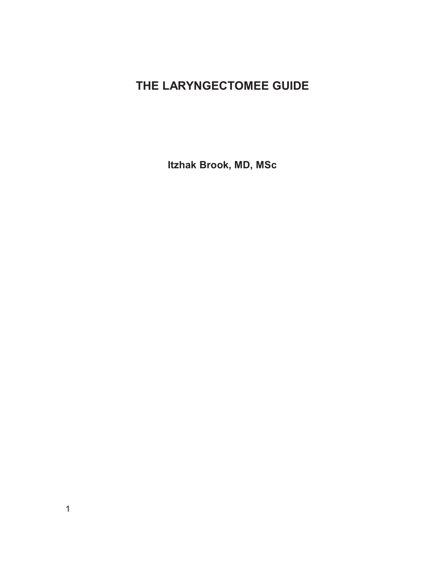# **THE LARYNGECTOMEE GUIDE**

**Itzhak Brook, MD, MSc**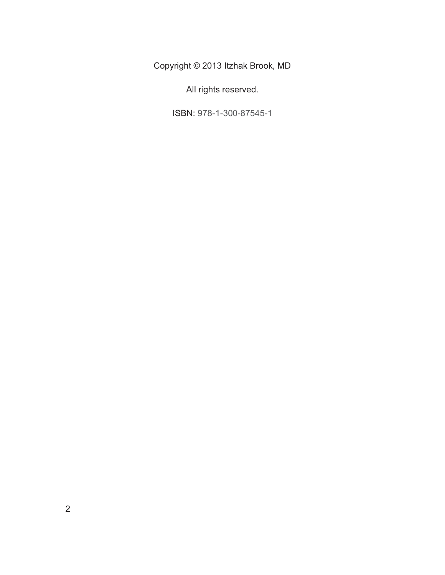Copyright © 2013 Itzhak Brook, MD

All rights reserved.

ISBN: 978-1-300-87545-1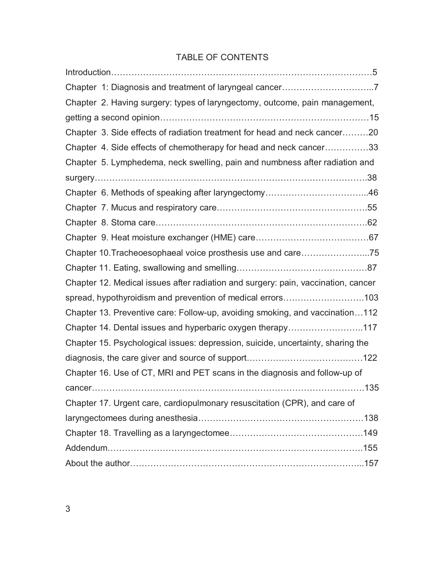# TABLE OF CONTENTS

| Chapter 2. Having surgery: types of laryngectomy, outcome, pain management,       |
|-----------------------------------------------------------------------------------|
|                                                                                   |
| Chapter 3. Side effects of radiation treatment for head and neck cancer20         |
| Chapter 4. Side effects of chemotherapy for head and neck cancer33                |
| Chapter 5. Lymphedema, neck swelling, pain and numbness after radiation and       |
|                                                                                   |
|                                                                                   |
|                                                                                   |
|                                                                                   |
|                                                                                   |
|                                                                                   |
|                                                                                   |
| Chapter 12. Medical issues after radiation and surgery: pain, vaccination, cancer |
| spread, hypothyroidism and prevention of medical errors103                        |
| Chapter 13. Preventive care: Follow-up, avoiding smoking, and vaccination112      |
| Chapter 14. Dental issues and hyperbaric oxygen therapy117                        |
| Chapter 15. Psychological issues: depression, suicide, uncertainty, sharing the   |
|                                                                                   |
| Chapter 16. Use of CT, MRI and PET scans in the diagnosis and follow-up of        |
|                                                                                   |
| Chapter 17. Urgent care, cardiopulmonary resuscitation (CPR), and care of         |
|                                                                                   |
|                                                                                   |
|                                                                                   |
|                                                                                   |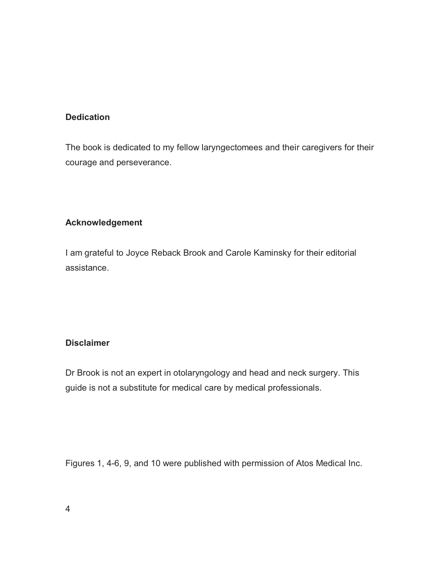## **Dedication**

The book is dedicated to my fellow laryngectomees and their caregivers for their courage and perseverance.

## **Acknowledgement**

I am grateful to Joyce Reback Brook and Carole Kaminsky for their editorial assistance.

## **Disclaimer**

Dr Brook is not an expert in otolaryngology and head and neck surgery. This guide is not a substitute for medical care by medical professionals.

Figures 1, 4-6, 9, and 10 were published with permission of Atos Medical Inc.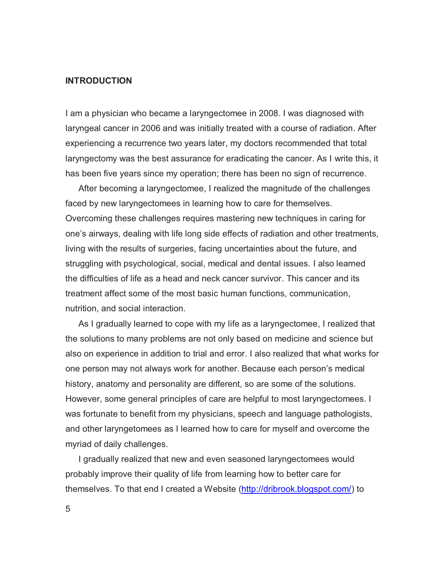### **INTRODUCTION**

I am a physician who became a laryngectomee in 2008. I was diagnosed with laryngeal cancer in 2006 and was initially treated with a course of radiation. After experiencing a recurrence two years later, my doctors recommended that total laryngectomy was the best assurance for eradicating the cancer. As I write this, it has been five years since my operation; there has been no sign of recurrence.

After becoming a laryngectomee, I realized the magnitude of the challenges faced by new laryngectomees in learning how to care for themselves. Overcoming these challenges requires mastering new techniques in caring for one's airways, dealing with life long side effects of radiation and other treatments, living with the results of surgeries, facing uncertainties about the future, and struggling with psychological, social, medical and dental issues. I also learned the difficulties of life as a head and neck cancer survivor. This cancer and its treatment affect some of the most basic human functions, communication, nutrition, and social interaction.

As I gradually learned to cope with my life as a laryngectomee, I realized that the solutions to many problems are not only based on medicine and science but also on experience in addition to trial and error. I also realized that what works for one person may not always work for another. Because each person's medical history, anatomy and personality are different, so are some of the solutions. However, some general principles of care are helpful to most laryngectomees. I was fortunate to benefit from my physicians, speech and language pathologists, and other laryngetomees as I learned how to care for myself and overcome the myriad of daily challenges.

I gradually realized that new and even seasoned laryngectomees would probably improve their quality of life from learning how to better care for themselves. To that end I created a Website (http://dribrook.blogspot.com/) to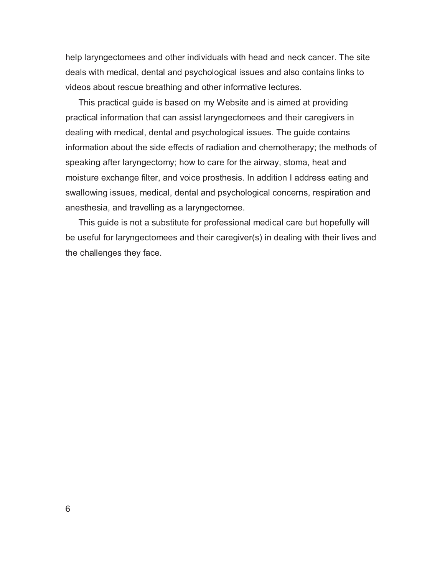help laryngectomees and other individuals with head and neck cancer. The site deals with medical, dental and psychological issues and also contains links to videos about rescue breathing and other informative lectures.

This practical guide is based on my Website and is aimed at providing practical information that can assist laryngectomees and their caregivers in dealing with medical, dental and psychological issues. The guide contains information about the side effects of radiation and chemotherapy; the methods of speaking after laryngectomy; how to care for the airway, stoma, heat and moisture exchange filter, and voice prosthesis. In addition I address eating and swallowing issues, medical, dental and psychological concerns, respiration and anesthesia, and travelling as a laryngectomee.

This guide is not a substitute for professional medical care but hopefully will be useful for laryngectomees and their caregiver(s) in dealing with their lives and the challenges they face.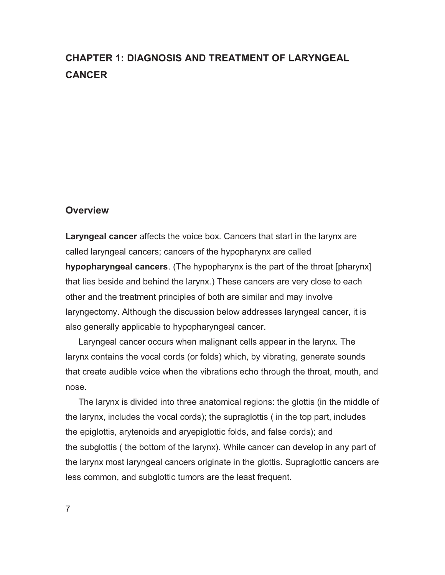# **CHAPTER 1: DIAGNOSIS AND TREATMENT OF LARYNGEAL CANCER**

## **Overview**

**Laryngeal cancer** affects the voice box. Cancers that start in the larynx are called laryngeal cancers; cancers of the hypopharynx are called **hypopharyngeal cancers**. (The hypopharynx is the part of the throat [pharynx] that lies beside and behind the larynx.) These cancers are very close to each other and the treatment principles of both are similar and may involve laryngectomy. Although the discussion below addresses laryngeal cancer, it is also generally applicable to hypopharyngeal cancer.

Laryngeal cancer occurs when malignant cells appear in the larynx. The larynx contains the vocal cords (or folds) which, by vibrating, generate sounds that create audible voice when the vibrations echo through the throat, mouth, and nose.

The larynx is divided into three anatomical regions: the glottis (in the middle of the larynx, includes the vocal cords); the supraglottis ( in the top part, includes the epiglottis, arytenoids and aryepiglottic folds, and false cords); and the subglottis ( the bottom of the larynx). While cancer can develop in any part of the larynx most laryngeal cancers originate in the glottis. Supraglottic cancers are less common, and subglottic tumors are the least frequent.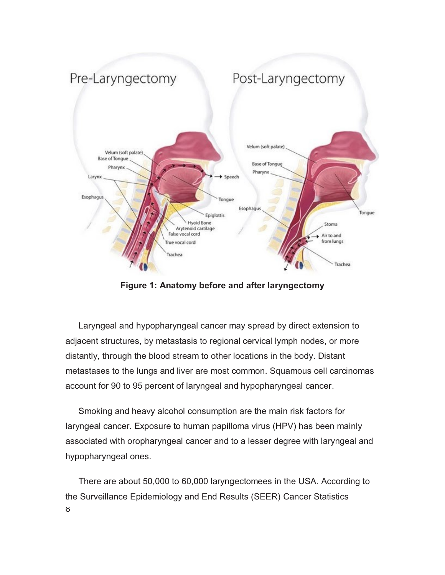

**Figure 1: Anatomy before and after laryngectomy** 

Laryngeal and hypopharyngeal cancer may spread by direct extension to adjacent structures, by metastasis to regional cervical lymph nodes, or more distantly, through the blood stream to other locations in the body. Distant metastases to the lungs and liver are most common. Squamous cell carcinomas account for 90 to 95 percent of laryngeal and hypopharyngeal cancer.

Smoking and heavy alcohol consumption are the main risk factors for laryngeal cancer. Exposure to human papilloma virus (HPV) has been mainly associated with oropharyngeal cancer and to a lesser degree with laryngeal and hypopharyngeal ones.

8 There are about 50,000 to 60,000 laryngectomees in the USA. According to the Surveillance Epidemiology and End Results (SEER) Cancer Statistics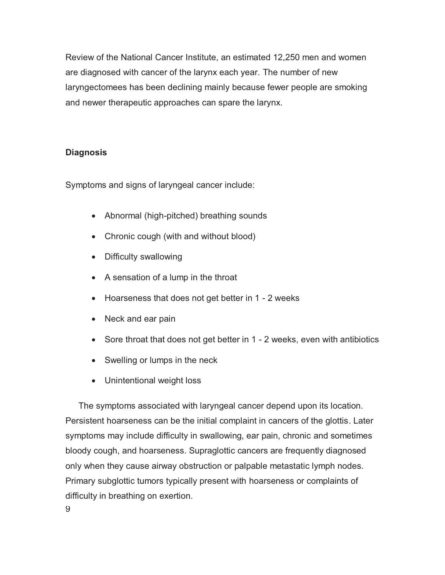Review of the National Cancer Institute, an estimated 12,250 men and women are diagnosed with cancer of the larynx each year. The number of new laryngectomees has been declining mainly because fewer people are smoking and newer therapeutic approaches can spare the larynx.

# **Diagnosis**

Symptoms and signs of laryngeal cancer include:

- Abnormal (high-pitched) breathing sounds
- Chronic cough (with and without blood)
- Difficulty swallowing
- A sensation of a lump in the throat
- Hoarseness that does not get better in 1 2 weeks
- Neck and ear pain
- $\bullet$ Sore throat that does not get better in 1 - 2 weeks, even with antibiotics
- Swelling or lumps in the neck
- Unintentional weight loss

The symptoms associated with laryngeal cancer depend upon its location. Persistent hoarseness can be the initial complaint in cancers of the glottis. Later symptoms may include difficulty in swallowing, ear pain, chronic and sometimes bloody cough, and hoarseness. Supraglottic cancers are frequently diagnosed only when they cause airway obstruction or palpable metastatic lymph nodes. Primary subglottic tumors typically present with hoarseness or complaints of difficulty in breathing on exertion.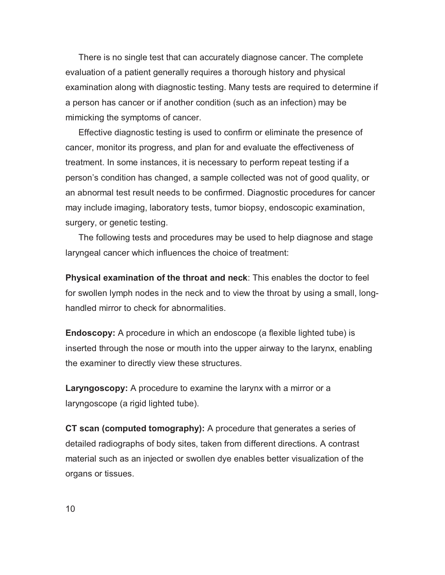There is no single test that can accurately diagnose cancer. The complete evaluation of a patient generally requires a thorough history and physical examination along with diagnostic testing. Many tests are required to determine if a person has cancer or if another condition (such as an infection) may be mimicking the symptoms of cancer.

Effective diagnostic testing is used to confirm or eliminate the presence of cancer, monitor its progress, and plan for and evaluate the effectiveness of treatment. In some instances, it is necessary to perform repeat testing if a person's condition has changed, a sample collected was not of good quality, or an abnormal test result needs to be confirmed. Diagnostic procedures for cancer may include imaging, laboratory tests, tumor biopsy, endoscopic examination, surgery, or genetic testing.

The following tests and procedures may be used to help diagnose and stage laryngeal cancer which influences the choice of treatment:

**Physical examination of the throat and neck**: This enables the doctor to feel for swollen lymph nodes in the neck and to view the throat by using a small, longhandled mirror to check for abnormalities.

**Endoscopy:** A procedure in which an endoscope (a flexible lighted tube) is inserted through the nose or mouth into the upper airway to the larynx, enabling the examiner to directly view these structures.

**Laryngoscopy:** A procedure to examine the larynx with a mirror or a laryngoscope (a rigid lighted tube).

**CT scan (computed tomography):** A procedure that generates a series of detailed radiographs of body sites, taken from different directions. A contrast material such as an injected or swollen dye enables better visualization of the organs or tissues.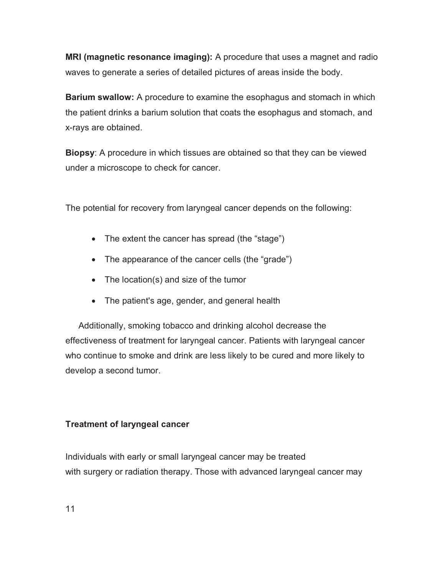**MRI (magnetic resonance imaging):** A procedure that uses a magnet and radio waves to generate a series of detailed pictures of areas inside the body.

**Barium swallow:** A procedure to examine the esophagus and stomach in which the patient drinks a barium solution that coats the esophagus and stomach, and x-rays are obtained.

**Biopsy**: A procedure in which tissues are obtained so that they can be viewed under a microscope to check for cancer.

The potential for recovery from laryngeal cancer depends on the following:

- The extent the cancer has spread (the "stage")
- The appearance of the cancer cells (the "grade")
- The location(s) and size of the tumor
- The patient's age, gender, and general health

Additionally, smoking tobacco and drinking alcohol decrease the effectiveness of treatment for laryngeal cancer. Patients with laryngeal cancer who continue to smoke and drink are less likely to be cured and more likely to develop a second tumor.

# **Treatment of laryngeal cancer**

Individuals with early or small laryngeal cancer may be treated with surgery or radiation therapy. Those with advanced laryngeal cancer may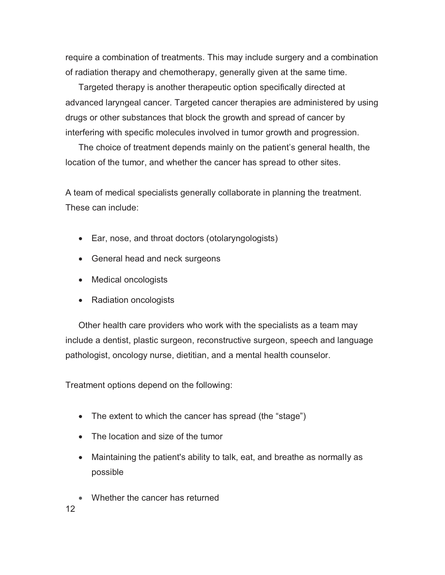require a combination of treatments. This may include surgery and a combination of radiation therapy and chemotherapy, generally given at the same time.

Targeted therapy is another therapeutic option specifically directed at advanced laryngeal cancer. Targeted cancer therapies are administered by using drugs or other substances that block the growth and spread of cancer by interfering with specific molecules involved in tumor growth and progression.

The choice of treatment depends mainly on the patient's general health, the location of the tumor, and whether the cancer has spread to other sites.

A team of medical specialists generally collaborate in planning the treatment. These can include:

- Ear, nose, and throat doctors (otolaryngologists)
- General head and neck surgeons
- Medical oncologists
- Radiation oncologists

Other health care providers who work with the specialists as a team may include a dentist, plastic surgeon, reconstructive surgeon, speech and language pathologist, oncology nurse, dietitian, and a mental health counselor.

Treatment options depend on the following:

- The extent to which the cancer has spread (the "stage")
- The location and size of the tumor
- Maintaining the patient's ability to talk, eat, and breathe as normally as possible
- -Whether the cancer has returned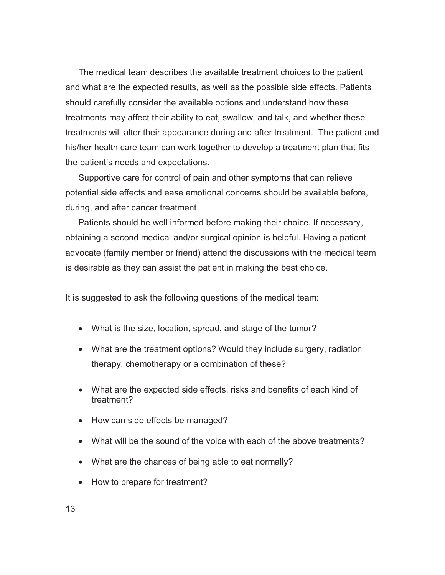The medical team describes the available treatment choices to the patient and what are the expected results, as well as the possible side effects. Patients should carefully consider the available options and understand how these treatments may affect their ability to eat, swallow, and talk, and whether these treatments will alter their appearance during and after treatment. The patient and his/her health care team can work together to develop a treatment plan that fits the patient's needs and expectations.

Supportive care for control of pain and other symptoms that can relieve potential side effects and ease emotional concerns should be available before, during, and after cancer treatment.

Patients should be well informed before making their choice. If necessary, obtaining a second medical and/or surgical opinion is helpful. Having a patient advocate (family member or friend) attend the discussions with the medical team is desirable as they can assist the patient in making the best choice.

It is suggested to ask the following questions of the medical team:

- What is the size, location, spread, and stage of the tumor?
- What are the treatment options? Would they include surgery, radiation therapy, chemotherapy or a combination of these?
- What are the expected side effects, risks and benefits of each kind of treatment?
- How can side effects be managed?
- What will be the sound of the voice with each of the above treatments?
- What are the chances of being able to eat normally?
- How to prepare for treatment?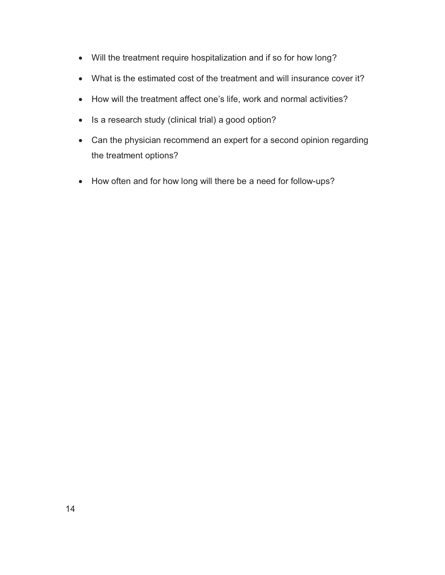- Will the treatment require hospitalization and if so for how long?
- What is the estimated cost of the treatment and will insurance cover it?
- How will the treatment affect one's life, work and normal activities?
- Is a research study (clinical trial) a good option?
- Can the physician recommend an expert for a second opinion regarding the treatment options?
- How often and for how long will there be a need for follow-ups?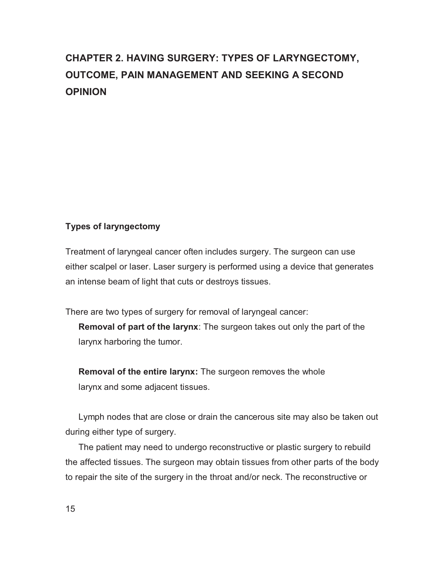# **CHAPTER 2. HAVING SURGERY: TYPES OF LARYNGECTOMY, OUTCOME, PAIN MANAGEMENT AND SEEKING A SECOND OPINION**

# **Types of laryngectomy**

Treatment of laryngeal cancer often includes surgery. The surgeon can use either scalpel or laser. Laser surgery is performed using a device that generates an intense beam of light that cuts or destroys tissues.

There are two types of surgery for removal of laryngeal cancer:

**Removal of part of the larynx**: The surgeon takes out only the part of the larynx harboring the tumor.

**Removal of the entire larynx:** The surgeon removes the whole larynx and some adjacent tissues.

Lymph nodes that are close or drain the cancerous site may also be taken out during either type of surgery.

The patient may need to undergo reconstructive or plastic surgery to rebuild the affected tissues. The surgeon may obtain tissues from other parts of the body to repair the site of the surgery in the throat and/or neck. The reconstructive or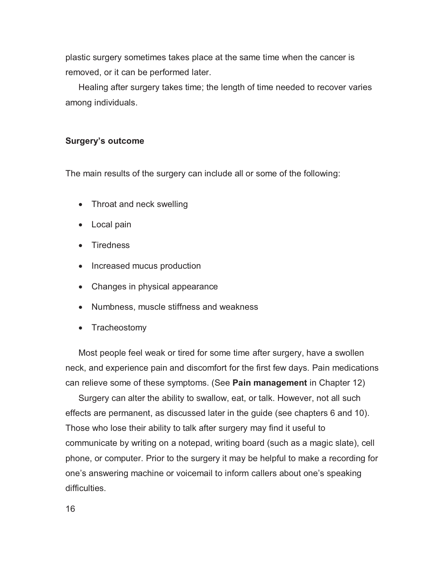plastic surgery sometimes takes place at the same time when the cancer is removed, or it can be performed later.

Healing after surgery takes time; the length of time needed to recover varies among individuals.

## **Surgery's outcome**

The main results of the surgery can include all or some of the following:

- Throat and neck swelling
- Local pain
- Tiredness
- Increased mucus production
- Changes in physical appearance
- Numbness, muscle stiffness and weakness
- Tracheostomy

Most people feel weak or tired for some time after surgery, have a swollen neck, and experience pain and discomfort for the first few days. Pain medications can relieve some of these symptoms. (See **Pain management** in Chapter 12)

Surgery can alter the ability to swallow, eat, or talk. However, not all such effects are permanent, as discussed later in the guide (see chapters 6 and 10). Those who lose their ability to talk after surgery may find it useful to communicate by writing on a notepad, writing board (such as a magic slate), cell phone, or computer. Prior to the surgery it may be helpful to make a recording for one's answering machine or voicemail to inform callers about one's speaking difficulties.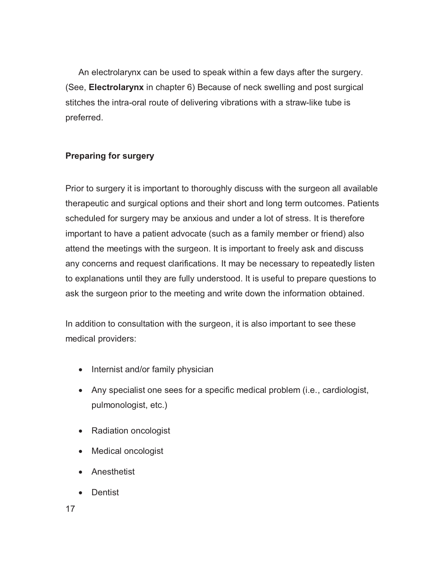An electrolarynx can be used to speak within a few days after the surgery. (See, **Electrolarynx** in chapter 6) Because of neck swelling and post surgical stitches the intra-oral route of delivering vibrations with a straw-like tube is preferred.

# **Preparing for surgery**

Prior to surgery it is important to thoroughly discuss with the surgeon all available therapeutic and surgical options and their short and long term outcomes. Patients scheduled for surgery may be anxious and under a lot of stress. It is therefore important to have a patient advocate (such as a family member or friend) also attend the meetings with the surgeon. It is important to freely ask and discuss any concerns and request clarifications. It may be necessary to repeatedly listen to explanations until they are fully understood. It is useful to prepare questions to ask the surgeon prior to the meeting and write down the information obtained.

In addition to consultation with the surgeon, it is also important to see these medical providers:

- Internist and/or family physician
- Any specialist one sees for a specific medical problem (i.e., cardiologist, pulmonologist, etc.)
- Radiation oncologist
- Medical oncologist
- Anesthetist
- Dentist

17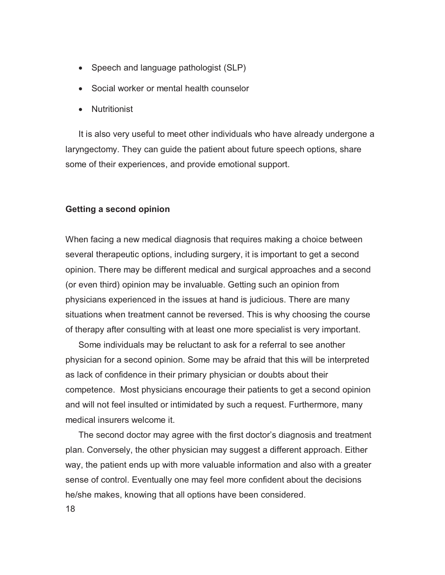- Speech and language pathologist (SLP)
- Social worker or mental health counselor
- Nutritionist

It is also very useful to meet other individuals who have already undergone a laryngectomy. They can guide the patient about future speech options, share some of their experiences, and provide emotional support.

#### **Getting a second opinion**

When facing a new medical diagnosis that requires making a choice between several therapeutic options, including surgery, it is important to get a second opinion. There may be different medical and surgical approaches and a second (or even third) opinion may be invaluable. Getting such an opinion from physicians experienced in the issues at hand is judicious. There are many situations when treatment cannot be reversed. This is why choosing the course of therapy after consulting with at least one more specialist is very important.

Some individuals may be reluctant to ask for a referral to see another physician for a second opinion. Some may be afraid that this will be interpreted as lack of confidence in their primary physician or doubts about their competence. Most physicians encourage their patients to get a second opinion and will not feel insulted or intimidated by such a request. Furthermore, many medical insurers welcome it.

The second doctor may agree with the first doctor's diagnosis and treatment plan. Conversely, the other physician may suggest a different approach. Either way, the patient ends up with more valuable information and also with a greater sense of control. Eventually one may feel more confident about the decisions he/she makes, knowing that all options have been considered.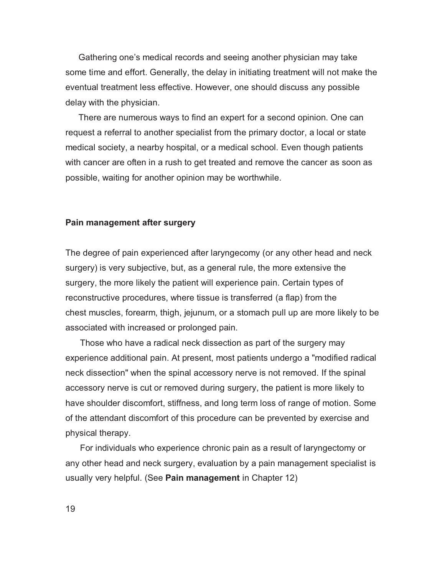Gathering one's medical records and seeing another physician may take some time and effort. Generally, the delay in initiating treatment will not make the eventual treatment less effective. However, one should discuss any possible delay with the physician.

There are numerous ways to find an expert for a second opinion. One can request a referral to another specialist from the primary doctor, a local or state medical society, a nearby hospital, or a medical school. Even though patients with cancer are often in a rush to get treated and remove the cancer as soon as possible, waiting for another opinion may be worthwhile.

#### **Pain management after surgery**

The degree of pain experienced after laryngecomy (or any other head and neck surgery) is very subjective, but, as a general rule, the more extensive the surgery, the more likely the patient will experience pain. Certain types of reconstructive procedures, where tissue is transferred (a flap) from the chest muscles, forearm, thigh, jejunum, or a stomach pull up are more likely to be associated with increased or prolonged pain.

 Those who have a radical neck dissection as part of the surgery may experience additional pain. At present, most patients undergo a "modified radical neck dissection" when the spinal accessory nerve is not removed. If the spinal accessory nerve is cut or removed during surgery, the patient is more likely to have shoulder discomfort, stiffness, and long term loss of range of motion. Some of the attendant discomfort of this procedure can be prevented by exercise and physical therapy.

 For individuals who experience chronic pain as a result of laryngectomy or any other head and neck surgery, evaluation by a pain management specialist is usually very helpful. (See **Pain management** in Chapter 12)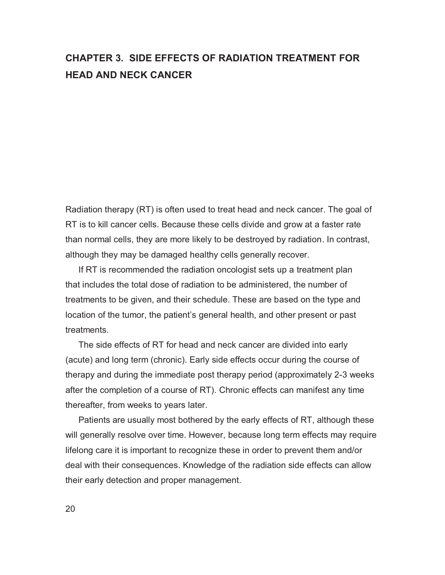# **CHAPTER 3. SIDE EFFECTS OF RADIATION TREATMENT FOR HEAD AND NECK CANCER**

Radiation therapy (RT) is often used to treat head and neck cancer. The goal of RT is to kill cancer cells. Because these cells divide and grow at a faster rate than normal cells, they are more likely to be destroyed by radiation. In contrast, although they may be damaged healthy cells generally recover.

If RT is recommended the radiation oncologist sets up a treatment plan that includes the total dose of radiation to be administered, the number of treatments to be given, and their schedule. These are based on the type and location of the tumor, the patient's general health, and other present or past treatments.

The side effects of RT for head and neck cancer are divided into early (acute) and long term (chronic). Early side effects occur during the course of therapy and during the immediate post therapy period (approximately 2-3 weeks after the completion of a course of RT). Chronic effects can manifest any time thereafter, from weeks to years later.

Patients are usually most bothered by the early effects of RT, although these will generally resolve over time. However, because long term effects may require lifelong care it is important to recognize these in order to prevent them and/or deal with their consequences. Knowledge of the radiation side effects can allow their early detection and proper management.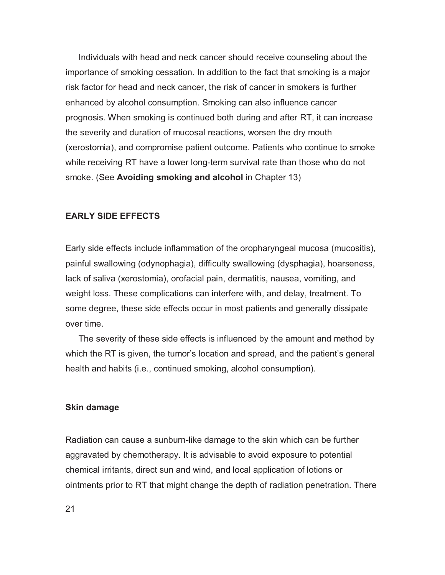Individuals with head and neck cancer should receive counseling about the importance of smoking cessation. In addition to the fact that smoking is a major risk factor for head and neck cancer, the risk of cancer in smokers is further enhanced by alcohol consumption. Smoking can also influence cancer prognosis. When smoking is continued both during and after RT, it can increase the severity and duration of mucosal reactions, worsen the dry mouth (xerostomia), and compromise patient outcome. Patients who continue to smoke while receiving RT have a lower long-term survival rate than those who do not smoke. (See **Avoiding smoking and alcohol** in Chapter 13)

### **EARLY SIDE EFFECTS**

Early side effects include inflammation of the oropharyngeal mucosa (mucositis), painful swallowing (odynophagia), difficulty swallowing (dysphagia), hoarseness, lack of saliva (xerostomia), orofacial pain, dermatitis, nausea, vomiting, and weight loss. These complications can interfere with, and delay, treatment. To some degree, these side effects occur in most patients and generally dissipate over time.

The severity of these side effects is influenced by the amount and method by which the RT is given, the tumor's location and spread, and the patient's general health and habits (i.e., continued smoking, alcohol consumption).

#### **Skin damage**

Radiation can cause a sunburn-like damage to the skin which can be further aggravated by chemotherapy. It is advisable to avoid exposure to potential chemical irritants, direct sun and wind, and local application of lotions or ointments prior to RT that might change the depth of radiation penetration. There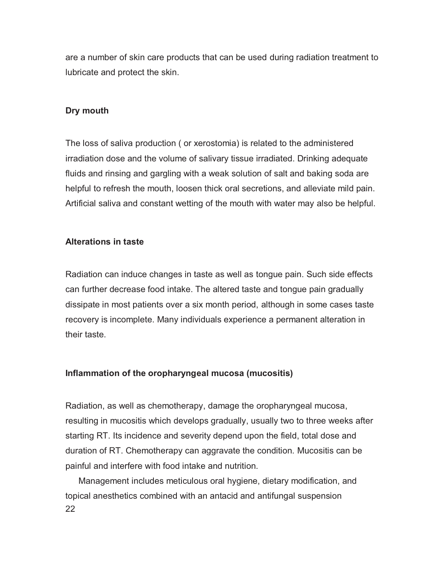are a number of skin care products that can be used during radiation treatment to lubricate and protect the skin.

## **Dry mouth**

The loss of saliva production ( or xerostomia) is related to the administered irradiation dose and the volume of salivary tissue irradiated. Drinking adequate fluids and rinsing and gargling with a weak solution of salt and baking soda are helpful to refresh the mouth, loosen thick oral secretions, and alleviate mild pain. Artificial saliva and constant wetting of the mouth with water may also be helpful.

# **Alterations in taste**

Radiation can induce changes in taste as well as tongue pain. Such side effects can further decrease food intake. The altered taste and tongue pain gradually dissipate in most patients over a six month period, although in some cases taste recovery is incomplete. Many individuals experience a permanent alteration in their taste.

# **Inflammation of the oropharyngeal mucosa (mucositis)**

Radiation, as well as chemotherapy, damage the oropharyngeal mucosa, resulting in mucositis which develops gradually, usually two to three weeks after starting RT. Its incidence and severity depend upon the field, total dose and duration of RT. Chemotherapy can aggravate the condition. Mucositis can be painful and interfere with food intake and nutrition.

22 Management includes meticulous oral hygiene, dietary modification, and topical anesthetics combined with an antacid and antifungal suspension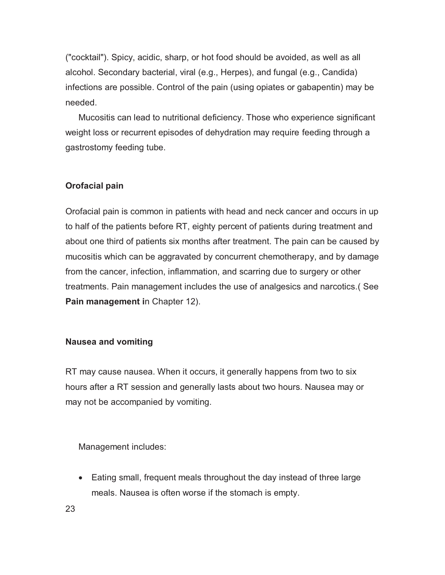("cocktail"). Spicy, acidic, sharp, or hot food should be avoided, as well as all alcohol. Secondary bacterial, viral (e.g., Herpes), and fungal (e.g., Candida) infections are possible. Control of the pain (using opiates or gabapentin) may be needed.

Mucositis can lead to nutritional deficiency. Those who experience significant weight loss or recurrent episodes of dehydration may require feeding through a gastrostomy feeding tube.

# **Orofacial pain**

Orofacial pain is common in patients with head and neck cancer and occurs in up to half of the patients before RT, eighty percent of patients during treatment and about one third of patients six months after treatment. The pain can be caused by mucositis which can be aggravated by concurrent chemotherapy, and by damage from the cancer, infection, inflammation, and scarring due to surgery or other treatments. Pain management includes the use of analgesics and narcotics.( See **Pain management i**n Chapter 12).

# **Nausea and vomiting**

RT may cause nausea. When it occurs, it generally happens from two to six hours after a RT session and generally lasts about two hours. Nausea may or may not be accompanied by vomiting.

Management includes:

- Eating small, frequent meals throughout the day instead of three large meals. Nausea is often worse if the stomach is empty.

23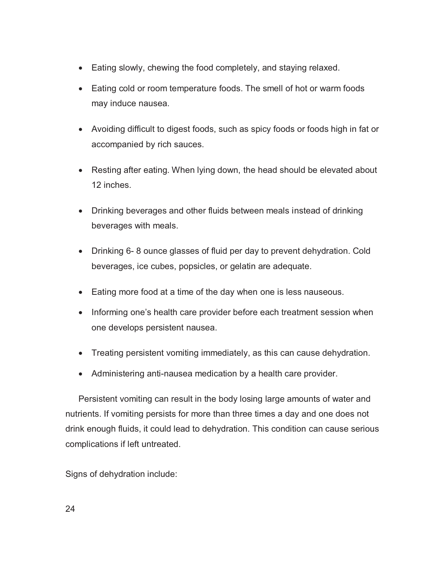- Eating slowly, chewing the food completely, and staying relaxed.
- Eating cold or room temperature foods. The smell of hot or warm foods may induce nausea.
- Avoiding difficult to digest foods, such as spicy foods or foods high in fat or accompanied by rich sauces.
- Resting after eating. When lying down, the head should be elevated about 12 inches.
- Drinking beverages and other fluids between meals instead of drinking beverages with meals.
- Drinking 6- 8 ounce glasses of fluid per day to prevent dehydration. Cold beverages, ice cubes, popsicles, or gelatin are adequate.
- Eating more food at a time of the day when one is less nauseous.
- Informing one's health care provider before each treatment session when one develops persistent nausea.
- Treating persistent vomiting immediately, as this can cause dehydration.
- Administering anti-nausea medication by a health care provider.

Persistent vomiting can result in the body losing large amounts of water and nutrients. If vomiting persists for more than three times a day and one does not drink enough fluids, it could lead to dehydration. This condition can cause serious complications if left untreated.

Signs of dehydration include: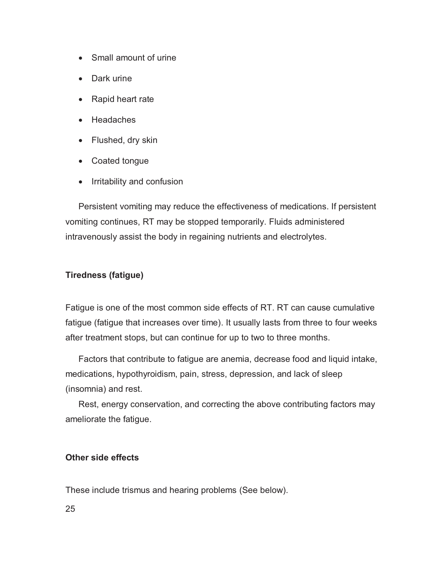- Small amount of urine
- Dark urine
- Rapid heart rate
- Headaches
- Flushed, dry skin
- Coated tongue
- Irritability and confusion

Persistent vomiting may reduce the effectiveness of medications. If persistent vomiting continues, RT may be stopped temporarily. Fluids administered intravenously assist the body in regaining nutrients and electrolytes.

## **Tiredness (fatigue)**

Fatigue is one of the most common side effects of RT. RT can cause cumulative fatigue (fatigue that increases over time). It usually lasts from three to four weeks after treatment stops, but can continue for up to two to three months.

Factors that contribute to fatigue are anemia, decrease food and liquid intake, medications, hypothyroidism, pain, stress, depression, and lack of sleep (insomnia) and rest.

Rest, energy conservation, and correcting the above contributing factors may ameliorate the fatigue.

## **Other side effects**

These include trismus and hearing problems (See below).

25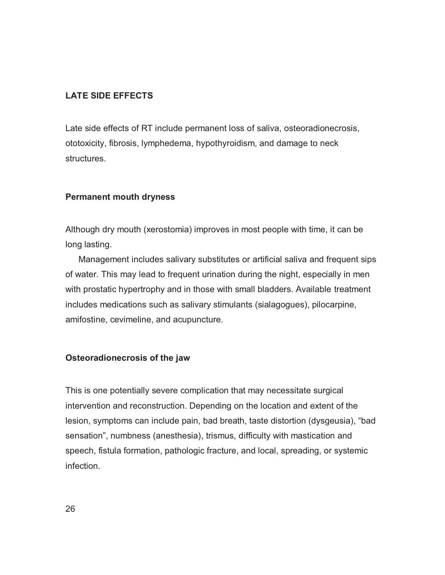## **LATE SIDE EFFECTS**

Late side effects of RT include permanent loss of saliva, osteoradionecrosis, ototoxicity, fibrosis, lymphedema, hypothyroidism, and damage to neck structures.

# **Permanent mouth dryness**

Although dry mouth (xerostomia) improves in most people with time, it can be long lasting.

Management includes salivary substitutes or artificial saliva and frequent sips of water. This may lead to frequent urination during the night, especially in men with prostatic hypertrophy and in those with small bladders. Available treatment includes medications such as salivary stimulants (sialagogues), pilocarpine, amifostine, cevimeline, and acupuncture.

## **Osteoradionecrosis of the jaw**

This is one potentially severe complication that may necessitate surgical intervention and reconstruction. Depending on the location and extent of the lesion, symptoms can include pain, bad breath, taste distortion (dysgeusia), "bad sensation", numbness (anesthesia), trismus, difficulty with mastication and speech, fistula formation, pathologic fracture, and local, spreading, or systemic infection.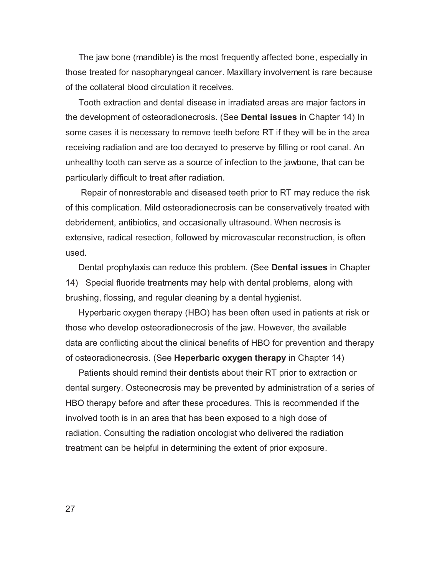The jaw bone (mandible) is the most frequently affected bone, especially in those treated for nasopharyngeal cancer. Maxillary involvement is rare because of the collateral blood circulation it receives.

Tooth extraction and dental disease in irradiated areas are major factors in the development of osteoradionecrosis. (See **Dental issues** in Chapter 14) In some cases it is necessary to remove teeth before RT if they will be in the area receiving radiation and are too decayed to preserve by filling or root canal. An unhealthy tooth can serve as a source of infection to the jawbone, that can be particularly difficult to treat after radiation.

 Repair of nonrestorable and diseased teeth prior to RT may reduce the risk of this complication. Mild osteoradionecrosis can be conservatively treated with debridement, antibiotics, and occasionally ultrasound. When necrosis is extensive, radical resection, followed by microvascular reconstruction, is often used.

Dental prophylaxis can reduce this problem. (See **Dental issues** in Chapter 14) Special fluoride treatments may help with dental problems, along with brushing, flossing, and regular cleaning by a dental hygienist.

Hyperbaric oxygen therapy (HBO) has been often used in patients at risk or those who develop osteoradionecrosis of the jaw. However, the available data are conflicting about the clinical benefits of HBO for prevention and therapy of osteoradionecrosis. (See **Heperbaric oxygen therapy** in Chapter 14)

Patients should remind their dentists about their RT prior to extraction or dental surgery. Osteonecrosis may be prevented by administration of a series of HBO therapy before and after these procedures. This is recommended if the involved tooth is in an area that has been exposed to a high dose of radiation. Consulting the radiation oncologist who delivered the radiation treatment can be helpful in determining the extent of prior exposure.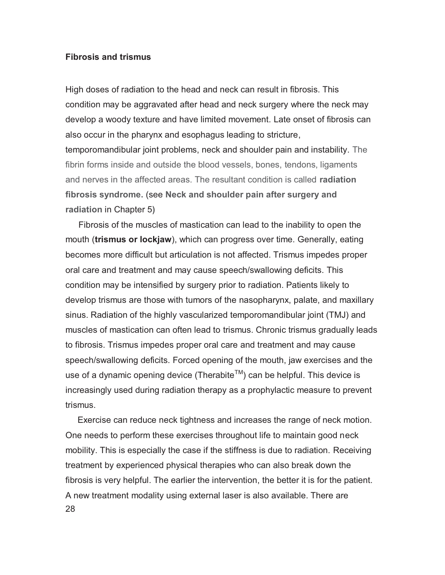### **Fibrosis and trismus**

High doses of radiation to the head and neck can result in fibrosis. This condition may be aggravated after head and neck surgery where the neck may develop a woody texture and have limited movement. Late onset of fibrosis can also occur in the pharynx and esophagus leading to stricture, temporomandibular joint problems, neck and shoulder pain and instability. The fibrin forms inside and outside the blood vessels, bones, tendons, ligaments and nerves in the affected areas. The resultant condition is called **radiation fibrosis syndrome.** (see **Neck and shoulder pain after surgery and radiation** in Chapter 5**)** 

Fibrosis of the muscles of mastication can lead to the inability to open the mouth (**trismus or lockjaw**), which can progress over time. Generally, eating becomes more difficult but articulation is not affected. Trismus impedes proper oral care and treatment and may cause speech/swallowing deficits. This condition may be intensified by surgery prior to radiation. Patients likely to develop trismus are those with tumors of the nasopharynx, palate, and maxillary sinus. Radiation of the highly vascularized temporomandibular joint (TMJ) and muscles of mastication can often lead to trismus. Chronic trismus gradually leads to fibrosis. Trismus impedes proper oral care and treatment and may cause speech/swallowing deficits. Forced opening of the mouth, jaw exercises and the use of a dynamic opening device (Therabite<sup>TM</sup>) can be helpful. This device is increasingly used during radiation therapy as a prophylactic measure to prevent trismus.

28 Exercise can reduce neck tightness and increases the range of neck motion. One needs to perform these exercises throughout life to maintain good neck mobility. This is especially the case if the stiffness is due to radiation. Receiving treatment by experienced physical therapies who can also break down the fibrosis is very helpful. The earlier the intervention, the better it is for the patient. A new treatment modality using external laser is also available. There are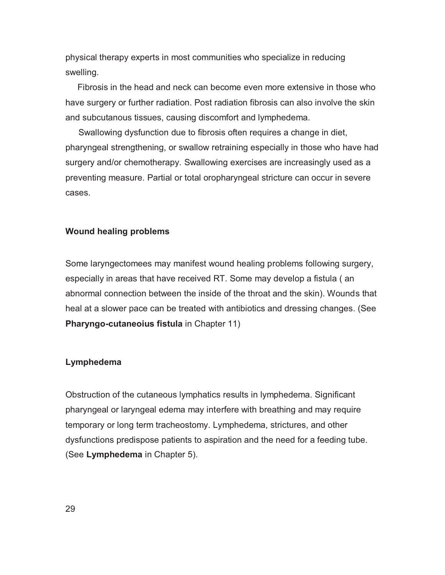physical therapy experts in most communities who specialize in reducing swelling.

 Fibrosis in the head and neck can become even more extensive in those who have surgery or further radiation. Post radiation fibrosis can also involve the skin and subcutanous tissues, causing discomfort and lymphedema.

Swallowing dysfunction due to fibrosis often requires a change in diet, pharyngeal strengthening, or swallow retraining especially in those who have had surgery and/or chemotherapy. Swallowing exercises are increasingly used as a preventing measure. Partial or total oropharyngeal stricture can occur in severe cases.

#### **Wound healing problems**

Some laryngectomees may manifest wound healing problems following surgery, especially in areas that have received RT. Some may develop a fistula ( an abnormal connection between the inside of the throat and the skin). Wounds that heal at a slower pace can be treated with antibiotics and dressing changes. (See **Pharyngo-cutaneoius fistula** in Chapter 11)

#### **Lymphedema**

Obstruction of the cutaneous lymphatics results in lymphedema. Significant pharyngeal or laryngeal edema may interfere with breathing and may require temporary or long term tracheostomy. Lymphedema, strictures, and other dysfunctions predispose patients to aspiration and the need for a feeding tube. (See **Lymphedema** in Chapter 5).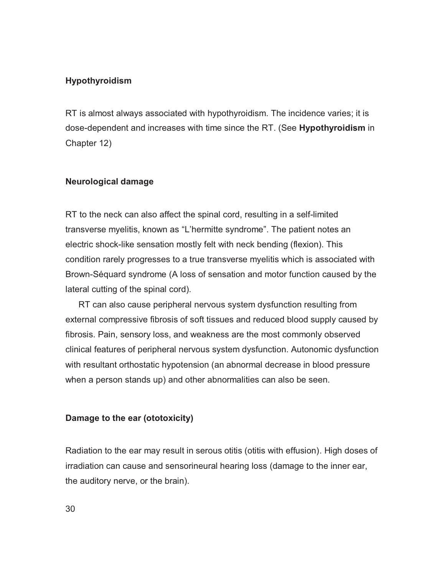## **Hypothyroidism**

RT is almost always associated with hypothyroidism. The incidence varies; it is dose-dependent and increases with time since the RT. (See **Hypothyroidism** in Chapter 12)

### **Neurological damage**

RT to the neck can also affect the spinal cord, resulting in a self-limited transverse myelitis, known as "L'hermitte syndrome". The patient notes an electric shock-like sensation mostly felt with neck bending (flexion). This condition rarely progresses to a true transverse myelitis which is associated with Brown-Séquard syndrome (A loss of sensation and motor function caused by the lateral cutting of the spinal cord).

RT can also cause peripheral nervous system dysfunction resulting from external compressive fibrosis of soft tissues and reduced blood supply caused by fibrosis. Pain, sensory loss, and weakness are the most commonly observed clinical features of peripheral nervous system dysfunction. Autonomic dysfunction with resultant orthostatic hypotension (an abnormal decrease in blood pressure when a person stands up) and other abnormalities can also be seen.

### **Damage to the ear (ototoxicity)**

Radiation to the ear may result in serous otitis (otitis with effusion). High doses of irradiation can cause and sensorineural hearing loss (damage to the inner ear, the auditory nerve, or the brain).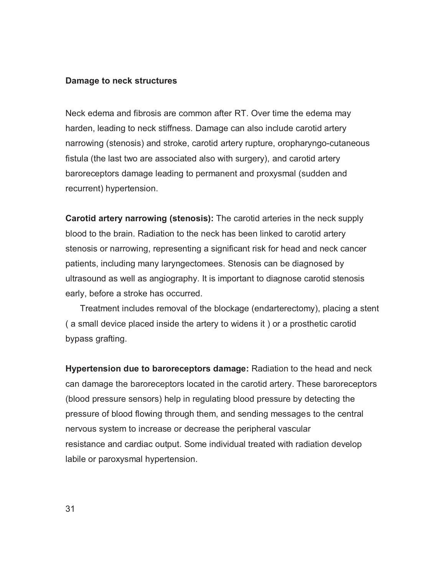#### **Damage to neck structures**

Neck edema and fibrosis are common after RT. Over time the edema may harden, leading to neck stiffness. Damage can also include carotid artery narrowing (stenosis) and stroke, carotid artery rupture, oropharyngo-cutaneous fistula (the last two are associated also with surgery), and carotid artery baroreceptors damage leading to permanent and proxysmal (sudden and recurrent) hypertension.

**Carotid artery narrowing (stenosis):** The carotid arteries in the neck supply blood to the brain. Radiation to the neck has been linked to carotid artery stenosis or narrowing, representing a significant risk for head and neck cancer patients, including many laryngectomees. Stenosis can be diagnosed by ultrasound as well as angiography. It is important to diagnose carotid stenosis early, before a stroke has occurred.

 Treatment includes removal of the blockage (endarterectomy), placing a stent ( a small device placed inside the artery to widens it ) or a prosthetic carotid bypass grafting.

**Hypertension due to baroreceptors damage:** Radiation to the head and neck can damage the baroreceptors located in the carotid artery. These baroreceptors (blood pressure sensors) help in regulating blood pressure by detecting the pressure of blood flowing through them, and sending messages to the central nervous system to increase or decrease the peripheral vascular resistance and cardiac output. Some individual treated with radiation develop labile or paroxysmal hypertension.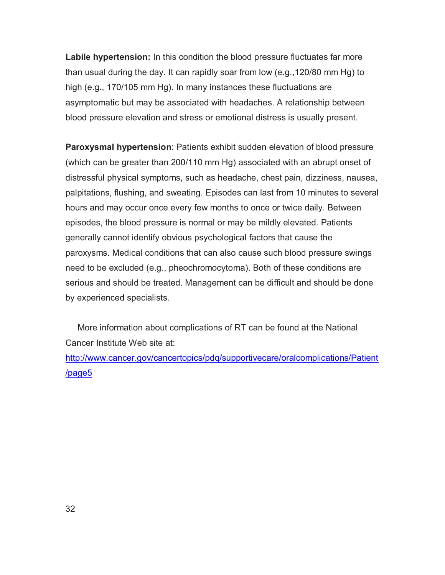**Labile hypertension:** In this condition the blood pressure fluctuates far more than usual during the day. It can rapidly soar from low (e.g.,120/80 mm Hg) to high (e.g., 170/105 mm Hg). In many instances these fluctuations are asymptomatic but may be associated with headaches. A relationship between blood pressure elevation and stress or emotional distress is usually present.

**Paroxysmal hypertension**: Patients exhibit sudden elevation of blood pressure (which can be greater than 200/110 mm Hg) associated with an abrupt onset of distressful physical symptoms, such as headache, chest pain, dizziness, nausea, palpitations, flushing, and sweating. Episodes can last from 10 minutes to several hours and may occur once every few months to once or twice daily. Between episodes, the blood pressure is normal or may be mildly elevated. Patients generally cannot identify obvious psychological factors that cause the paroxysms. Medical conditions that can also cause such blood pressure swings need to be excluded (e.g., pheochromocytoma). Both of these conditions are serious and should be treated. Management can be difficult and should be done by experienced specialists.

 More information about complications of RT can be found at the National Cancer Institute Web site at:

http://www.cancer.gov/cancertopics/pdq/supportivecare/oralcomplications/Patient /page5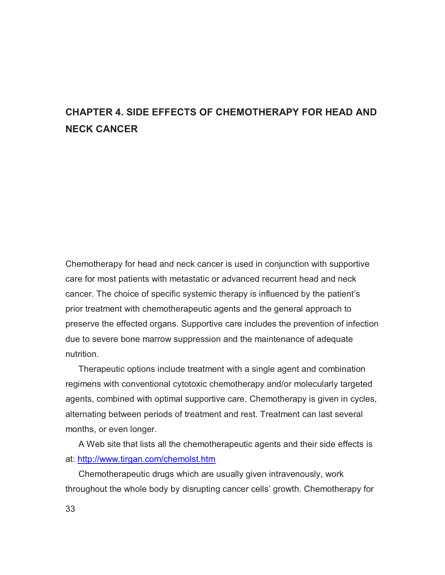# **CHAPTER 4. SIDE EFFECTS OF CHEMOTHERAPY FOR HEAD AND NECK CANCER**

Chemotherapy for head and neck cancer is used in conjunction with supportive care for most patients with metastatic or advanced recurrent head and neck cancer. The choice of specific systemic therapy is influenced by the patient's prior treatment with chemotherapeutic agents and the general approach to preserve the effected organs. Supportive care includes the prevention of infection due to severe bone marrow suppression and the maintenance of adequate nutrition.

Therapeutic options include treatment with a single agent and combination regimens with conventional cytotoxic chemotherapy and/or molecularly targeted agents, combined with optimal supportive care. Chemotherapy is given in cycles, alternating between periods of treatment and rest. Treatment can last several months, or even longer.

A Web site that lists all the chemotherapeutic agents and their side effects is at: http://www.tirgan.com/chemolst.htm

Chemotherapeutic drugs which are usually given intravenously, work throughout the whole body by disrupting cancer cells' growth. Chemotherapy for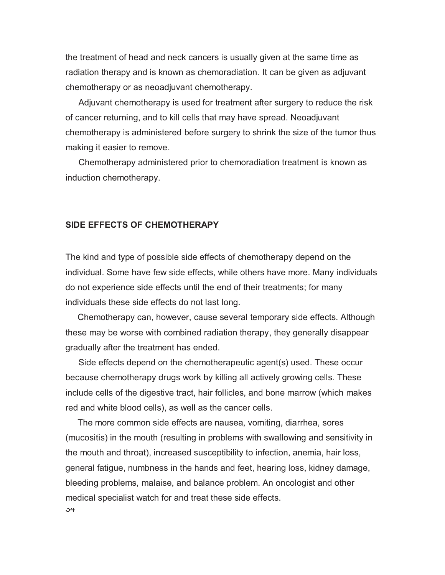the treatment of head and neck cancers is usually given at the same time as radiation therapy and is known as chemoradiation. It can be given as adjuvant chemotherapy or as neoadjuvant chemotherapy.

Adjuvant chemotherapy is used for treatment after surgery to reduce the risk of cancer returning, and to kill cells that may have spread. Neoadjuvant chemotherapy is administered before surgery to shrink the size of the tumor thus making it easier to remove.

Chemotherapy administered prior to chemoradiation treatment is known as induction chemotherapy.

## **SIDE EFFECTS OF CHEMOTHERAPY**

The kind and type of possible side effects of chemotherapy depend on the individual. Some have few side effects, while others have more. Many individuals do not experience side effects until the end of their treatments; for many individuals these side effects do not last long.

 Chemotherapy can, however, cause several temporary side effects. Although these may be worse with combined radiation therapy, they generally disappear gradually after the treatment has ended.

Side effects depend on the chemotherapeutic agent(s) used. These occur because chemotherapy drugs work by killing all actively growing cells. These include cells of the digestive tract, hair follicles, and bone marrow (which makes red and white blood cells), as well as the cancer cells.

34 The more common side effects are nausea, vomiting, diarrhea, sores (mucositis) in the mouth (resulting in problems with swallowing and sensitivity in the mouth and throat), increased susceptibility to infection, anemia, hair loss, general fatigue, numbness in the hands and feet, hearing loss, kidney damage, bleeding problems, malaise, and balance problem. An oncologist and other medical specialist watch for and treat these side effects.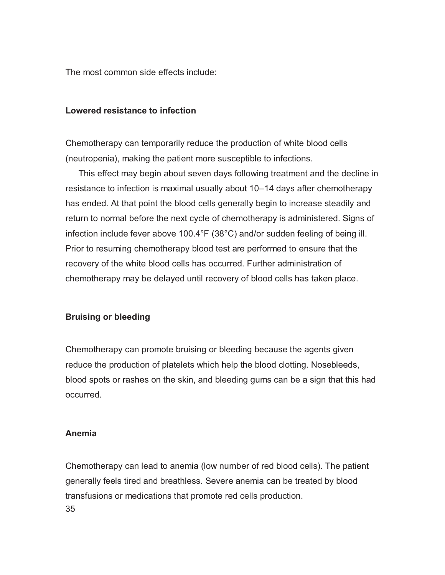The most common side effects include:

### **Lowered resistance to infection**

Chemotherapy can temporarily reduce the production of white blood cells (neutropenia), making the patient more susceptible to infections.

This effect may begin about seven days following treatment and the decline in resistance to infection is maximal usually about 10–14 days after chemotherapy has ended. At that point the blood cells generally begin to increase steadily and return to normal before the next cycle of chemotherapy is administered. Signs of infection include fever above 100.4°F (38°C) and/or sudden feeling of being ill. Prior to resuming chemotherapy blood test are performed to ensure that the recovery of the white blood cells has occurred. Further administration of chemotherapy may be delayed until recovery of blood cells has taken place.

## **Bruising or bleeding**

Chemotherapy can promote bruising or bleeding because the agents given reduce the production of platelets which help the blood clotting. Nosebleeds, blood spots or rashes on the skin, and bleeding gums can be a sign that this had occurred.

## **Anemia**

35 Chemotherapy can lead to anemia (low number of red blood cells). The patient generally feels tired and breathless. Severe anemia can be treated by blood transfusions or medications that promote red cells production.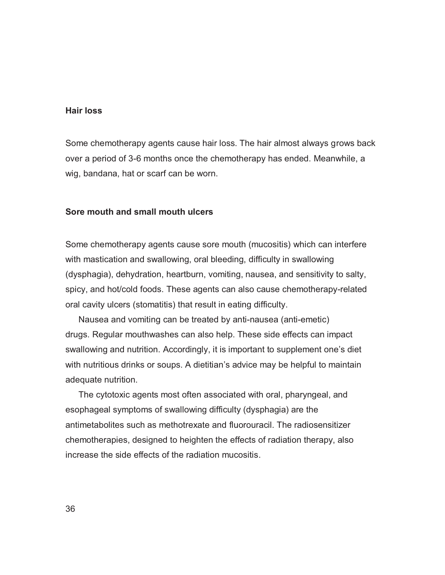## **Hair loss**

Some chemotherapy agents cause hair loss. The hair almost always grows back over a period of 3-6 months once the chemotherapy has ended. Meanwhile, a wig, bandana, hat or scarf can be worn.

## **Sore mouth and small mouth ulcers**

Some chemotherapy agents cause sore mouth (mucositis) which can interfere with mastication and swallowing, oral bleeding, difficulty in swallowing (dysphagia), dehydration, heartburn, vomiting, nausea, and sensitivity to salty, spicy, and hot/cold foods. These agents can also cause chemotherapy-related oral cavity ulcers (stomatitis) that result in eating difficulty.

Nausea and vomiting can be treated by anti-nausea (anti-emetic) drugs. Regular mouthwashes can also help. These side effects can impact swallowing and nutrition. Accordingly, it is important to supplement one's diet with nutritious drinks or soups. A dietitian's advice may be helpful to maintain adequate nutrition.

The cytotoxic agents most often associated with oral, pharyngeal, and esophageal symptoms of swallowing difficulty (dysphagia) are the antimetabolites such as methotrexate and fluorouracil. The radiosensitizer chemotherapies, designed to heighten the effects of radiation therapy, also increase the side effects of the radiation mucositis.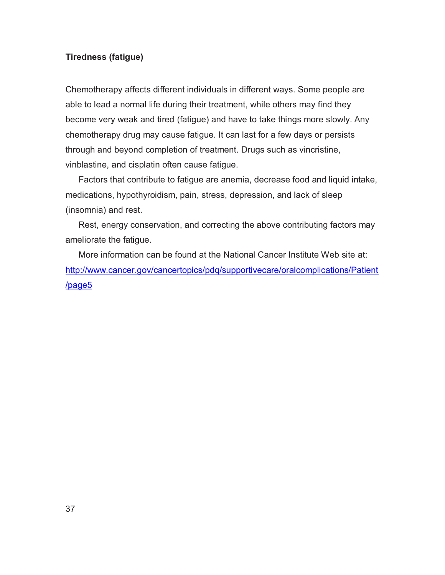## **Tiredness (fatigue)**

Chemotherapy affects different individuals in different ways. Some people are able to lead a normal life during their treatment, while others may find they become very weak and tired (fatigue) and have to take things more slowly. Any chemotherapy drug may cause fatigue. It can last for a few days or persists through and beyond completion of treatment. Drugs such as vincristine, vinblastine, and cisplatin often cause fatigue.

Factors that contribute to fatigue are anemia, decrease food and liquid intake, medications, hypothyroidism, pain, stress, depression, and lack of sleep (insomnia) and rest.

Rest, energy conservation, and correcting the above contributing factors may ameliorate the fatigue.

More information can be found at the National Cancer Institute Web site at: http://www.cancer.gov/cancertopics/pdq/supportivecare/oralcomplications/Patient /page5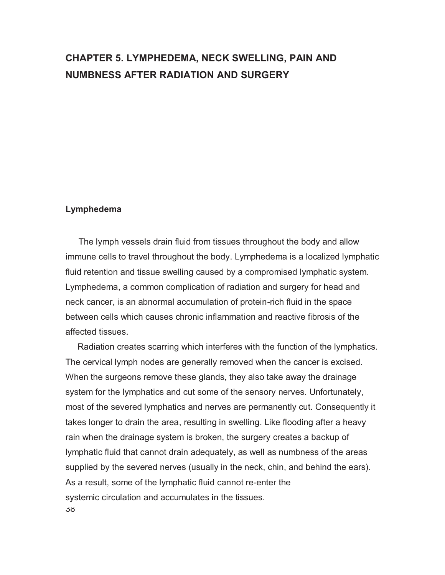# **CHAPTER 5. LYMPHEDEMA, NECK SWELLING, PAIN AND NUMBNESS AFTER RADIATION AND SURGERY**

#### **Lymphedema**

The lymph vessels drain fluid from tissues throughout the body and allow immune cells to travel throughout the body. Lymphedema is a localized lymphatic fluid retention and tissue swelling caused by a compromised lymphatic system. Lymphedema, a common complication of radiation and surgery for head and neck cancer, is an abnormal accumulation of protein-rich fluid in the space between cells which causes chronic inflammation and reactive fibrosis of the affected tissues.

38 Radiation creates scarring which interferes with the function of the lymphatics. The cervical lymph nodes are generally removed when the cancer is excised. When the surgeons remove these glands, they also take away the drainage system for the lymphatics and cut some of the sensory nerves. Unfortunately, most of the severed lymphatics and nerves are permanently cut. Consequently it takes longer to drain the area, resulting in swelling. Like flooding after a heavy rain when the drainage system is broken, the surgery creates a backup of lymphatic fluid that cannot drain adequately, as well as numbness of the areas supplied by the severed nerves (usually in the neck, chin, and behind the ears). As a result, some of the lymphatic fluid cannot re-enter the systemic circulation and accumulates in the tissues.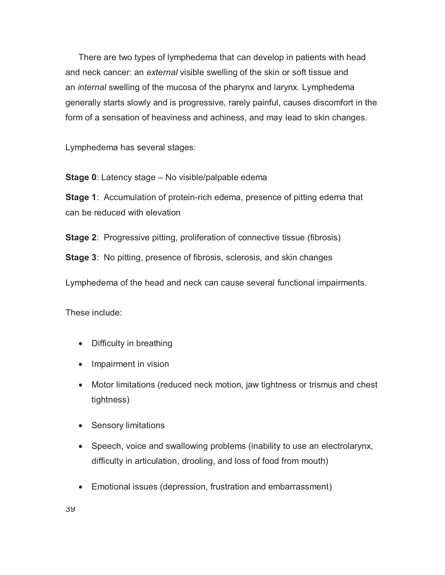There are two types of lymphedema that can develop in patients with head and neck cancer: an *external* visible swelling of the skin or soft tissue and an *internal* swelling of the mucosa of the pharynx and larynx. Lymphedema generally starts slowly and is progressive, rarely painful, causes discomfort in the form of a sensation of heaviness and achiness, and may lead to skin changes.

Lymphedema has several stages:

**Stage 0**: Latency stage – No visible/palpable edema

**Stage 1**: Accumulation of protein-rich edema, presence of pitting edema that can be reduced with elevation

**Stage 2:** Progressive pitting, proliferation of connective tissue (fibrosis)

**Stage 3**: No pitting, presence of fibrosis, sclerosis, and skin changes

Lymphedema of the head and neck can cause several functional impairments.

These include:

- Difficulty in breathing
- Impairment in vision
- Motor limitations (reduced neck motion, jaw tightness or trismus and chest tightness)
- **•** Sensory limitations
- Speech, voice and swallowing problems (inability to use an electrolarynx, difficulty in articulation, drooling, and loss of food from mouth)
- Emotional issues (depression, frustration and embarrassment)

39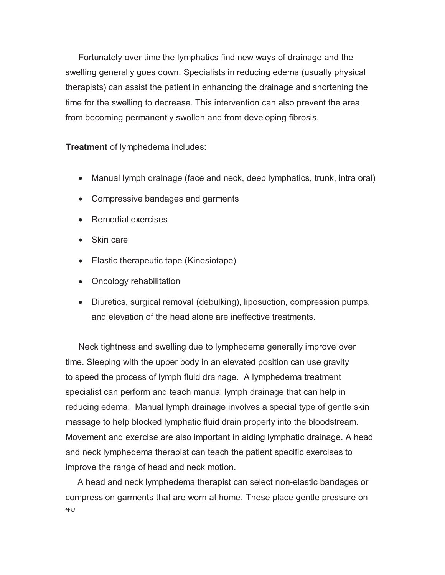Fortunately over time the lymphatics find new ways of drainage and the swelling generally goes down. Specialists in reducing edema (usually physical therapists) can assist the patient in enhancing the drainage and shortening the time for the swelling to decrease. This intervention can also prevent the area from becoming permanently swollen and from developing fibrosis.

**Treatment** of lymphedema includes:

- Manual lymph drainage (face and neck, deep lymphatics, trunk, intra oral)
- Compressive bandages and garments
- Remedial exercises
- Skin care
- Elastic therapeutic tape (Kinesiotape)
- Oncology rehabilitation
- Diuretics, surgical removal (debulking), liposuction, compression pumps, and elevation of the head alone are ineffective treatments.

Neck tightness and swelling due to lymphedema generally improve over time. Sleeping with the upper body in an elevated position can use gravity to speed the process of lymph fluid drainage. A lymphedema treatment specialist can perform and teach manual lymph drainage that can help in reducing edema. Manual lymph drainage involves a special type of gentle skin massage to help blocked lymphatic fluid drain properly into the bloodstream. Movement and exercise are also important in aiding lymphatic drainage. A head and neck lymphedema therapist can teach the patient specific exercises to improve the range of head and neck motion.

40 A head and neck lymphedema therapist can select non-elastic bandages or compression garments that are worn at home. These place gentle pressure on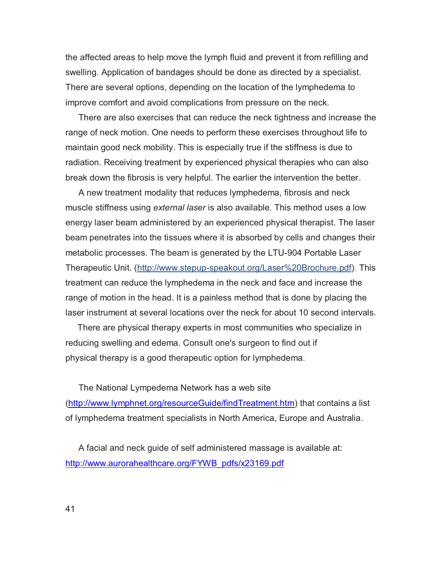the affected areas to help move the lymph fluid and prevent it from refilling and swelling. Application of bandages should be done as directed by a specialist. There are several options, depending on the location of the lymphedema to improve comfort and avoid complications from pressure on the neck.

There are also exercises that can reduce the neck tightness and increase the range of neck motion. One needs to perform these exercises throughout life to maintain good neck mobility. This is especially true if the stiffness is due to radiation. Receiving treatment by experienced physical therapies who can also break down the fibrosis is very helpful. The earlier the intervention the better.

A new treatment modality that reduces lymphedema, fibrosis and neck muscle stiffness using *external laser* is also available. This method uses a low energy laser beam administered by an experienced physical therapist. The laser beam penetrates into the tissues where it is absorbed by cells and changes their metabolic processes. The beam is generated by the LTU-904 Portable Laser Therapeutic Unit. (http://www.stepup-speakout.org/Laser%20Brochure.pdf). This treatment can reduce the lymphedema in the neck and face and increase the range of motion in the head. It is a painless method that is done by placing the laser instrument at several locations over the neck for about 10 second intervals.

 There are physical therapy experts in most communities who specialize in reducing swelling and edema. Consult one's surgeon to find out if physical therapy is a good therapeutic option for lymphedema.

The National Lympedema Network has a web site (http://www.lymphnet.org/resourceGuide/findTreatment.htm) that contains a list of lymphedema treatment specialists in North America, Europe and Australia.

A facial and neck guide of self administered massage is available at: http://www.aurorahealthcare.org/FYWB\_pdfs/x23169.pdf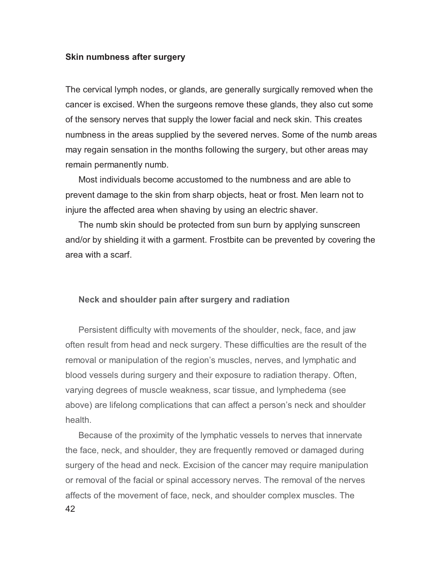#### **Skin numbness after surgery**

The cervical lymph nodes, or glands, are generally surgically removed when the cancer is excised. When the surgeons remove these glands, they also cut some of the sensory nerves that supply the lower facial and neck skin. This creates numbness in the areas supplied by the severed nerves. Some of the numb areas may regain sensation in the months following the surgery, but other areas may remain permanently numb.

Most individuals become accustomed to the numbness and are able to prevent damage to the skin from sharp objects, heat or frost. Men learn not to injure the affected area when shaving by using an electric shaver.

The numb skin should be protected from sun burn by applying sunscreen and/or by shielding it with a garment. Frostbite can be prevented by covering the area with a scarf.

#### **Neck and shoulder pain after surgery and radiation**

Persistent difficulty with movements of the shoulder, neck, face, and jaw often result from head and neck surgery. These difficulties are the result of the removal or manipulation of the region's muscles, nerves, and lymphatic and blood vessels during surgery and their exposure to radiation therapy. Often, varying degrees of muscle weakness, scar tissue, and lymphedema (see above) are lifelong complications that can affect a person's neck and shoulder health.

42 Because of the proximity of the lymphatic vessels to nerves that innervate the face, neck, and shoulder, they are frequently removed or damaged during surgery of the head and neck. Excision of the cancer may require manipulation or removal of the facial or spinal accessory nerves. The removal of the nerves affects of the movement of face, neck, and shoulder complex muscles. The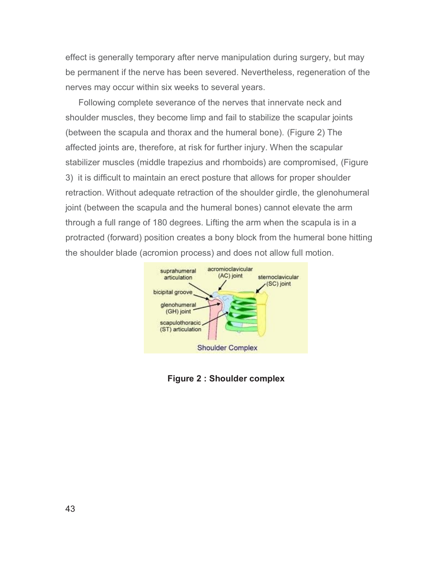effect is generally temporary after nerve manipulation during surgery, but may be permanent if the nerve has been severed. Nevertheless, regeneration of the nerves may occur within six weeks to several years.

Following complete severance of the nerves that innervate neck and shoulder muscles, they become limp and fail to stabilize the scapular joints (between the scapula and thorax and the humeral bone). (Figure 2) The affected joints are, therefore, at risk for further injury. When the scapular stabilizer muscles (middle trapezius and rhomboids) are compromised, (Figure 3) it is difficult to maintain an erect posture that allows for proper shoulder retraction. Without adequate retraction of the shoulder girdle, the glenohumeral joint (between the scapula and the humeral bones) cannot elevate the arm through a full range of 180 degrees. Lifting the arm when the scapula is in a protracted (forward) position creates a bony block from the humeral bone hitting the shoulder blade (acromion process) and does not allow full motion.



**Figure 2 : Shoulder complex**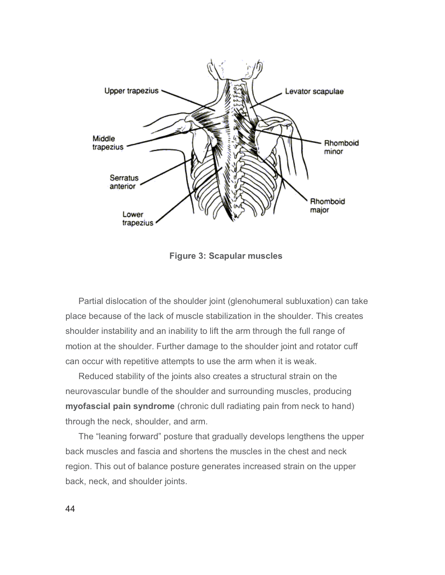

**Figure 3: Scapular muscles** 

Partial dislocation of the shoulder joint (glenohumeral subluxation) can take place because of the lack of muscle stabilization in the shoulder. This creates shoulder instability and an inability to lift the arm through the full range of motion at the shoulder. Further damage to the shoulder joint and rotator cuff can occur with repetitive attempts to use the arm when it is weak.

Reduced stability of the joints also creates a structural strain on the neurovascular bundle of the shoulder and surrounding muscles, producing **myofascial pain syndrome** (chronic dull radiating pain from neck to hand) through the neck, shoulder, and arm.

The "leaning forward" posture that gradually develops lengthens the upper back muscles and fascia and shortens the muscles in the chest and neck region. This out of balance posture generates increased strain on the upper back, neck, and shoulder joints.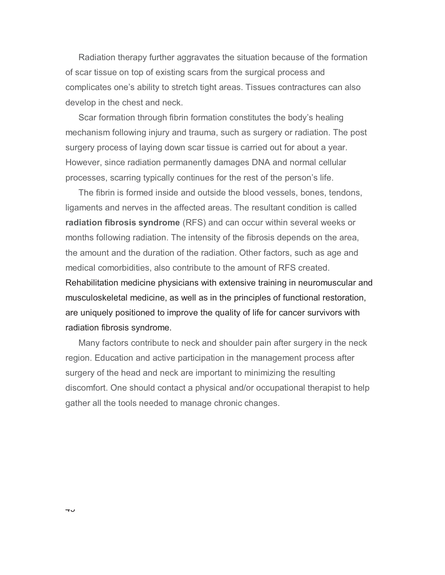Radiation therapy further aggravates the situation because of the formation of scar tissue on top of existing scars from the surgical process and complicates one's ability to stretch tight areas. Tissues contractures can also develop in the chest and neck.

Scar formation through fibrin formation constitutes the body's healing mechanism following injury and trauma, such as surgery or radiation. The post surgery process of laying down scar tissue is carried out for about a year. However, since radiation permanently damages DNA and normal cellular processes, scarring typically continues for the rest of the person's life.

The fibrin is formed inside and outside the blood vessels, bones, tendons, ligaments and nerves in the affected areas. The resultant condition is called **radiation fibrosis syndrome** (RFS) and can occur within several weeks or months following radiation. The intensity of the fibrosis depends on the area, the amount and the duration of the radiation. Other factors, such as age and medical comorbidities, also contribute to the amount of RFS created.

Rehabilitation medicine physicians with extensive training in neuromuscular and musculoskeletal medicine, as well as in the principles of functional restoration, are uniquely positioned to improve the quality of life for cancer survivors with radiation fibrosis syndrome.

Many factors contribute to neck and shoulder pain after surgery in the neck region. Education and active participation in the management process after surgery of the head and neck are important to minimizing the resulting discomfort. One should contact a physical and/or occupational therapist to help gather all the tools needed to manage chronic changes.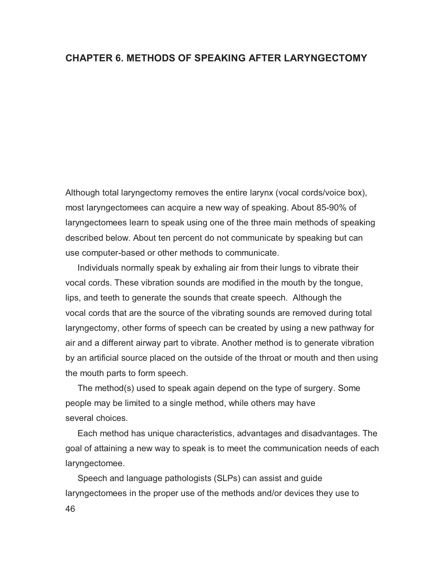## **CHAPTER 6. METHODS OF SPEAKING AFTER LARYNGECTOMY**

Although total laryngectomy removes the entire larynx (vocal cords/voice box), most laryngectomees can acquire a new way of speaking. About 85-90% of laryngectomees learn to speak using one of the three main methods of speaking described below. About ten percent do not communicate by speaking but can use computer-based or other methods to communicate.

 Individuals normally speak by exhaling air from their lungs to vibrate their vocal cords. These vibration sounds are modified in the mouth by the tongue, lips, and teeth to generate the sounds that create speech. Although the vocal cords that are the source of the vibrating sounds are removed during total laryngectomy, other forms of speech can be created by using a new pathway for air and a different airway part to vibrate. Another method is to generate vibration by an artificial source placed on the outside of the throat or mouth and then using the mouth parts to form speech.

 The method(s) used to speak again depend on the type of surgery. Some people may be limited to a single method, while others may have several choices.

 Each method has unique characteristics, advantages and disadvantages. The goal of attaining a new way to speak is to meet the communication needs of each laryngectomee.

46 Speech and language pathologists (SLPs) can assist and guide laryngectomees in the proper use of the methods and/or devices they use to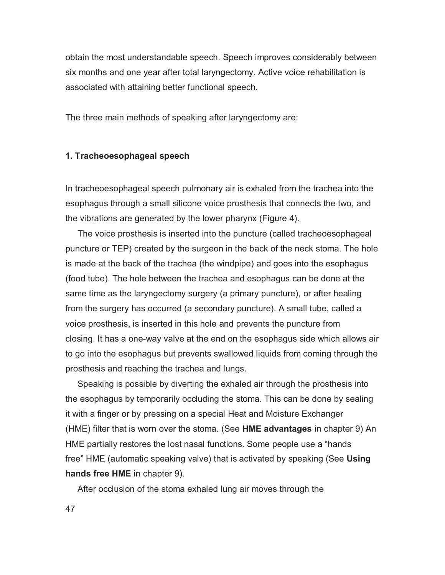obtain the most understandable speech. Speech improves considerably between six months and one year after total laryngectomy. Active voice rehabilitation is associated with attaining better functional speech.

The three main methods of speaking after laryngectomy are:

#### **1. Tracheoesophageal speech**

In tracheoesophageal speech pulmonary air is exhaled from the trachea into the esophagus through a small silicone voice prosthesis that connects the two, and the vibrations are generated by the lower pharynx (Figure 4).

 The voice prosthesis is inserted into the puncture (called tracheoesophageal puncture or TEP) created by the surgeon in the back of the neck stoma. The hole is made at the back of the trachea (the windpipe) and goes into the esophagus (food tube). The hole between the trachea and esophagus can be done at the same time as the laryngectomy surgery (a primary puncture), or after healing from the surgery has occurred (a secondary puncture). A small tube, called a voice prosthesis, is inserted in this hole and prevents the puncture from closing. It has a one-way valve at the end on the esophagus side which allows air to go into the esophagus but prevents swallowed liquids from coming through the prosthesis and reaching the trachea and lungs.

 Speaking is possible by diverting the exhaled air through the prosthesis into the esophagus by temporarily occluding the stoma. This can be done by sealing it with a finger or by pressing on a special Heat and Moisture Exchanger (HME) filter that is worn over the stoma. (See **HME advantages** in chapter 9) An HME partially restores the lost nasal functions. Some people use a "hands free" HME (automatic speaking valve) that is activated by speaking (See **Using hands free HME** in chapter 9).

After occlusion of the stoma exhaled lung air moves through the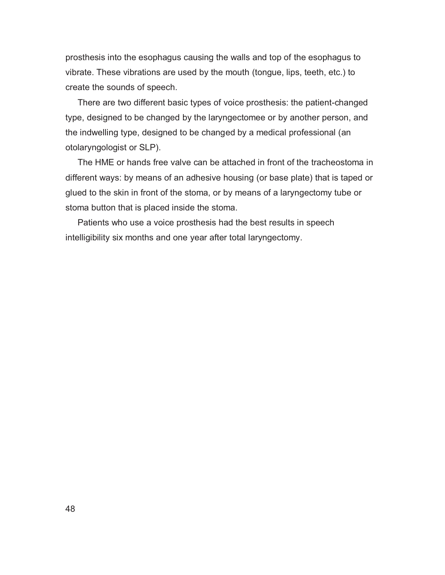prosthesis into the esophagus causing the walls and top of the esophagus to vibrate. These vibrations are used by the mouth (tongue, lips, teeth, etc.) to create the sounds of speech.

 There are two different basic types of voice prosthesis: the patient-changed type, designed to be changed by the laryngectomee or by another person, and the indwelling type, designed to be changed by a medical professional (an otolaryngologist or SLP).

 The HME or hands free valve can be attached in front of the tracheostoma in different ways: by means of an adhesive housing (or base plate) that is taped or glued to the skin in front of the stoma, or by means of a laryngectomy tube or stoma button that is placed inside the stoma.

 Patients who use a voice prosthesis had the best results in speech intelligibility six months and one year after total laryngectomy.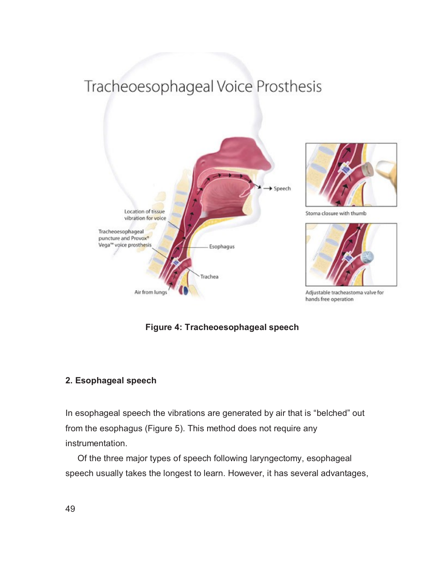# Tracheoesophageal Voice Prosthesis



**Figure 4: Tracheoesophageal speech** 

## **2. Esophageal speech**

In esophageal speech the vibrations are generated by air that is "belched" out from the esophagus (Figure 5). This method does not require any instrumentation.

 Of the three major types of speech following laryngectomy, esophageal speech usually takes the longest to learn. However, it has several advantages,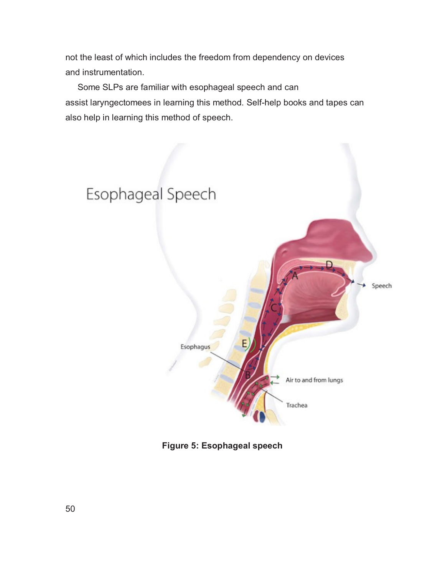not the least of which includes the freedom from dependency on devices and instrumentation.

 Some SLPs are familiar with esophageal speech and can assist laryngectomees in learning this method. Self-help books and tapes can also help in learning this method of speech.



**Figure 5: Esophageal speech**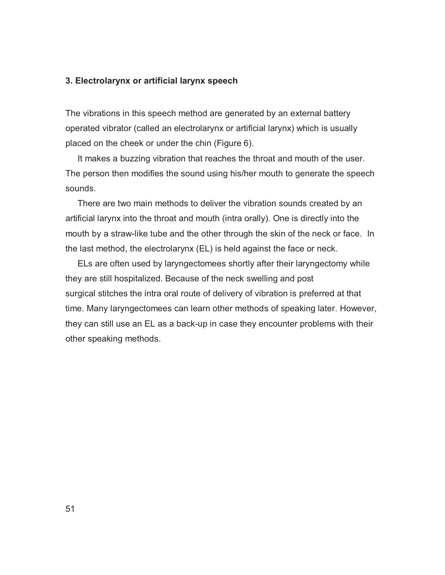#### **3. Electrolarynx or artificial larynx speech**

The vibrations in this speech method are generated by an external battery operated vibrator (called an electrolarynx or artificial larynx) which is usually placed on the cheek or under the chin (Figure 6).

 It makes a buzzing vibration that reaches the throat and mouth of the user. The person then modifies the sound using his/her mouth to generate the speech sounds.

 There are two main methods to deliver the vibration sounds created by an artificial larynx into the throat and mouth (intra orally). One is directly into the mouth by a straw-like tube and the other through the skin of the neck or face. In the last method, the electrolarynx (EL) is held against the face or neck.

 ELs are often used by laryngectomees shortly after their laryngectomy while they are still hospitalized. Because of the neck swelling and post surgical stitches the intra oral route of delivery of vibration is preferred at that time. Many laryngectomees can learn other methods of speaking later. However, they can still use an EL as a back-up in case they encounter problems with their other speaking methods.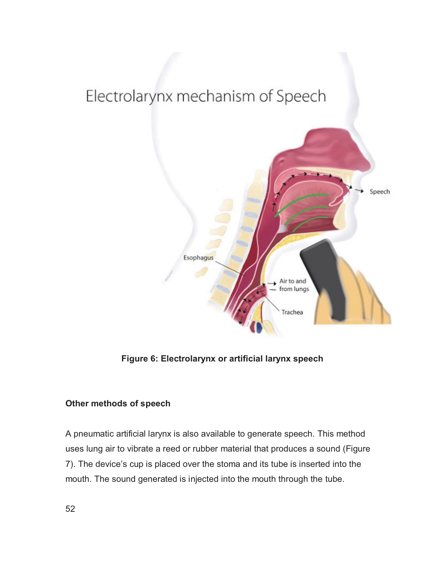

**Figure 6: Electrolarynx or artificial larynx speech**

## **Other methods of speech**

A pneumatic artificial larynx is also available to generate speech. This method uses lung air to vibrate a reed or rubber material that produces a sound (Figure 7). The device's cup is placed over the stoma and its tube is inserted into the mouth. The sound generated is injected into the mouth through the tube.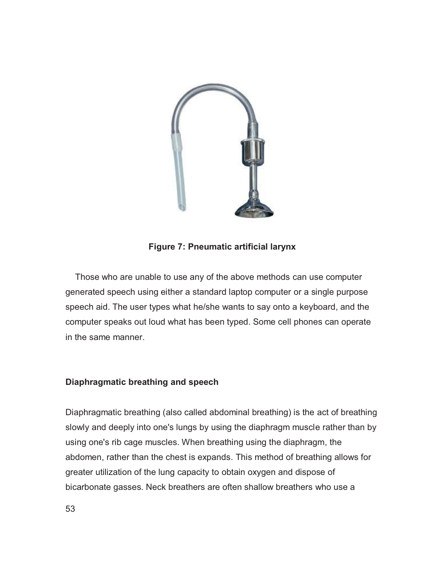

## **Figure 7: Pneumatic artificial larynx**

 Those who are unable to use any of the above methods can use computer generated speech using either a standard laptop computer or a single purpose speech aid. The user types what he/she wants to say onto a keyboard, and the computer speaks out loud what has been typed. Some cell phones can operate in the same manner.

## **Diaphragmatic breathing and speech**

Diaphragmatic breathing (also called abdominal breathing) is the act of breathing slowly and deeply into one's lungs by using the diaphragm muscle rather than by using one's rib cage muscles. When breathing using the diaphragm, the abdomen, rather than the chest is expands. This method of breathing allows for greater utilization of the lung capacity to obtain oxygen and dispose of bicarbonate gasses. Neck breathers are often shallow breathers who use a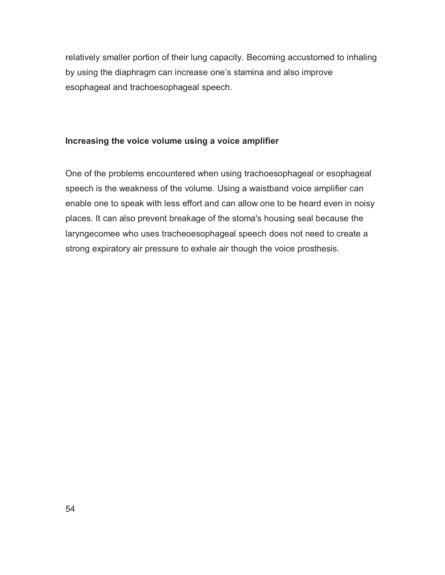relatively smaller portion of their lung capacity. Becoming accustomed to inhaling by using the diaphragm can increase one's stamina and also improve esophageal and trachoesophageal speech.

## **Increasing the voice volume using a voice amplifier**

One of the problems encountered when using trachoesophageal or esophageal speech is the weakness of the volume. Using a waistband voice amplifier can enable one to speak with less effort and can allow one to be heard even in noisy places. It can also prevent breakage of the stoma's housing seal because the laryngecomee who uses tracheoesophageal speech does not need to create a strong expiratory air pressure to exhale air though the voice prosthesis.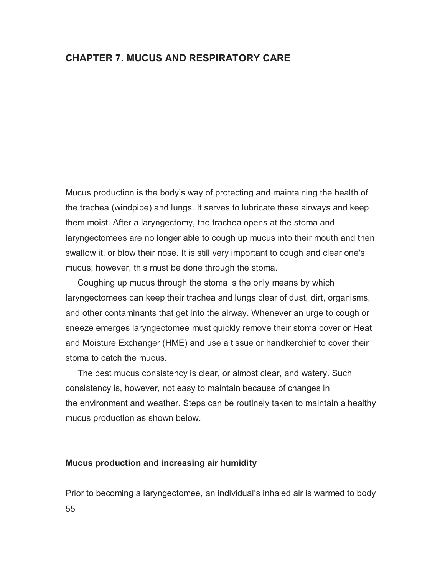## **CHAPTER 7. MUCUS AND RESPIRATORY CARE**

Mucus production is the body's way of protecting and maintaining the health of the trachea (windpipe) and lungs. It serves to lubricate these airways and keep them moist. After a laryngectomy, the trachea opens at the stoma and laryngectomees are no longer able to cough up mucus into their mouth and then swallow it, or blow their nose. It is still very important to cough and clear one's mucus; however, this must be done through the stoma.

 Coughing up mucus through the stoma is the only means by which laryngectomees can keep their trachea and lungs clear of dust, dirt, organisms, and other contaminants that get into the airway. Whenever an urge to cough or sneeze emerges laryngectomee must quickly remove their stoma cover or Heat and Moisture Exchanger (HME) and use a tissue or handkerchief to cover their stoma to catch the mucus.

 The best mucus consistency is clear, or almost clear, and watery. Such consistency is, however, not easy to maintain because of changes in the environment and weather. Steps can be routinely taken to maintain a healthy mucus production as shown below.

#### **Mucus production and increasing air humidity**

55 Prior to becoming a laryngectomee, an individual's inhaled air is warmed to body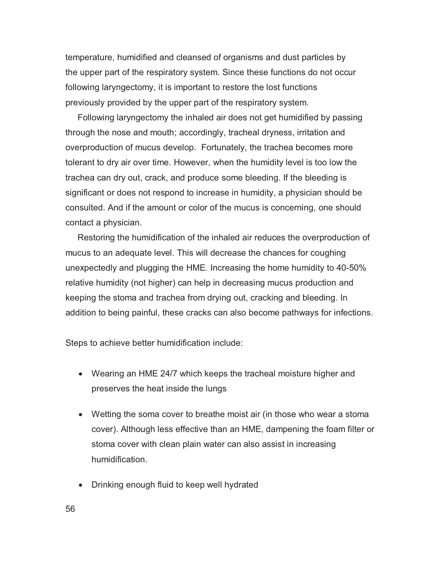temperature, humidified and cleansed of organisms and dust particles by the upper part of the respiratory system. Since these functions do not occur following laryngectomy, it is important to restore the lost functions previously provided by the upper part of the respiratory system.

 Following laryngectomy the inhaled air does not get humidified by passing through the nose and mouth; accordingly, tracheal dryness, irritation and overproduction of mucus develop. Fortunately, the trachea becomes more tolerant to dry air over time. However, when the humidity level is too low the trachea can dry out, crack, and produce some bleeding. If the bleeding is significant or does not respond to increase in humidity, a physician should be consulted. And if the amount or color of the mucus is concerning, one should contact a physician.

 Restoring the humidification of the inhaled air reduces the overproduction of mucus to an adequate level. This will decrease the chances for coughing unexpectedly and plugging the HME. Increasing the home humidity to 40-50% relative humidity (not higher) can help in decreasing mucus production and keeping the stoma and trachea from drying out, cracking and bleeding. In addition to being painful, these cracks can also become pathways for infections.

Steps to achieve better humidification include:

- Wearing an HME 24/7 which keeps the tracheal moisture higher and preserves the heat inside the lungs
- Wetting the soma cover to breathe moist air (in those who wear a stoma cover). Although less effective than an HME, dampening the foam filter or stoma cover with clean plain water can also assist in increasing humidification.
- Drinking enough fluid to keep well hydrated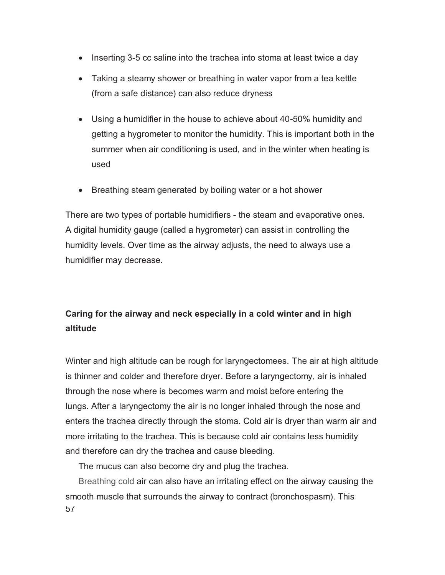- Inserting 3-5 cc saline into the trachea into stoma at least twice a day
- Taking a steamy shower or breathing in water vapor from a tea kettle (from a safe distance) can also reduce dryness
- Using a humidifier in the house to achieve about 40-50% humidity and getting a hygrometer to monitor the humidity. This is important both in the summer when air conditioning is used, and in the winter when heating is used
- Breathing steam generated by boiling water or a hot shower

There are two types of portable humidifiers - the steam and evaporative ones. A digital humidity gauge (called a hygrometer) can assist in controlling the humidity levels. Over time as the airway adjusts, the need to always use a humidifier may decrease.

# **Caring for the airway and neck especially in a cold winter and in high altitude**

Winter and high altitude can be rough for laryngectomees. The air at high altitude is thinner and colder and therefore dryer. Before a laryngectomy, air is inhaled through the nose where is becomes warm and moist before entering the lungs. After a laryngectomy the air is no longer inhaled through the nose and enters the trachea directly through the stoma. Cold air is dryer than warm air and more irritating to the trachea. This is because cold air contains less humidity and therefore can dry the trachea and cause bleeding.

The mucus can also become dry and plug the trachea.

 $5/$ Breathing cold air can also have an irritating effect on the airway causing the smooth muscle that surrounds the airway to contract (bronchospasm). This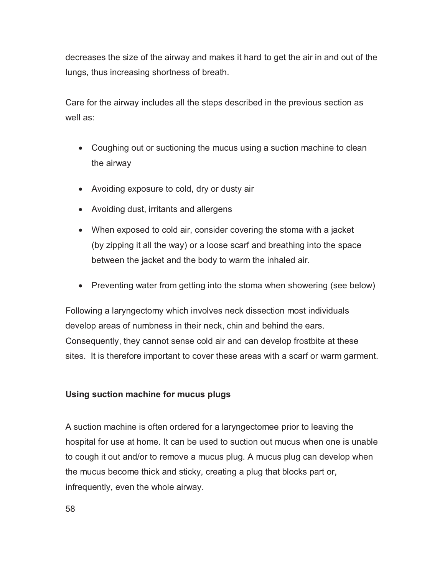decreases the size of the airway and makes it hard to get the air in and out of the lungs, thus increasing shortness of breath.

Care for the airway includes all the steps described in the previous section as well as:

- Coughing out or suctioning the mucus using a suction machine to clean the airway
- Avoiding exposure to cold, dry or dusty air
- Avoiding dust, irritants and allergens
- When exposed to cold air, consider covering the stoma with a jacket (by zipping it all the way) or a loose scarf and breathing into the space between the jacket and the body to warm the inhaled air.
- Preventing water from getting into the stoma when showering (see below)

Following a laryngectomy which involves neck dissection most individuals develop areas of numbness in their neck, chin and behind the ears. Consequently, they cannot sense cold air and can develop frostbite at these sites. It is therefore important to cover these areas with a scarf or warm garment.

## **Using suction machine for mucus plugs**

A suction machine is often ordered for a laryngectomee prior to leaving the hospital for use at home. It can be used to suction out mucus when one is unable to cough it out and/or to remove a mucus plug. A mucus plug can develop when the mucus become thick and sticky, creating a plug that blocks part or, infrequently, even the whole airway.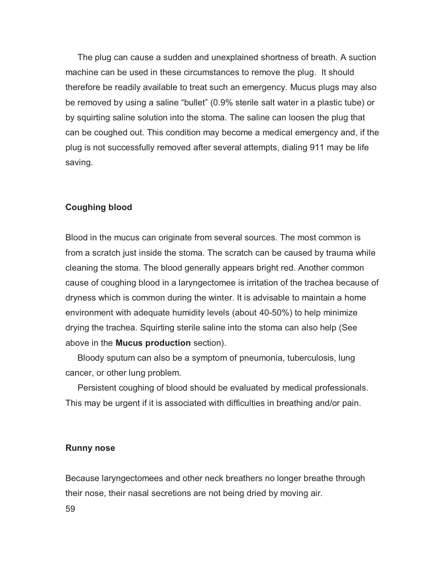The plug can cause a sudden and unexplained shortness of breath. A suction machine can be used in these circumstances to remove the plug. It should therefore be readily available to treat such an emergency. Mucus plugs may also be removed by using a saline "bullet" (0.9% sterile salt water in a plastic tube) or by squirting saline solution into the stoma. The saline can loosen the plug that can be coughed out. This condition may become a medical emergency and, if the plug is not successfully removed after several attempts, dialing 911 may be life saving.

#### **Coughing blood**

Blood in the mucus can originate from several sources. The most common is from a scratch just inside the stoma. The scratch can be caused by trauma while cleaning the stoma. The blood generally appears bright red. Another common cause of coughing blood in a laryngectomee is irritation of the trachea because of dryness which is common during the winter. It is advisable to maintain a home environment with adequate humidity levels (about 40-50%) to help minimize drying the trachea. Squirting sterile saline into the stoma can also help (See above in the **Mucus production** section).

 Bloody sputum can also be a symptom of pneumonia, tuberculosis, lung cancer, or other lung problem.

 Persistent coughing of blood should be evaluated by medical professionals. This may be urgent if it is associated with difficulties in breathing and/or pain.

#### **Runny nose**

Because laryngectomees and other neck breathers no longer breathe through their nose, their nasal secretions are not being dried by moving air.

59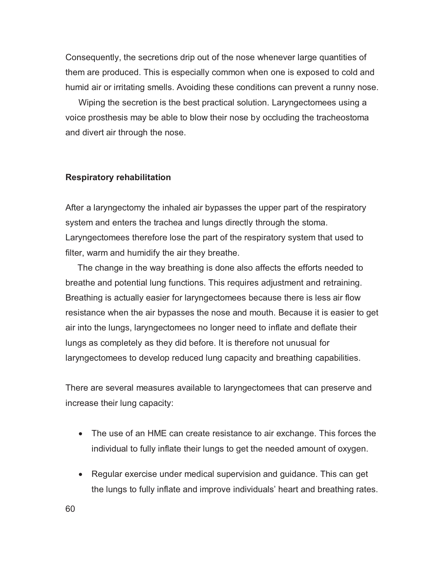Consequently, the secretions drip out of the nose whenever large quantities of them are produced. This is especially common when one is exposed to cold and humid air or irritating smells. Avoiding these conditions can prevent a runny nose.

Wiping the secretion is the best practical solution. Laryngectomees using a voice prosthesis may be able to blow their nose by occluding the tracheostoma and divert air through the nose.

#### **Respiratory rehabilitation**

After a laryngectomy the inhaled air bypasses the upper part of the respiratory system and enters the trachea and lungs directly through the stoma. Laryngectomees therefore lose the part of the respiratory system that used to filter, warm and humidify the air they breathe.

 The change in the way breathing is done also affects the efforts needed to breathe and potential lung functions. This requires adjustment and retraining. Breathing is actually easier for laryngectomees because there is less air flow resistance when the air bypasses the nose and mouth. Because it is easier to get air into the lungs, laryngectomees no longer need to inflate and deflate their lungs as completely as they did before. It is therefore not unusual for laryngectomees to develop reduced lung capacity and breathing capabilities.

There are several measures available to laryngectomees that can preserve and increase their lung capacity:

- The use of an HME can create resistance to air exchange. This forces the individual to fully inflate their lungs to get the needed amount of oxygen.
- Regular exercise under medical supervision and guidance. This can get the lungs to fully inflate and improve individuals' heart and breathing rates.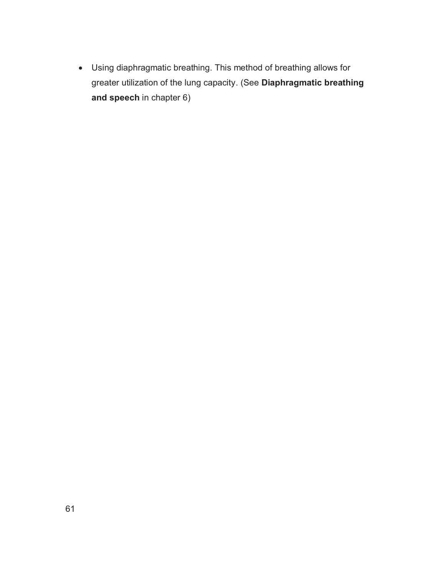- Using diaphragmatic breathing. This method of breathing allows for greater utilization of the lung capacity. (See **Diaphragmatic breathing and speech** in chapter 6)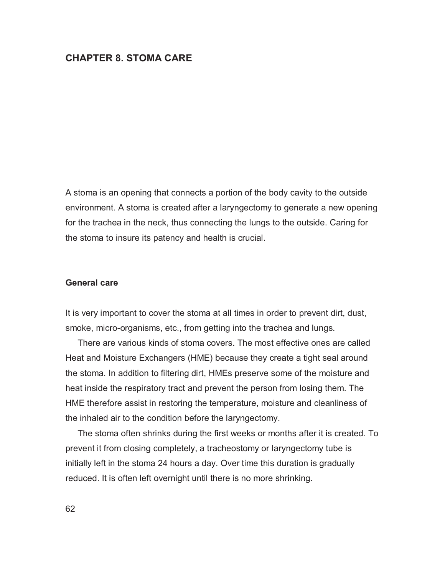## **CHAPTER 8. STOMA CARE**

A stoma is an opening that connects a portion of the body cavity to the outside environment. A stoma is created after a laryngectomy to generate a new opening for the trachea in the neck, thus connecting the lungs to the outside. Caring for the stoma to insure its patency and health is crucial.

#### **General care**

It is very important to cover the stoma at all times in order to prevent dirt, dust, smoke, micro-organisms, etc., from getting into the trachea and lungs.

 There are various kinds of stoma covers. The most effective ones are called Heat and Moisture Exchangers (HME) because they create a tight seal around the stoma. In addition to filtering dirt, HMEs preserve some of the moisture and heat inside the respiratory tract and prevent the person from losing them. The HME therefore assist in restoring the temperature, moisture and cleanliness of the inhaled air to the condition before the laryngectomy.

 The stoma often shrinks during the first weeks or months after it is created. To prevent it from closing completely, a tracheostomy or laryngectomy tube is initially left in the stoma 24 hours a day. Over time this duration is gradually reduced. It is often left overnight until there is no more shrinking.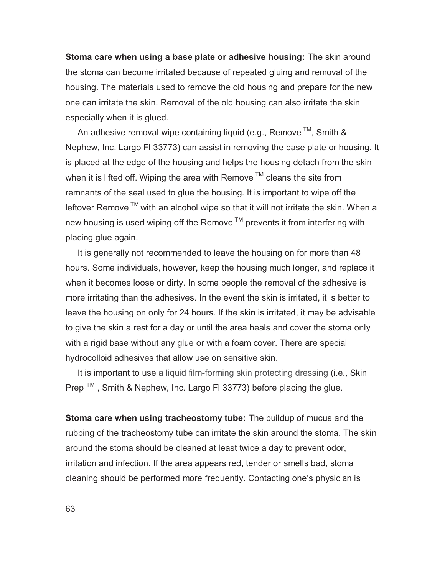**Stoma care when using a base plate or adhesive housing:** The skin around the stoma can become irritated because of repeated gluing and removal of the housing. The materials used to remove the old housing and prepare for the new one can irritate the skin. Removal of the old housing can also irritate the skin especially when it is glued.

An adhesive removal wipe containing liquid (e.g., Remove  $TM$ , Smith & Nephew, Inc. Largo Fl 33773) can assist in removing the base plate or housing. It is placed at the edge of the housing and helps the housing detach from the skin when it is lifted off. Wiping the area with Remove  $TM$  cleans the site from remnants of the seal used to glue the housing. It is important to wipe off the leftover Remove  $TM$  with an alcohol wipe so that it will not irritate the skin. When a new housing is used wiping off the Remove<sup>™</sup> prevents it from interfering with placing glue again.

 It is generally not recommended to leave the housing on for more than 48 hours. Some individuals, however, keep the housing much longer, and replace it when it becomes loose or dirty. In some people the removal of the adhesive is more irritating than the adhesives. In the event the skin is irritated, it is better to leave the housing on only for 24 hours. If the skin is irritated, it may be advisable to give the skin a rest for a day or until the area heals and cover the stoma only with a rigid base without any glue or with a foam cover. There are special hydrocolloid adhesives that allow use on sensitive skin.

 It is important to use a liquid film-forming skin protecting dressing (i.e., Skin Prep  $TM$ , Smith & Nephew, Inc. Largo FI 33773) before placing the glue.

**Stoma care when using tracheostomy tube:** The buildup of mucus and the rubbing of the tracheostomy tube can irritate the skin around the stoma. The skin around the stoma should be cleaned at least twice a day to prevent odor, irritation and infection. If the area appears red, tender or smells bad, stoma cleaning should be performed more frequently. Contacting one's physician is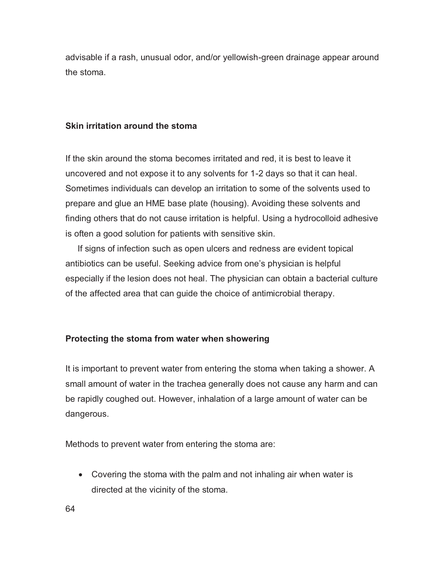advisable if a rash, unusual odor, and/or yellowish-green drainage appear around the stoma.

### **Skin irritation around the stoma**

If the skin around the stoma becomes irritated and red, it is best to leave it uncovered and not expose it to any solvents for 1-2 days so that it can heal. Sometimes individuals can develop an irritation to some of the solvents used to prepare and glue an HME base plate (housing). Avoiding these solvents and finding others that do not cause irritation is helpful. Using a hydrocolloid adhesive is often a good solution for patients with sensitive skin.

 If signs of infection such as open ulcers and redness are evident topical antibiotics can be useful. Seeking advice from one's physician is helpful especially if the lesion does not heal. The physician can obtain a bacterial culture of the affected area that can guide the choice of antimicrobial therapy.

## **Protecting the stoma from water when showering**

It is important to prevent water from entering the stoma when taking a shower. A small amount of water in the trachea generally does not cause any harm and can be rapidly coughed out. However, inhalation of a large amount of water can be dangerous.

Methods to prevent water from entering the stoma are:

- Covering the stoma with the palm and not inhaling air when water is directed at the vicinity of the stoma.

64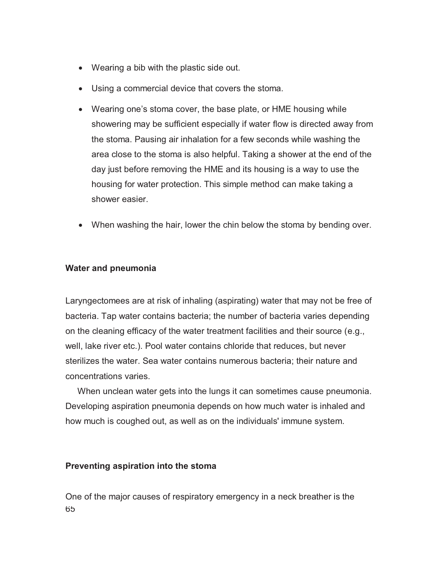- Wearing a bib with the plastic side out.
- Using a commercial device that covers the stoma.
- Wearing one's stoma cover, the base plate, or HME housing while showering may be sufficient especially if water flow is directed away from the stoma. Pausing air inhalation for a few seconds while washing the area close to the stoma is also helpful. Taking a shower at the end of the day just before removing the HME and its housing is a way to use the housing for water protection. This simple method can make taking a shower easier.
- When washing the hair, lower the chin below the stoma by bending over.

## **Water and pneumonia**

Laryngectomees are at risk of inhaling (aspirating) water that may not be free of bacteria. Tap water contains bacteria; the number of bacteria varies depending on the cleaning efficacy of the water treatment facilities and their source (e.g., well, lake river etc.). Pool water contains chloride that reduces, but never sterilizes the water. Sea water contains numerous bacteria; their nature and concentrations varies.

 When unclean water gets into the lungs it can sometimes cause pneumonia. Developing aspiration pneumonia depends on how much water is inhaled and how much is coughed out, as well as on the individuals' immune system.

## **Preventing aspiration into the stoma**

65 One of the major causes of respiratory emergency in a neck breather is the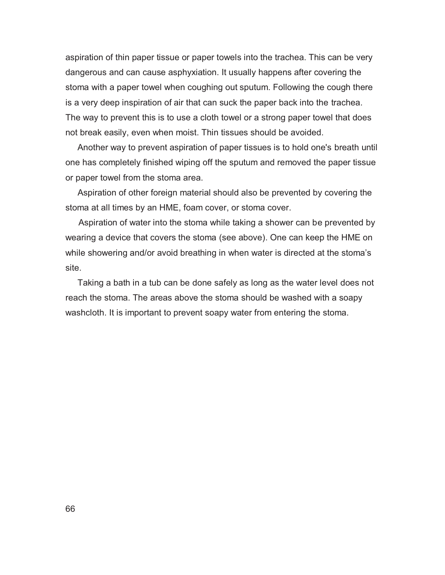aspiration of thin paper tissue or paper towels into the trachea. This can be very dangerous and can cause asphyxiation. It usually happens after covering the stoma with a paper towel when coughing out sputum. Following the cough there is a very deep inspiration of air that can suck the paper back into the trachea. The way to prevent this is to use a cloth towel or a strong paper towel that does not break easily, even when moist. Thin tissues should be avoided.

 Another way to prevent aspiration of paper tissues is to hold one's breath until one has completely finished wiping off the sputum and removed the paper tissue or paper towel from the stoma area.

 Aspiration of other foreign material should also be prevented by covering the stoma at all times by an HME, foam cover, or stoma cover.

Aspiration of water into the stoma while taking a shower can be prevented by wearing a device that covers the stoma (see above). One can keep the HME on while showering and/or avoid breathing in when water is directed at the stoma's site.

 Taking a bath in a tub can be done safely as long as the water level does not reach the stoma. The areas above the stoma should be washed with a soapy washcloth. It is important to prevent soapy water from entering the stoma.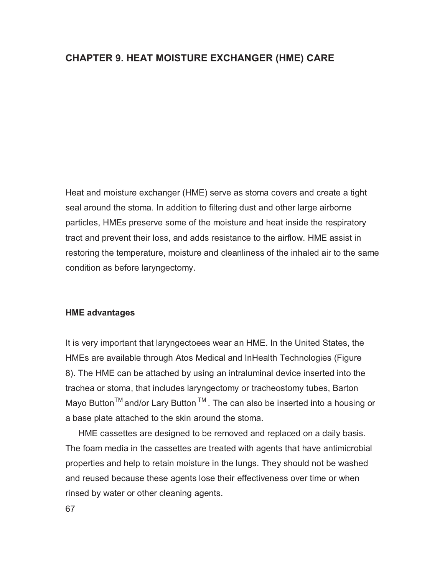## **CHAPTER 9. HEAT MOISTURE EXCHANGER (HME) CARE**

Heat and moisture exchanger (HME) serve as stoma covers and create a tight seal around the stoma. In addition to filtering dust and other large airborne particles, HMEs preserve some of the moisture and heat inside the respiratory tract and prevent their loss, and adds resistance to the airflow. HME assist in restoring the temperature, moisture and cleanliness of the inhaled air to the same condition as before laryngectomy.

#### **HME advantages**

It is very important that laryngectoees wear an HME. In the United States, the HMEs are available through Atos Medical and InHealth Technologies (Figure 8). The HME can be attached by using an intraluminal device inserted into the trachea or stoma, that includes laryngectomy or tracheostomy tubes, Barton Mayo Button<sup>™</sup> and/or Lary Button<sup>™</sup>. The can also be inserted into a housing or a base plate attached to the skin around the stoma.

HME cassettes are designed to be removed and replaced on a daily basis. The foam media in the cassettes are treated with agents that have antimicrobial properties and help to retain moisture in the lungs. They should not be washed and reused because these agents lose their effectiveness over time or when rinsed by water or other cleaning agents.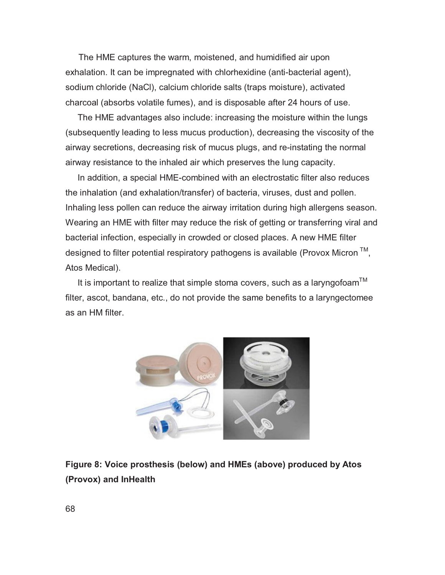The HME captures the warm, moistened, and humidified air upon exhalation. It can be impregnated with chlorhexidine (anti-bacterial agent), sodium chloride (NaCl), calcium chloride salts (traps moisture), activated charcoal (absorbs volatile fumes), and is disposable after 24 hours of use.

 The HME advantages also include: increasing the moisture within the lungs (subsequently leading to less mucus production), decreasing the viscosity of the airway secretions, decreasing risk of mucus plugs, and re-instating the normal airway resistance to the inhaled air which preserves the lung capacity.

 In addition, a special HME-combined with an electrostatic filter also reduces the inhalation (and exhalation/transfer) of bacteria, viruses, dust and pollen. Inhaling less pollen can reduce the airway irritation during high allergens season. Wearing an HME with filter may reduce the risk of getting or transferring viral and bacterial infection, especially in crowded or closed places. A new HME filter designed to filter potential respiratory pathogens is available (Provox Micron  $TM$ , Atos Medical).

It is important to realize that simple stoma covers, such as a laryngofoam  $M$ filter, ascot, bandana, etc., do not provide the same benefits to a laryngectomee as an HM filter.



# **Figure 8: Voice prosthesis (below) and HMEs (above) produced by Atos (Provox) and InHealth**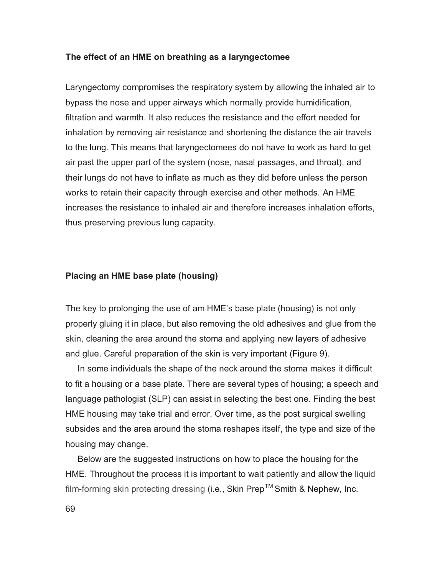#### **The effect of an HME on breathing as a laryngectomee**

Laryngectomy compromises the respiratory system by allowing the inhaled air to bypass the nose and upper airways which normally provide humidification, filtration and warmth. It also reduces the resistance and the effort needed for inhalation by removing air resistance and shortening the distance the air travels to the lung. This means that laryngectomees do not have to work as hard to get air past the upper part of the system (nose, nasal passages, and throat), and their lungs do not have to inflate as much as they did before unless the person works to retain their capacity through exercise and other methods. An HME increases the resistance to inhaled air and therefore increases inhalation efforts, thus preserving previous lung capacity.

#### **Placing an HME base plate (housing)**

The key to prolonging the use of am HME's base plate (housing) is not only properly gluing it in place, but also removing the old adhesives and glue from the skin, cleaning the area around the stoma and applying new layers of adhesive and glue. Careful preparation of the skin is very important (Figure 9).

 In some individuals the shape of the neck around the stoma makes it difficult to fit a housing or a base plate. There are several types of housing; a speech and language pathologist (SLP) can assist in selecting the best one. Finding the best HME housing may take trial and error. Over time, as the post surgical swelling subsides and the area around the stoma reshapes itself, the type and size of the housing may change.

 Below are the suggested instructions on how to place the housing for the HME. Throughout the process it is important to wait patiently and allow the liquid film-forming skin protecting dressing (i.e., Skin Prep<sup>TM</sup> Smith & Nephew, Inc.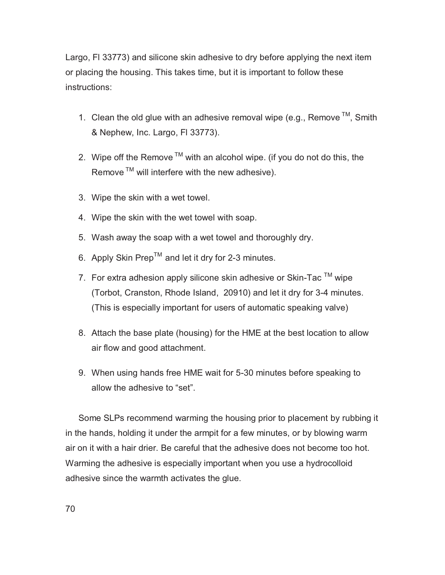Largo, Fl 33773) and silicone skin adhesive to dry before applying the next item or placing the housing. This takes time, but it is important to follow these instructions:

- 1. Clean the old glue with an adhesive removal wipe (e.g., Remove  $TM$ , Smith & Nephew, Inc. Largo, Fl 33773).
- 2. Wipe off the Remove  $TM$  with an alcohol wipe. (if you do not do this, the Remove  $TM$  will interfere with the new adhesive).
- 3. Wipe the skin with a wet towel.
- 4. Wipe the skin with the wet towel with soap.
- 5. Wash away the soap with a wet towel and thoroughly dry.
- 6. Apply Skin Prep<sup>TM</sup> and let it dry for 2-3 minutes.
- 7. For extra adhesion apply silicone skin adhesive or Skin-Tac  $\textsuperscript{TM}$  wipe (Torbot, Cranston, Rhode Island, 20910) and let it dry for 3-4 minutes. (This is especially important for users of automatic speaking valve)
- 8. Attach the base plate (housing) for the HME at the best location to allow air flow and good attachment.
- 9. When using hands free HME wait for 5-30 minutes before speaking to allow the adhesive to "set".

Some SLPs recommend warming the housing prior to placement by rubbing it in the hands, holding it under the armpit for a few minutes, or by blowing warm air on it with a hair drier. Be careful that the adhesive does not become too hot. Warming the adhesive is especially important when you use a hydrocolloid adhesive since the warmth activates the glue.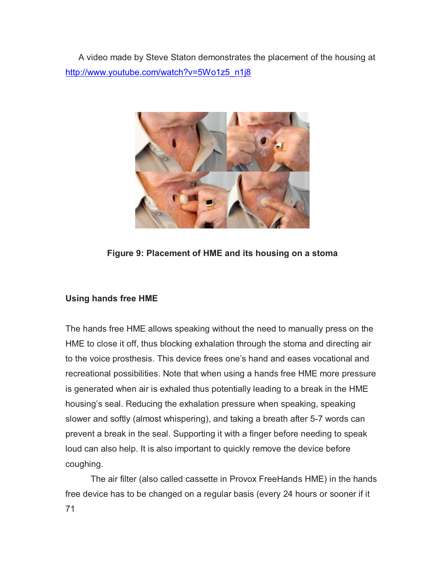A video made by Steve Staton demonstrates the placement of the housing at http://www.youtube.com/watch?v=5Wo1z5\_n1j8



**Figure 9: Placement of HME and its housing on a stoma** 

## **Using hands free HME**

The hands free HME allows speaking without the need to manually press on the HME to close it off, thus blocking exhalation through the stoma and directing air to the voice prosthesis. This device frees one's hand and eases vocational and recreational possibilities. Note that when using a hands free HME more pressure is generated when air is exhaled thus potentially leading to a break in the HME housing's seal. Reducing the exhalation pressure when speaking, speaking slower and softly (almost whispering), and taking a breath after 5-7 words can prevent a break in the seal. Supporting it with a finger before needing to speak loud can also help. It is also important to quickly remove the device before coughing.

71 The air filter (also called cassette in Provox FreeHands HME) in the hands free device has to be changed on a regular basis (every 24 hours or sooner if it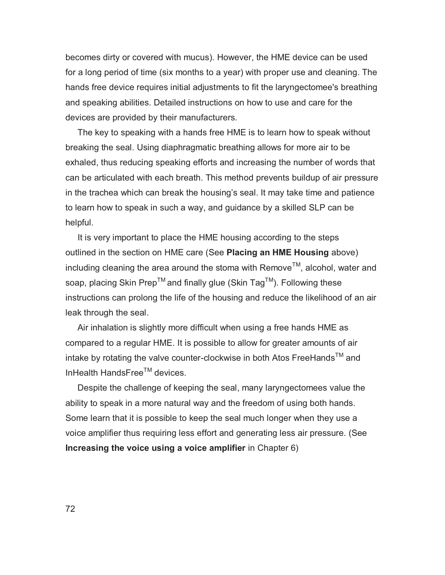becomes dirty or covered with mucus). However, the HME device can be used for a long period of time (six months to a year) with proper use and cleaning. The hands free device requires initial adjustments to fit the laryngectomee's breathing and speaking abilities. Detailed instructions on how to use and care for the devices are provided by their manufacturers.

 The key to speaking with a hands free HME is to learn how to speak without breaking the seal. Using diaphragmatic breathing allows for more air to be exhaled, thus reducing speaking efforts and increasing the number of words that can be articulated with each breath. This method prevents buildup of air pressure in the trachea which can break the housing's seal. It may take time and patience to learn how to speak in such a way, and guidance by a skilled SLP can be helpful.

 It is very important to place the HME housing according to the steps outlined in the section on HME care (See **Placing an HME Housing** above) including cleaning the area around the stoma with Remove<sup>IM</sup>, alcohol, water and soap, placing Skin Prep<sup>TM</sup> and finally glue (Skin Tag<sup>TM</sup>). Following these instructions can prolong the life of the housing and reduce the likelihood of an air leak through the seal.

 Air inhalation is slightly more difficult when using a free hands HME as compared to a regular HME. It is possible to allow for greater amounts of air intake by rotating the valve counter-clockwise in both Atos FreeHands™ and InHealth HandsFree $<sup>TM</sup>$  devices.</sup>

 Despite the challenge of keeping the seal, many laryngectomees value the ability to speak in a more natural way and the freedom of using both hands. Some learn that it is possible to keep the seal much longer when they use a voice amplifier thus requiring less effort and generating less air pressure. (See **Increasing the voice using a voice amplifier** in Chapter 6)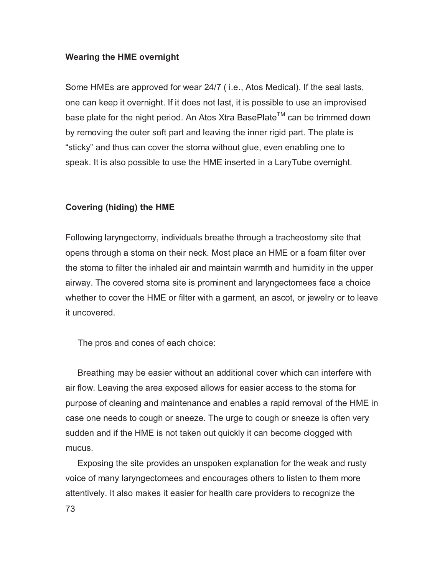## **Wearing the HME overnight**

Some HMEs are approved for wear 24/7 ( i.e., Atos Medical). If the seal lasts, one can keep it overnight. If it does not last, it is possible to use an improvised base plate for the night period. An Atos Xtra BasePlate<sup>TM</sup> can be trimmed down by removing the outer soft part and leaving the inner rigid part. The plate is "sticky" and thus can cover the stoma without glue, even enabling one to speak. It is also possible to use the HME inserted in a LaryTube overnight.

# **Covering (hiding) the HME**

Following laryngectomy, individuals breathe through a tracheostomy site that opens through a stoma on their neck. Most place an HME or a foam filter over the stoma to filter the inhaled air and maintain warmth and humidity in the upper airway. The covered stoma site is prominent and laryngectomees face a choice whether to cover the HME or filter with a garment, an ascot, or jewelry or to leave it uncovered.

The pros and cones of each choice:

 Breathing may be easier without an additional cover which can interfere with air flow. Leaving the area exposed allows for easier access to the stoma for purpose of cleaning and maintenance and enables a rapid removal of the HME in case one needs to cough or sneeze. The urge to cough or sneeze is often very sudden and if the HME is not taken out quickly it can become clogged with mucus.

73 Exposing the site provides an unspoken explanation for the weak and rusty voice of many laryngectomees and encourages others to listen to them more attentively. It also makes it easier for health care providers to recognize the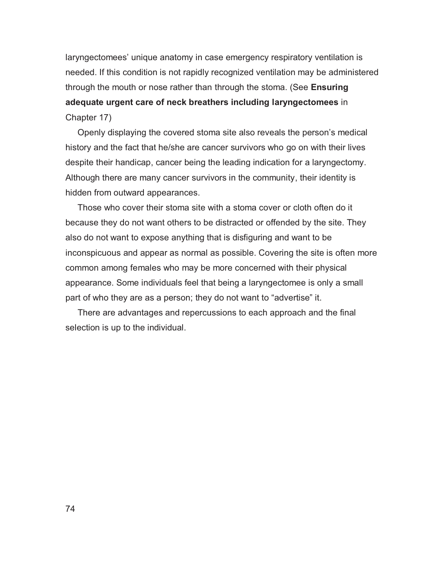laryngectomees' unique anatomy in case emergency respiratory ventilation is needed. If this condition is not rapidly recognized ventilation may be administered through the mouth or nose rather than through the stoma. (See **Ensuring adequate urgent care of neck breathers including laryngectomees** in Chapter 17)

 Openly displaying the covered stoma site also reveals the person's medical history and the fact that he/she are cancer survivors who go on with their lives despite their handicap, cancer being the leading indication for a laryngectomy. Although there are many cancer survivors in the community, their identity is hidden from outward appearances.

 Those who cover their stoma site with a stoma cover or cloth often do it because they do not want others to be distracted or offended by the site. They also do not want to expose anything that is disfiguring and want to be inconspicuous and appear as normal as possible. Covering the site is often more common among females who may be more concerned with their physical appearance. Some individuals feel that being a laryngectomee is only a small part of who they are as a person; they do not want to "advertise" it.

 There are advantages and repercussions to each approach and the final selection is up to the individual.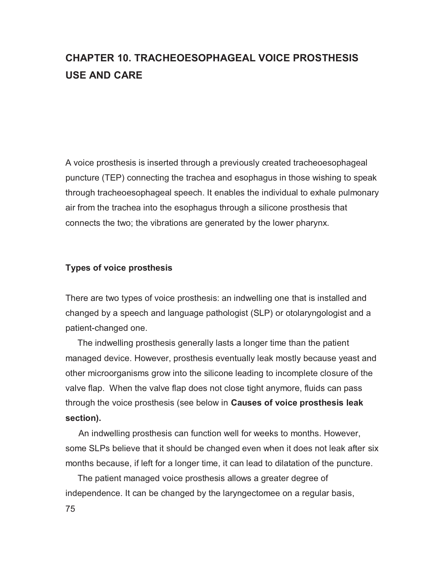# **CHAPTER 10. TRACHEOESOPHAGEAL VOICE PROSTHESIS USE AND CARE**

A voice prosthesis is inserted through a previously created tracheoesophageal puncture (TEP) connecting the trachea and esophagus in those wishing to speak through tracheoesophageal speech. It enables the individual to exhale pulmonary air from the trachea into the esophagus through a silicone prosthesis that connects the two; the vibrations are generated by the lower pharynx.

## **Types of voice prosthesis**

There are two types of voice prosthesis: an indwelling one that is installed and changed by a speech and language pathologist (SLP) or otolaryngologist and a patient-changed one.

 The indwelling prosthesis generally lasts a longer time than the patient managed device. However, prosthesis eventually leak mostly because yeast and other microorganisms grow into the silicone leading to incomplete closure of the valve flap. When the valve flap does not close tight anymore, fluids can pass through the voice prosthesis (see below in **Causes of voice prosthesis leak section).**

An indwelling prosthesis can function well for weeks to months. However, some SLPs believe that it should be changed even when it does not leak after six months because, if left for a longer time, it can lead to dilatation of the puncture.

 The patient managed voice prosthesis allows a greater degree of independence. It can be changed by the laryngectomee on a regular basis,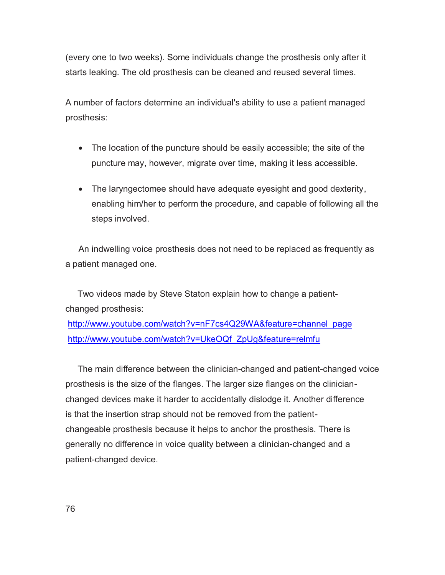(every one to two weeks). Some individuals change the prosthesis only after it starts leaking. The old prosthesis can be cleaned and reused several times.

A number of factors determine an individual's ability to use a patient managed prosthesis:

- The location of the puncture should be easily accessible; the site of the puncture may, however, migrate over time, making it less accessible.
- The laryngectomee should have adequate eyesight and good dexterity, enabling him/her to perform the procedure, and capable of following all the steps involved.

An indwelling voice prosthesis does not need to be replaced as frequently as a patient managed one.

 Two videos made by Steve Staton explain how to change a patientchanged prosthesis:

http://www.youtube.com/watch?v=nF7cs4Q29WA&feature=channel\_page http://www.youtube.com/watch?v=UkeOQf\_ZpUg&feature=relmfu

 The main difference between the clinician-changed and patient-changed voice prosthesis is the size of the flanges. The larger size flanges on the clinicianchanged devices make it harder to accidentally dislodge it. Another difference is that the insertion strap should not be removed from the patientchangeable prosthesis because it helps to anchor the prosthesis. There is generally no difference in voice quality between a clinician-changed and a patient-changed device.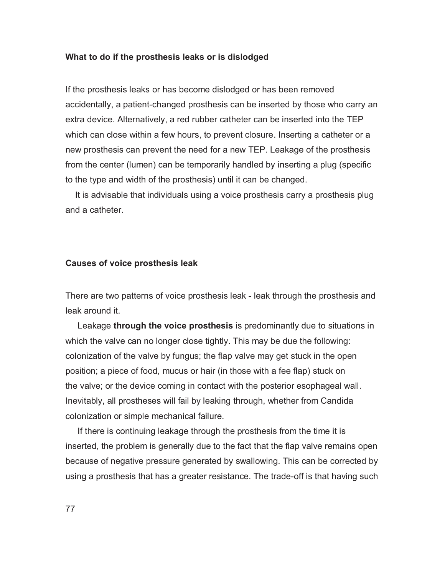#### **What to do if the prosthesis leaks or is dislodged**

If the prosthesis leaks or has become dislodged or has been removed accidentally, a patient-changed prosthesis can be inserted by those who carry an extra device. Alternatively, a red rubber catheter can be inserted into the TEP which can close within a few hours, to prevent closure. Inserting a catheter or a new prosthesis can prevent the need for a new TEP. Leakage of the prosthesis from the center (lumen) can be temporarily handled by inserting a plug (specific to the type and width of the prosthesis) until it can be changed.

 It is advisable that individuals using a voice prosthesis carry a prosthesis plug and a catheter.

## **Causes of voice prosthesis leak**

There are two patterns of voice prosthesis leak - leak through the prosthesis and leak around it.

 Leakage **through the voice prosthesis** is predominantly due to situations in which the valve can no longer close tightly. This may be due the following: colonization of the valve by fungus; the flap valve may get stuck in the open position; a piece of food, mucus or hair (in those with a fee flap) stuck on the valve; or the device coming in contact with the posterior esophageal wall. Inevitably, all prostheses will fail by leaking through, whether from Candida colonization or simple mechanical failure.

 If there is continuing leakage through the prosthesis from the time it is inserted, the problem is generally due to the fact that the flap valve remains open because of negative pressure generated by swallowing. This can be corrected by using a prosthesis that has a greater resistance. The trade-off is that having such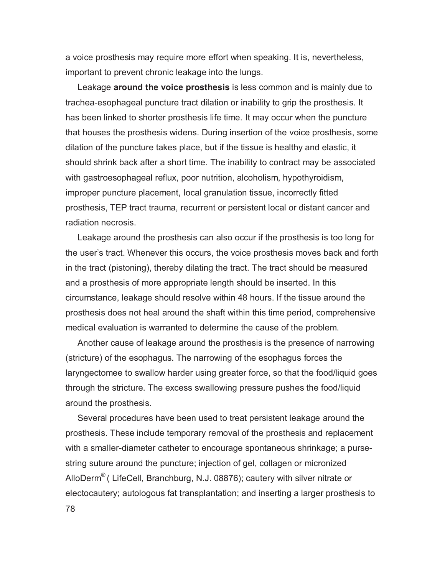a voice prosthesis may require more effort when speaking. It is, nevertheless, important to prevent chronic leakage into the lungs.

 Leakage **around the voice prosthesis** is less common and is mainly due to trachea-esophageal puncture tract dilation or inability to grip the prosthesis. It has been linked to shorter prosthesis life time. It may occur when the puncture that houses the prosthesis widens. During insertion of the voice prosthesis, some dilation of the puncture takes place, but if the tissue is healthy and elastic, it should shrink back after a short time. The inability to contract may be associated with gastroesophageal reflux, poor nutrition, alcoholism, hypothyroidism, improper puncture placement, local granulation tissue, incorrectly fitted prosthesis, TEP tract trauma, recurrent or persistent local or distant cancer and radiation necrosis.

 Leakage around the prosthesis can also occur if the prosthesis is too long for the user's tract. Whenever this occurs, the voice prosthesis moves back and forth in the tract (pistoning), thereby dilating the tract. The tract should be measured and a prosthesis of more appropriate length should be inserted. In this circumstance, leakage should resolve within 48 hours. If the tissue around the prosthesis does not heal around the shaft within this time period, comprehensive medical evaluation is warranted to determine the cause of the problem.

 Another cause of leakage around the prosthesis is the presence of narrowing (stricture) of the esophagus. The narrowing of the esophagus forces the laryngectomee to swallow harder using greater force, so that the food/liquid goes through the stricture. The excess swallowing pressure pushes the food/liquid around the prosthesis.

 Several procedures have been used to treat persistent leakage around the prosthesis. These include temporary removal of the prosthesis and replacement with a smaller-diameter catheter to encourage spontaneous shrinkage; a pursestring suture around the puncture; injection of gel, collagen or micronized AlloDerm® ( LifeCell, Branchburg, N.J. 08876); cautery with silver nitrate or electocautery; autologous fat transplantation; and inserting a larger prosthesis to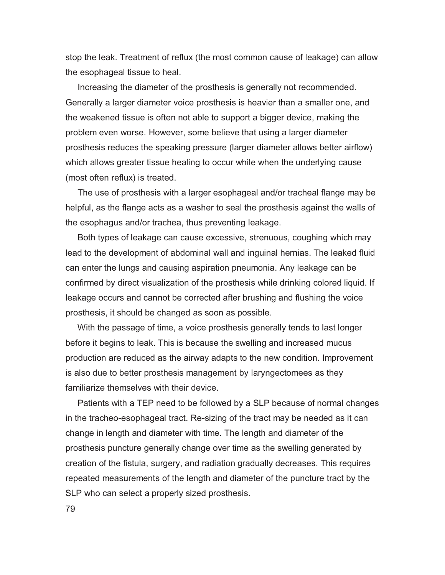stop the leak. Treatment of reflux (the most common cause of leakage) can allow the esophageal tissue to heal.

 Increasing the diameter of the prosthesis is generally not recommended. Generally a larger diameter voice prosthesis is heavier than a smaller one, and the weakened tissue is often not able to support a bigger device, making the problem even worse. However, some believe that using a larger diameter prosthesis reduces the speaking pressure (larger diameter allows better airflow) which allows greater tissue healing to occur while when the underlying cause (most often reflux) is treated.

 The use of prosthesis with a larger esophageal and/or tracheal flange may be helpful, as the flange acts as a washer to seal the prosthesis against the walls of the esophagus and/or trachea, thus preventing leakage.

 Both types of leakage can cause excessive, strenuous, coughing which may lead to the development of abdominal wall and inguinal hernias. The leaked fluid can enter the lungs and causing aspiration pneumonia. Any leakage can be confirmed by direct visualization of the prosthesis while drinking colored liquid. If leakage occurs and cannot be corrected after brushing and flushing the voice prosthesis, it should be changed as soon as possible.

 With the passage of time, a voice prosthesis generally tends to last longer before it begins to leak. This is because the swelling and increased mucus production are reduced as the airway adapts to the new condition. Improvement is also due to better prosthesis management by laryngectomees as they familiarize themselves with their device.

 Patients with a TEP need to be followed by a SLP because of normal changes in the tracheo-esophageal tract. Re-sizing of the tract may be needed as it can change in length and diameter with time. The length and diameter of the prosthesis puncture generally change over time as the swelling generated by creation of the fistula, surgery, and radiation gradually decreases. This requires repeated measurements of the length and diameter of the puncture tract by the SLP who can select a properly sized prosthesis.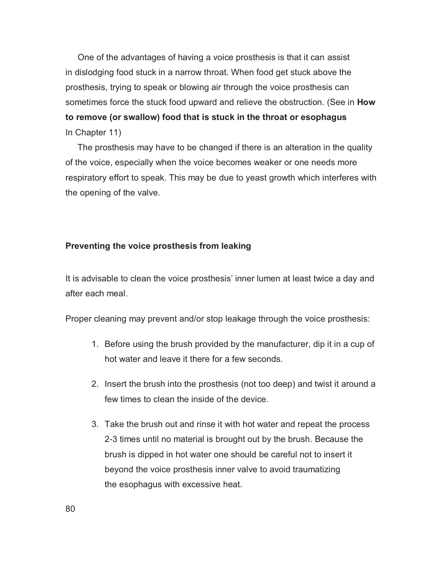One of the advantages of having a voice prosthesis is that it can assist in dislodging food stuck in a narrow throat. When food get stuck above the prosthesis, trying to speak or blowing air through the voice prosthesis can sometimes force the stuck food upward and relieve the obstruction. (See in **How to remove (or swallow) food that is stuck in the throat or esophagus**  In Chapter 11)

 The prosthesis may have to be changed if there is an alteration in the quality of the voice, especially when the voice becomes weaker or one needs more respiratory effort to speak. This may be due to yeast growth which interferes with the opening of the valve.

#### **Preventing the voice prosthesis from leaking**

It is advisable to clean the voice prosthesis' inner lumen at least twice a day and after each meal.

Proper cleaning may prevent and/or stop leakage through the voice prosthesis:

- 1. Before using the brush provided by the manufacturer, dip it in a cup of hot water and leave it there for a few seconds.
- 2. Insert the brush into the prosthesis (not too deep) and twist it around a few times to clean the inside of the device.
- 3. Take the brush out and rinse it with hot water and repeat the process 2-3 times until no material is brought out by the brush. Because the brush is dipped in hot water one should be careful not to insert it beyond the voice prosthesis inner valve to avoid traumatizing the esophagus with excessive heat.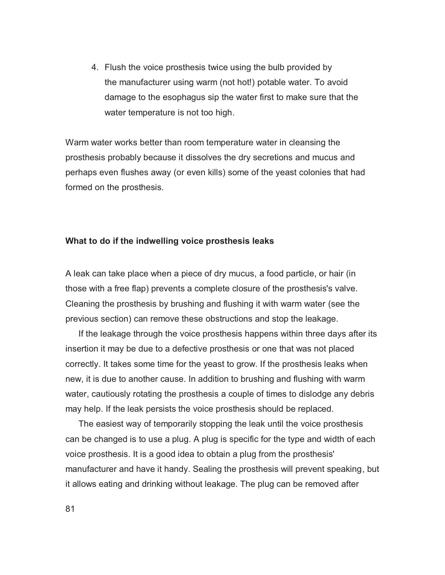4. Flush the voice prosthesis twice using the bulb provided by the manufacturer using warm (not hot!) potable water. To avoid damage to the esophagus sip the water first to make sure that the water temperature is not too high.

Warm water works better than room temperature water in cleansing the prosthesis probably because it dissolves the dry secretions and mucus and perhaps even flushes away (or even kills) some of the yeast colonies that had formed on the prosthesis.

## **What to do if the indwelling voice prosthesis leaks**

A leak can take place when a piece of dry mucus, a food particle, or hair (in those with a free flap) prevents a complete closure of the prosthesis's valve. Cleaning the prosthesis by brushing and flushing it with warm water (see the previous section) can remove these obstructions and stop the leakage.

If the leakage through the voice prosthesis happens within three days after its insertion it may be due to a defective prosthesis or one that was not placed correctly. It takes some time for the yeast to grow. If the prosthesis leaks when new, it is due to another cause. In addition to brushing and flushing with warm water, cautiously rotating the prosthesis a couple of times to dislodge any debris may help. If the leak persists the voice prosthesis should be replaced.

The easiest way of temporarily stopping the leak until the voice prosthesis can be changed is to use a plug. A plug is specific for the type and width of each voice prosthesis. It is a good idea to obtain a plug from the prosthesis' manufacturer and have it handy. Sealing the prosthesis will prevent speaking, but it allows eating and drinking without leakage. The plug can be removed after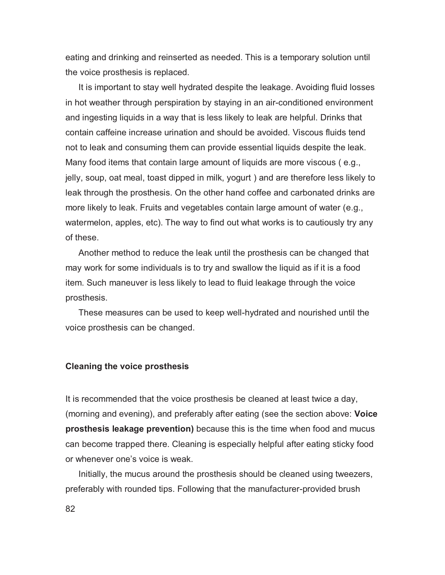eating and drinking and reinserted as needed. This is a temporary solution until the voice prosthesis is replaced.

It is important to stay well hydrated despite the leakage. Avoiding fluid losses in hot weather through perspiration by staying in an air-conditioned environment and ingesting liquids in a way that is less likely to leak are helpful. Drinks that contain caffeine increase urination and should be avoided. Viscous fluids tend not to leak and consuming them can provide essential liquids despite the leak. Many food items that contain large amount of liquids are more viscous ( e.g., jelly, soup, oat meal, toast dipped in milk, yogurt ) and are therefore less likely to leak through the prosthesis. On the other hand coffee and carbonated drinks are more likely to leak. Fruits and vegetables contain large amount of water (e.g., watermelon, apples, etc). The way to find out what works is to cautiously try any of these.

Another method to reduce the leak until the prosthesis can be changed that may work for some individuals is to try and swallow the liquid as if it is a food item. Such maneuver is less likely to lead to fluid leakage through the voice prosthesis.

These measures can be used to keep well-hydrated and nourished until the voice prosthesis can be changed.

#### **Cleaning the voice prosthesis**

It is recommended that the voice prosthesis be cleaned at least twice a day, (morning and evening), and preferably after eating (see the section above: **Voice prosthesis leakage prevention)** because this is the time when food and mucus can become trapped there. Cleaning is especially helpful after eating sticky food or whenever one's voice is weak.

Initially, the mucus around the prosthesis should be cleaned using tweezers, preferably with rounded tips. Following that the manufacturer-provided brush

82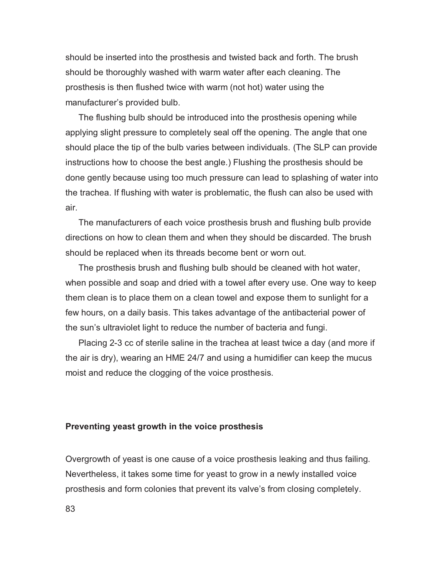should be inserted into the prosthesis and twisted back and forth. The brush should be thoroughly washed with warm water after each cleaning. The prosthesis is then flushed twice with warm (not hot) water using the manufacturer's provided bulb.

The flushing bulb should be introduced into the prosthesis opening while applying slight pressure to completely seal off the opening. The angle that one should place the tip of the bulb varies between individuals. (The SLP can provide instructions how to choose the best angle.) Flushing the prosthesis should be done gently because using too much pressure can lead to splashing of water into the trachea. If flushing with water is problematic, the flush can also be used with air.

The manufacturers of each voice prosthesis brush and flushing bulb provide directions on how to clean them and when they should be discarded. The brush should be replaced when its threads become bent or worn out.

The prosthesis brush and flushing bulb should be cleaned with hot water, when possible and soap and dried with a towel after every use. One way to keep them clean is to place them on a clean towel and expose them to sunlight for a few hours, on a daily basis. This takes advantage of the antibacterial power of the sun's ultraviolet light to reduce the number of bacteria and fungi.

Placing 2-3 cc of sterile saline in the trachea at least twice a day (and more if the air is dry), wearing an HME 24/7 and using a humidifier can keep the mucus moist and reduce the clogging of the voice prosthesis.

#### **Preventing yeast growth in the voice prosthesis**

Overgrowth of yeast is one cause of a voice prosthesis leaking and thus failing. Nevertheless, it takes some time for yeast to grow in a newly installed voice prosthesis and form colonies that prevent its valve's from closing completely.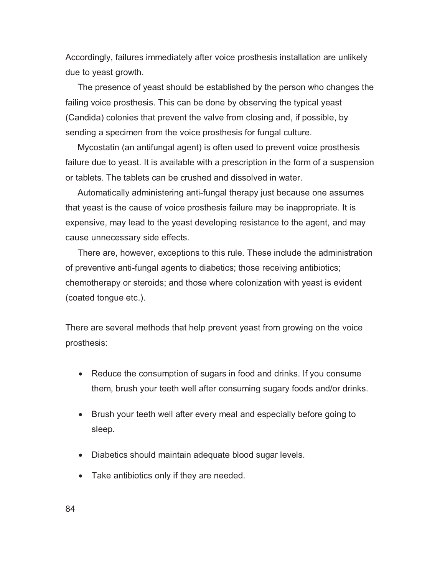Accordingly, failures immediately after voice prosthesis installation are unlikely due to yeast growth.

 The presence of yeast should be established by the person who changes the failing voice prosthesis. This can be done by observing the typical yeast (Candida) colonies that prevent the valve from closing and, if possible, by sending a specimen from the voice prosthesis for fungal culture.

 Mycostatin (an antifungal agent) is often used to prevent voice prosthesis failure due to yeast. It is available with a prescription in the form of a suspension or tablets. The tablets can be crushed and dissolved in water.

 Automatically administering anti-fungal therapy just because one assumes that yeast is the cause of voice prosthesis failure may be inappropriate. It is expensive, may lead to the yeast developing resistance to the agent, and may cause unnecessary side effects.

 There are, however, exceptions to this rule. These include the administration of preventive anti-fungal agents to diabetics; those receiving antibiotics; chemotherapy or steroids; and those where colonization with yeast is evident (coated tongue etc.).

There are several methods that help prevent yeast from growing on the voice prosthesis:

- Reduce the consumption of sugars in food and drinks. If you consume them, brush your teeth well after consuming sugary foods and/or drinks.
- Brush your teeth well after every meal and especially before going to sleep.
- Diabetics should maintain adequate blood sugar levels.
- Take antibiotics only if they are needed.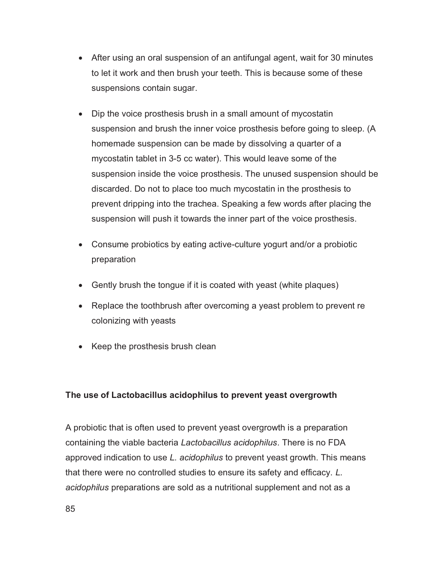- After using an oral suspension of an antifungal agent, wait for 30 minutes to let it work and then brush your teeth. This is because some of these suspensions contain sugar.
- Dip the voice prosthesis brush in a small amount of mycostatin suspension and brush the inner voice prosthesis before going to sleep. (A homemade suspension can be made by dissolving a quarter of a mycostatin tablet in 3-5 cc water). This would leave some of the suspension inside the voice prosthesis. The unused suspension should be discarded. Do not to place too much mycostatin in the prosthesis to prevent dripping into the trachea. Speaking a few words after placing the suspension will push it towards the inner part of the voice prosthesis.
- Consume probiotics by eating active-culture yogurt and/or a probiotic preparation
- Gently brush the tongue if it is coated with yeast (white plaques)
- Replace the toothbrush after overcoming a yeast problem to prevent re colonizing with yeasts
- Keep the prosthesis brush clean

# **The use of Lactobacillus acidophilus to prevent yeast overgrowth**

A probiotic that is often used to prevent yeast overgrowth is a preparation containing the viable bacteria *Lactobacillus acidophilus*. There is no FDA approved indication to use *L. acidophilus* to prevent yeast growth. This means that there were no controlled studies to ensure its safety and efficacy. *L. acidophilus* preparations are sold as a nutritional supplement and not as a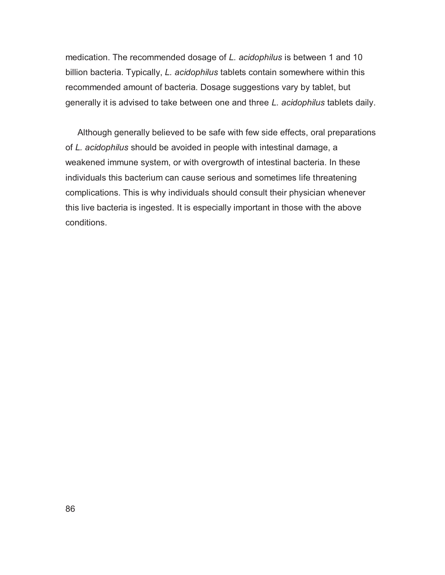medication. The recommended dosage of *L. acidophilus* is between 1 and 10 billion bacteria. Typically, *L. acidophilus* tablets contain somewhere within this recommended amount of bacteria. Dosage suggestions vary by tablet, but generally it is advised to take between one and three *L. acidophilus* tablets daily.

 Although generally believed to be safe with few side effects, oral preparations of *L. acidophilus* should be avoided in people with intestinal damage, a weakened immune system, or with overgrowth of intestinal bacteria. In these individuals this bacterium can cause serious and sometimes life threatening complications. This is why individuals should consult their physician whenever this live bacteria is ingested. It is especially important in those with the above conditions.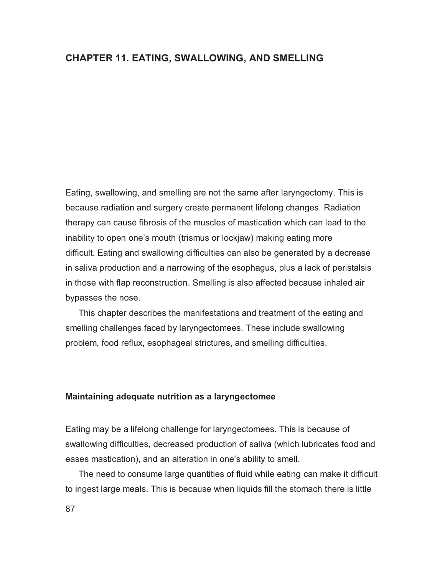# **CHAPTER 11. EATING, SWALLOWING, AND SMELLING**

Eating, swallowing, and smelling are not the same after laryngectomy. This is because radiation and surgery create permanent lifelong changes. Radiation therapy can cause fibrosis of the muscles of mastication which can lead to the inability to open one's mouth (trismus or lockjaw) making eating more difficult. Eating and swallowing difficulties can also be generated by a decrease in saliva production and a narrowing of the esophagus, plus a lack of peristalsis in those with flap reconstruction. Smelling is also affected because inhaled air bypasses the nose.

This chapter describes the manifestations and treatment of the eating and smelling challenges faced by laryngectomees. These include swallowing problem, food reflux, esophageal strictures, and smelling difficulties.

### **Maintaining adequate nutrition as a laryngectomee**

Eating may be a lifelong challenge for laryngectomees. This is because of swallowing difficulties, decreased production of saliva (which lubricates food and eases mastication), and an alteration in one's ability to smell.

The need to consume large quantities of fluid while eating can make it difficult to ingest large meals. This is because when liquids fill the stomach there is little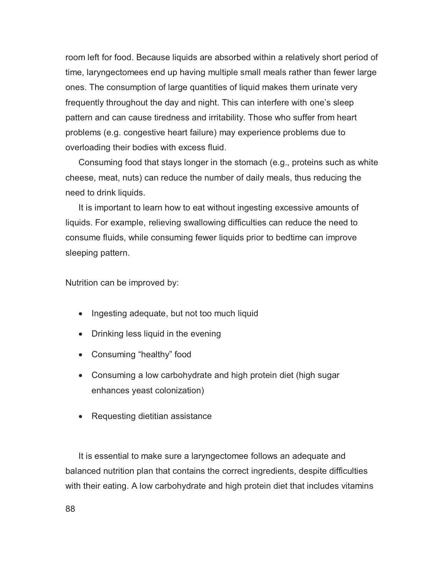room left for food. Because liquids are absorbed within a relatively short period of time, laryngectomees end up having multiple small meals rather than fewer large ones. The consumption of large quantities of liquid makes them urinate very frequently throughout the day and night. This can interfere with one's sleep pattern and can cause tiredness and irritability. Those who suffer from heart problems (e.g. congestive heart failure) may experience problems due to overloading their bodies with excess fluid.

Consuming food that stays longer in the stomach (e.g., proteins such as white cheese, meat, nuts) can reduce the number of daily meals, thus reducing the need to drink liquids.

It is important to learn how to eat without ingesting excessive amounts of liquids. For example, relieving swallowing difficulties can reduce the need to consume fluids, while consuming fewer liquids prior to bedtime can improve sleeping pattern.

Nutrition can be improved by:

- Ingesting adequate, but not too much liquid
- Drinking less liquid in the evening
- Consuming "healthy" food
- Consuming a low carbohydrate and high protein diet (high sugar enhances yeast colonization)
- Requesting dietitian assistance

It is essential to make sure a laryngectomee follows an adequate and balanced nutrition plan that contains the correct ingredients, despite difficulties with their eating. A low carbohydrate and high protein diet that includes vitamins

88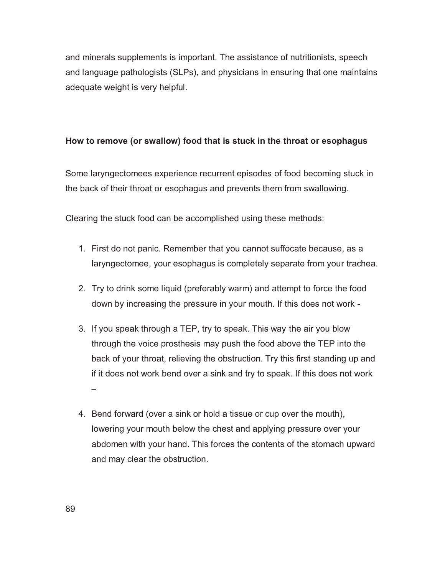and minerals supplements is important. The assistance of nutritionists, speech and language pathologists (SLPs), and physicians in ensuring that one maintains adequate weight is very helpful.

# **How to remove (or swallow) food that is stuck in the throat or esophagus**

Some laryngectomees experience recurrent episodes of food becoming stuck in the back of their throat or esophagus and prevents them from swallowing.

Clearing the stuck food can be accomplished using these methods:

- 1. First do not panic. Remember that you cannot suffocate because, as a laryngectomee, your esophagus is completely separate from your trachea.
- 2. Try to drink some liquid (preferably warm) and attempt to force the food down by increasing the pressure in your mouth. If this does not work -
- 3. If you speak through a TEP, try to speak. This way the air you blow through the voice prosthesis may push the food above the TEP into the back of your throat, relieving the obstruction. Try this first standing up and if it does not work bend over a sink and try to speak. If this does not work –
- 4. Bend forward (over a sink or hold a tissue or cup over the mouth), lowering your mouth below the chest and applying pressure over your abdomen with your hand. This forces the contents of the stomach upward and may clear the obstruction.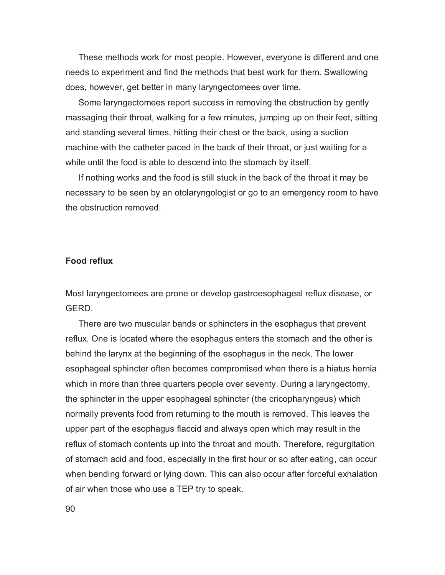These methods work for most people. However, everyone is different and one needs to experiment and find the methods that best work for them. Swallowing does, however, get better in many laryngectomees over time.

Some laryngectomees report success in removing the obstruction by gently massaging their throat, walking for a few minutes, jumping up on their feet, sitting and standing several times, hitting their chest or the back, using a suction machine with the catheter paced in the back of their throat, or just waiting for a while until the food is able to descend into the stomach by itself.

If nothing works and the food is still stuck in the back of the throat it may be necessary to be seen by an otolaryngologist or go to an emergency room to have the obstruction removed.

#### **Food reflux**

Most laryngectomees are prone or develop gastroesophageal reflux disease, or GERD.

There are two muscular bands or sphincters in the esophagus that prevent reflux. One is located where the esophagus enters the stomach and the other is behind the larynx at the beginning of the esophagus in the neck. The lower esophageal sphincter often becomes compromised when there is a hiatus hernia which in more than three quarters people over seventy. During a laryngectomy, the sphincter in the upper esophageal sphincter (the cricopharyngeus) which normally prevents food from returning to the mouth is removed. This leaves the upper part of the esophagus flaccid and always open which may result in the reflux of stomach contents up into the throat and mouth. Therefore, regurgitation of stomach acid and food, especially in the first hour or so after eating, can occur when bending forward or lying down. This can also occur after forceful exhalation of air when those who use a TEP try to speak.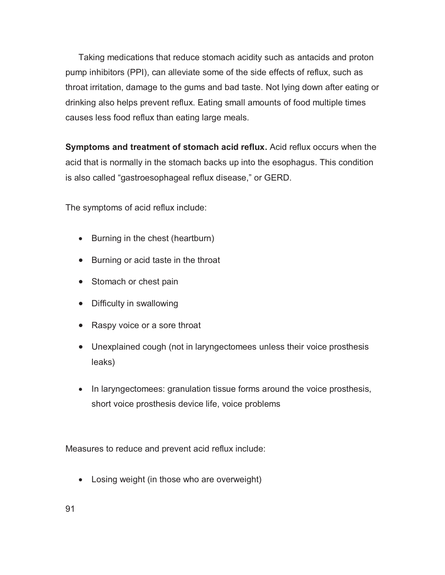Taking medications that reduce stomach acidity such as antacids and proton pump inhibitors (PPI), can alleviate some of the side effects of reflux, such as throat irritation, damage to the gums and bad taste. Not lying down after eating or drinking also helps prevent reflux. Eating small amounts of food multiple times causes less food reflux than eating large meals.

**Symptoms and treatment of stomach acid reflux.** Acid reflux occurs when the acid that is normally in the stomach backs up into the esophagus. This condition is also called "gastroesophageal reflux disease," or GERD.

The symptoms of acid reflux include:

- Burning in the chest (heartburn)
- Burning or acid taste in the throat
- Stomach or chest pain
- Difficulty in swallowing
- Raspy voice or a sore throat
- Unexplained cough (not in laryngectomees unless their voice prosthesis leaks)
- In laryngectomees: granulation tissue forms around the voice prosthesis, short voice prosthesis device life, voice problems

Measures to reduce and prevent acid reflux include:

- Losing weight (in those who are overweight)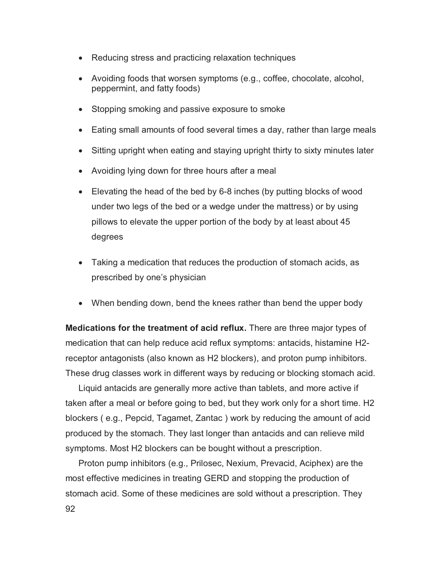- Reducing stress and practicing relaxation techniques
- Avoiding foods that worsen symptoms (e.g., coffee, chocolate, alcohol, peppermint, and fatty foods)
- Stopping smoking and passive exposure to smoke
- Eating small amounts of food several times a day, rather than large meals
- $\bullet$ Sitting upright when eating and staying upright thirty to sixty minutes later
- Avoiding lying down for three hours after a meal
- Elevating the head of the bed by 6-8 inches (by putting blocks of wood under two legs of the bed or a wedge under the mattress) or by using pillows to elevate the upper portion of the body by at least about 45 degrees
- Taking a medication that reduces the production of stomach acids, as prescribed by one's physician
- When bending down, bend the knees rather than bend the upper body

**Medications for the treatment of acid reflux.** There are three major types of medication that can help reduce acid reflux symptoms: antacids, histamine H2 receptor antagonists (also known as H2 blockers), and proton pump inhibitors. These drug classes work in different ways by reducing or blocking stomach acid.

Liquid antacids are generally more active than tablets, and more active if taken after a meal or before going to bed, but they work only for a short time. H2 blockers ( e.g., Pepcid, Tagamet, Zantac ) work by reducing the amount of acid produced by the stomach. They last longer than antacids and can relieve mild symptoms. Most H2 blockers can be bought without a prescription.

92 Proton pump inhibitors (e.g., Prilosec, Nexium, Prevacid, Aciphex) are the most effective medicines in treating GERD and stopping the production of stomach acid. Some of these medicines are sold without a prescription. They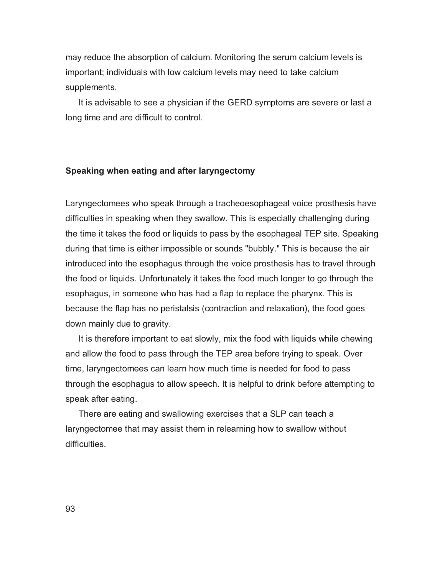may reduce the absorption of calcium. Monitoring the serum calcium levels is important; individuals with low calcium levels may need to take calcium supplements.

It is advisable to see a physician if the GERD symptoms are severe or last a long time and are difficult to control.

#### **Speaking when eating and after laryngectomy**

Laryngectomees who speak through a tracheoesophageal voice prosthesis have difficulties in speaking when they swallow. This is especially challenging during the time it takes the food or liquids to pass by the esophageal TEP site. Speaking during that time is either impossible or sounds "bubbly." This is because the air introduced into the esophagus through the voice prosthesis has to travel through the food or liquids. Unfortunately it takes the food much longer to go through the esophagus, in someone who has had a flap to replace the pharynx. This is because the flap has no peristalsis (contraction and relaxation), the food goes down mainly due to gravity.

It is therefore important to eat slowly, mix the food with liquids while chewing and allow the food to pass through the TEP area before trying to speak. Over time, laryngectomees can learn how much time is needed for food to pass through the esophagus to allow speech. It is helpful to drink before attempting to speak after eating.

There are eating and swallowing exercises that a SLP can teach a laryngectomee that may assist them in relearning how to swallow without difficulties.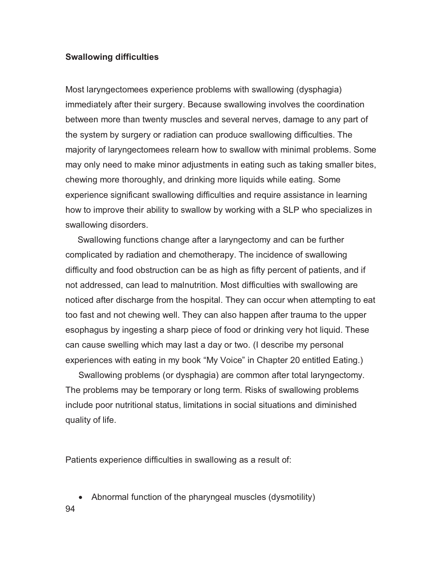## **Swallowing difficulties**

Most laryngectomees experience problems with swallowing (dysphagia) immediately after their surgery. Because swallowing involves the coordination between more than twenty muscles and several nerves, damage to any part of the system by surgery or radiation can produce swallowing difficulties. The majority of laryngectomees relearn how to swallow with minimal problems. Some may only need to make minor adjustments in eating such as taking smaller bites, chewing more thoroughly, and drinking more liquids while eating. Some experience significant swallowing difficulties and require assistance in learning how to improve their ability to swallow by working with a SLP who specializes in swallowing disorders.

 Swallowing functions change after a laryngectomy and can be further complicated by radiation and chemotherapy. The incidence of swallowing difficulty and food obstruction can be as high as fifty percent of patients, and if not addressed, can lead to malnutrition. Most difficulties with swallowing are noticed after discharge from the hospital. They can occur when attempting to eat too fast and not chewing well. They can also happen after trauma to the upper esophagus by ingesting a sharp piece of food or drinking very hot liquid. These can cause swelling which may last a day or two. (I describe my personal experiences with eating in my book "My Voice" in Chapter 20 entitled Eating.)

Swallowing problems (or dysphagia) are common after total laryngectomy. The problems may be temporary or long term. Risks of swallowing problems include poor nutritional status, limitations in social situations and diminished quality of life.

Patients experience difficulties in swallowing as a result of:

- -Abnormal function of the pharyngeal muscles (dysmotility)
- 94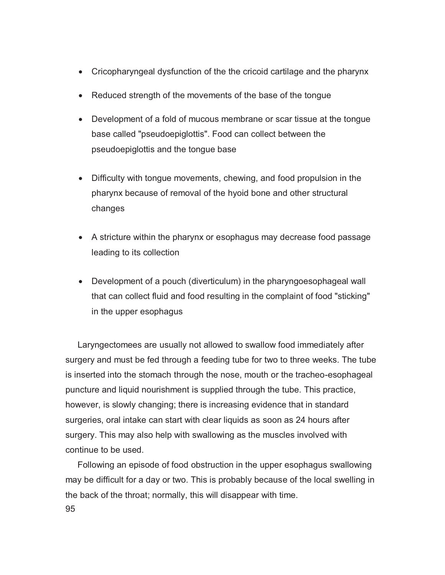- Cricopharyngeal dysfunction of the the cricoid cartilage and the pharynx
- Reduced strength of the movements of the base of the tongue
- Development of a fold of mucous membrane or scar tissue at the tongue base called "pseudoepiglottis". Food can collect between the pseudoepiglottis and the tongue base
- Difficulty with tongue movements, chewing, and food propulsion in the pharynx because of removal of the hyoid bone and other structural changes
- A stricture within the pharynx or esophagus may decrease food passage leading to its collection
- Development of a pouch (diverticulum) in the pharyngoesophageal wall that can collect fluid and food resulting in the complaint of food "sticking" in the upper esophagus

 Laryngectomees are usually not allowed to swallow food immediately after surgery and must be fed through a feeding tube for two to three weeks. The tube is inserted into the stomach through the nose, mouth or the tracheo-esophageal puncture and liquid nourishment is supplied through the tube. This practice, however, is slowly changing; there is increasing evidence that in standard surgeries, oral intake can start with clear liquids as soon as 24 hours after surgery. This may also help with swallowing as the muscles involved with continue to be used.

95 Following an episode of food obstruction in the upper esophagus swallowing may be difficult for a day or two. This is probably because of the local swelling in the back of the throat; normally, this will disappear with time.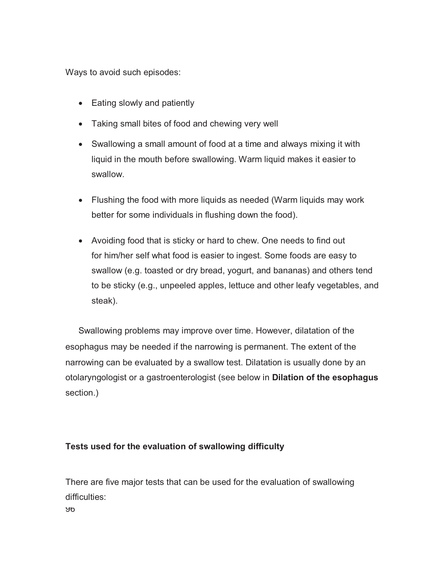Ways to avoid such episodes:

- Eating slowly and patiently
- Taking small bites of food and chewing very well
- Swallowing a small amount of food at a time and always mixing it with liquid in the mouth before swallowing. Warm liquid makes it easier to swallow.
- Flushing the food with more liquids as needed (Warm liquids may work better for some individuals in flushing down the food).
- Avoiding food that is sticky or hard to chew. One needs to find out for him/her self what food is easier to ingest. Some foods are easy to swallow (e.g. toasted or dry bread, yogurt, and bananas) and others tend to be sticky (e.g., unpeeled apples, lettuce and other leafy vegetables, and steak).

Swallowing problems may improve over time. However, dilatation of the esophagus may be needed if the narrowing is permanent. The extent of the narrowing can be evaluated by a swallow test. Dilatation is usually done by an otolaryngologist or a gastroenterologist (see below in **Dilation of the esophagus** section.)

# **Tests used for the evaluation of swallowing difficulty**

96 There are five major tests that can be used for the evaluation of swallowing difficulties: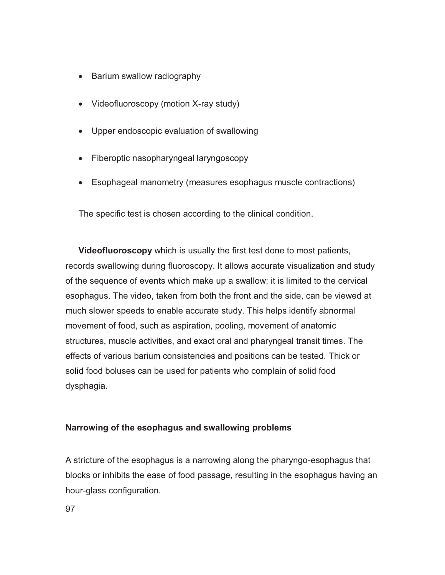- Barium swallow radiography
- Videofluoroscopy (motion X-ray study)
- Upper endoscopic evaluation of swallowing
- Fiberoptic nasopharyngeal laryngoscopy
- Esophageal manometry (measures esophagus muscle contractions)

The specific test is chosen according to the clinical condition.

**Videofluoroscopy** which is usually the first test done to most patients, records swallowing during fluoroscopy. It allows accurate visualization and study of the sequence of events which make up a swallow; it is limited to the cervical esophagus. The video, taken from both the front and the side, can be viewed at much slower speeds to enable accurate study. This helps identify abnormal movement of food, such as aspiration, pooling, movement of anatomic structures, muscle activities, and exact oral and pharyngeal transit times. The effects of various barium consistencies and positions can be tested. Thick or solid food boluses can be used for patients who complain of solid food dysphagia.

# **Narrowing of the esophagus and swallowing problems**

A stricture of the esophagus is a narrowing along the pharyngo-esophagus that blocks or inhibits the ease of food passage, resulting in the esophagus having an hour-glass configuration.

97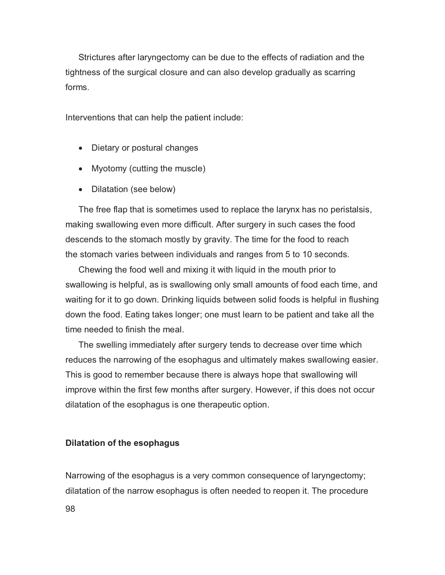Strictures after laryngectomy can be due to the effects of radiation and the tightness of the surgical closure and can also develop gradually as scarring forms.

Interventions that can help the patient include:

- Dietary or postural changes
- Myotomy (cutting the muscle)
- Dilatation (see below)

The free flap that is sometimes used to replace the larynx has no peristalsis, making swallowing even more difficult. After surgery in such cases the food descends to the stomach mostly by gravity. The time for the food to reach the stomach varies between individuals and ranges from 5 to 10 seconds.

Chewing the food well and mixing it with liquid in the mouth prior to swallowing is helpful, as is swallowing only small amounts of food each time, and waiting for it to go down. Drinking liquids between solid foods is helpful in flushing down the food. Eating takes longer; one must learn to be patient and take all the time needed to finish the meal.

The swelling immediately after surgery tends to decrease over time which reduces the narrowing of the esophagus and ultimately makes swallowing easier. This is good to remember because there is always hope that swallowing will improve within the first few months after surgery. However, if this does not occur dilatation of the esophagus is one therapeutic option.

#### **Dilatation of the esophagus**

Narrowing of the esophagus is a very common consequence of laryngectomy; dilatation of the narrow esophagus is often needed to reopen it. The procedure

98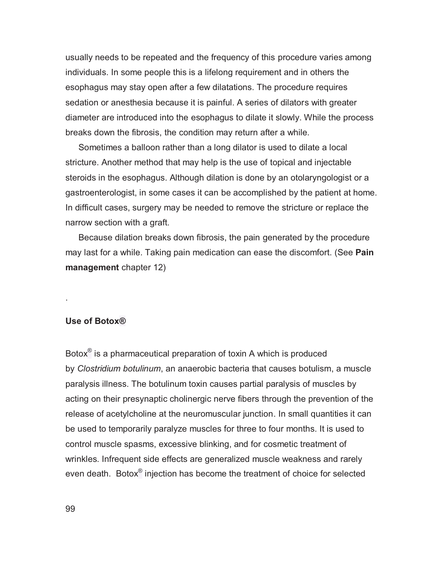usually needs to be repeated and the frequency of this procedure varies among individuals. In some people this is a lifelong requirement and in others the esophagus may stay open after a few dilatations. The procedure requires sedation or anesthesia because it is painful. A series of dilators with greater diameter are introduced into the esophagus to dilate it slowly. While the process breaks down the fibrosis, the condition may return after a while.

Sometimes a balloon rather than a long dilator is used to dilate a local stricture. Another method that may help is the use of topical and injectable steroids in the esophagus. Although dilation is done by an otolaryngologist or a gastroenterologist, in some cases it can be accomplished by the patient at home. In difficult cases, surgery may be needed to remove the stricture or replace the narrow section with a graft.

Because dilation breaks down fibrosis, the pain generated by the procedure may last for a while. Taking pain medication can ease the discomfort. (See **Pain management** chapter 12)

#### **Use of Botox®**

.

Botox**®** is a pharmaceutical preparation of toxin A which is produced by *Clostridium botulinum*, an anaerobic bacteria that causes botulism, a muscle paralysis illness. The botulinum toxin causes partial paralysis of muscles by acting on their presynaptic cholinergic nerve fibers through the prevention of the release of acetylcholine at the neuromuscular junction. In small quantities it can be used to temporarily paralyze muscles for three to four months. It is used to control muscle spasms, excessive blinking, and for cosmetic treatment of wrinkles. Infrequent side effects are generalized muscle weakness and rarely even death. Botox**®** injection has become the treatment of choice for selected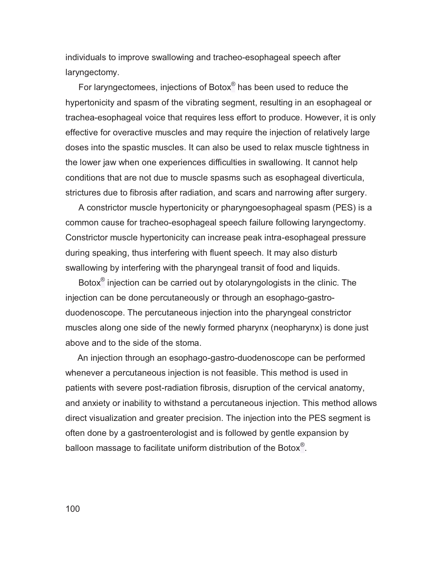individuals to improve swallowing and tracheo-esophageal speech after laryngectomy.

For laryngectomees, injections of Botox**®** has been used to reduce the hypertonicity and spasm of the vibrating segment, resulting in an esophageal or trachea-esophageal voice that requires less effort to produce. However, it is only effective for overactive muscles and may require the injection of relatively large doses into the spastic muscles. It can also be used to relax muscle tightness in the lower jaw when one experiences difficulties in swallowing. It cannot help conditions that are not due to muscle spasms such as esophageal diverticula, strictures due to fibrosis after radiation, and scars and narrowing after surgery.

A constrictor muscle hypertonicity or pharyngoesophageal spasm (PES) is a common cause for tracheo-esophageal speech failure following laryngectomy. Constrictor muscle hypertonicity can increase peak intra-esophageal pressure during speaking, thus interfering with fluent speech. It may also disturb swallowing by interfering with the pharyngeal transit of food and liquids.

Botox**®** injection can be carried out by otolaryngologists in the clinic. The injection can be done percutaneously or through an esophago-gastroduodenoscope. The percutaneous injection into the pharyngeal constrictor muscles along one side of the newly formed pharynx (neopharynx) is done just above and to the side of the stoma.

 An injection through an esophago-gastro-duodenoscope can be performed whenever a percutaneous injection is not feasible. This method is used in patients with severe post-radiation fibrosis, disruption of the cervical anatomy, and anxiety or inability to withstand a percutaneous injection. This method allows direct visualization and greater precision. The injection into the PES segment is often done by a gastroenterologist and is followed by gentle expansion by balloon massage to facilitate uniform distribution of the Botox**®**.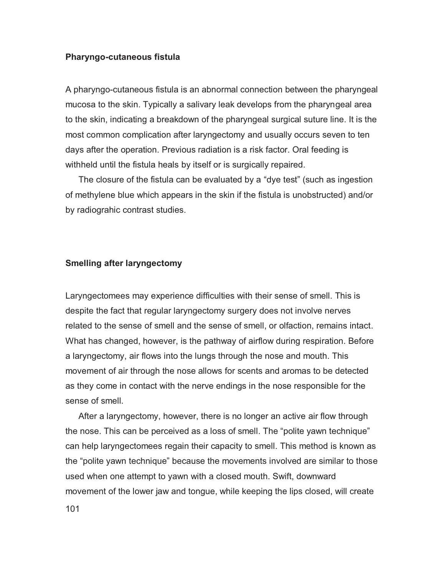#### **Pharyngo-cutaneous fistula**

A pharyngo-cutaneous fistula is an abnormal connection between the pharyngeal mucosa to the skin. Typically a salivary leak develops from the pharyngeal area to the skin, indicating a breakdown of the pharyngeal surgical suture line. It is the most common complication after laryngectomy and usually occurs seven to ten days after the operation. Previous radiation is a risk factor. Oral feeding is withheld until the fistula heals by itself or is surgically repaired.

The closure of the fistula can be evaluated by a "dye test" (such as ingestion of methylene blue which appears in the skin if the fistula is unobstructed) and/or by radiograhic contrast studies.

## **Smelling after laryngectomy**

Laryngectomees may experience difficulties with their sense of smell. This is despite the fact that regular laryngectomy surgery does not involve nerves related to the sense of smell and the sense of smell, or olfaction, remains intact. What has changed, however, is the pathway of airflow during respiration. Before a laryngectomy, air flows into the lungs through the nose and mouth. This movement of air through the nose allows for scents and aromas to be detected as they come in contact with the nerve endings in the nose responsible for the sense of smell.

After a laryngectomy, however, there is no longer an active air flow through the nose. This can be perceived as a loss of smell. The "polite yawn technique" can help laryngectomees regain their capacity to smell. This method is known as the "polite yawn technique" because the movements involved are similar to those used when one attempt to yawn with a closed mouth. Swift, downward movement of the lower jaw and tongue, while keeping the lips closed, will create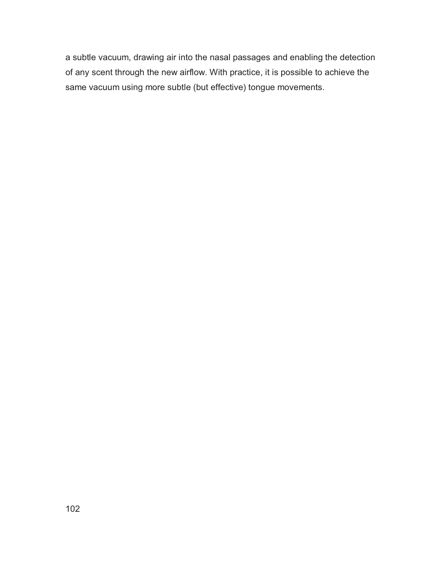a subtle vacuum, drawing air into the nasal passages and enabling the detection of any scent through the new airflow. With practice, it is possible to achieve the same vacuum using more subtle (but effective) tongue movements.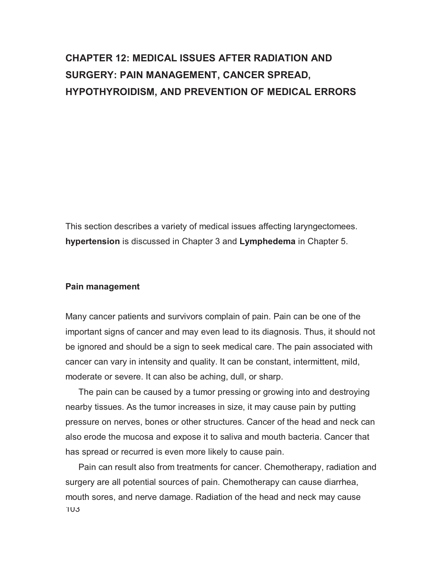# **CHAPTER 12: MEDICAL ISSUES AFTER RADIATION AND SURGERY: PAIN MANAGEMENT, CANCER SPREAD, HYPOTHYROIDISM, AND PREVENTION OF MEDICAL ERRORS**

This section describes a variety of medical issues affecting laryngectomees. **hypertension** is discussed in Chapter 3 and **Lymphedema** in Chapter 5.

#### **Pain management**

Many cancer patients and survivors complain of pain. Pain can be one of the important signs of cancer and may even lead to its diagnosis. Thus, it should not be ignored and should be a sign to seek medical care. The pain associated with cancer can vary in intensity and quality. It can be constant, intermittent, mild, moderate or severe. It can also be aching, dull, or sharp.

The pain can be caused by a tumor pressing or growing into and destroying nearby tissues. As the tumor increases in size, it may cause pain by putting pressure on nerves, bones or other structures. Cancer of the head and neck can also erode the mucosa and expose it to saliva and mouth bacteria. Cancer that has spread or recurred is even more likely to cause pain.

103 Pain can result also from treatments for cancer. Chemotherapy, radiation and surgery are all potential sources of pain. Chemotherapy can cause diarrhea, mouth sores, and nerve damage. Radiation of the head and neck may cause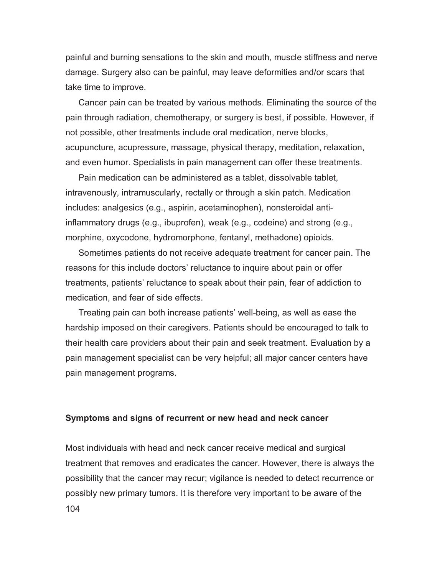painful and burning sensations to the skin and mouth, muscle stiffness and nerve damage. Surgery also can be painful, may leave deformities and/or scars that take time to improve.

Cancer pain can be treated by various methods. Eliminating the source of the pain through radiation, chemotherapy, or surgery is best, if possible. However, if not possible, other treatments include oral medication, nerve blocks, acupuncture, acupressure, massage, physical therapy, meditation, relaxation, and even humor. Specialists in pain management can offer these treatments.

Pain medication can be administered as a tablet, dissolvable tablet, intravenously, intramuscularly, rectally or through a skin patch. Medication includes: analgesics (e.g., aspirin, acetaminophen), nonsteroidal antiinflammatory drugs (e.g., ibuprofen), weak (e.g., codeine) and strong (e.g., morphine, oxycodone, hydromorphone, fentanyl, methadone) opioids.

Sometimes patients do not receive adequate treatment for cancer pain. The reasons for this include doctors' reluctance to inquire about pain or offer treatments, patients' reluctance to speak about their pain, fear of addiction to medication, and fear of side effects.

Treating pain can both increase patients' well-being, as well as ease the hardship imposed on their caregivers. Patients should be encouraged to talk to their health care providers about their pain and seek treatment. Evaluation by a pain management specialist can be very helpful; all major cancer centers have pain management programs.

#### **Symptoms and signs of recurrent or new head and neck cancer**

104 Most individuals with head and neck cancer receive medical and surgical treatment that removes and eradicates the cancer. However, there is always the possibility that the cancer may recur; vigilance is needed to detect recurrence or possibly new primary tumors. It is therefore very important to be aware of the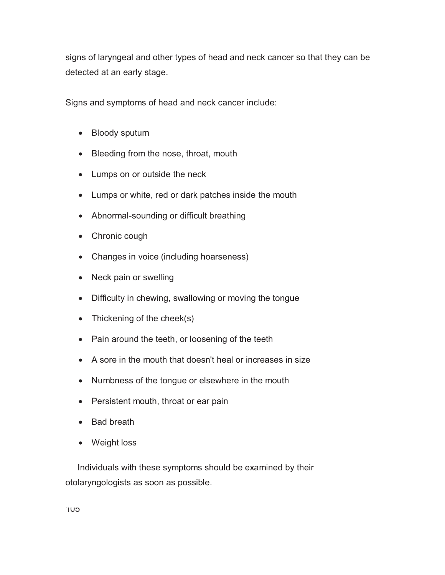signs of laryngeal and other types of head and neck cancer so that they can be detected at an early stage.

Signs and symptoms of head and neck cancer include:

- Bloody sputum
- Bleeding from the nose, throat, mouth
- Lumps on or outside the neck
- Lumps or white, red or dark patches inside the mouth
- Abnormal-sounding or difficult breathing
- Chronic cough
- Changes in voice (including hoarseness)
- Neck pain or swelling
- Difficulty in chewing, swallowing or moving the tongue
- Thickening of the cheek(s)
- Pain around the teeth, or loosening of the teeth
- A sore in the mouth that doesn't heal or increases in size
- Numbness of the tongue or elsewhere in the mouth
- Persistent mouth, throat or ear pain
- Bad breath
- Weight loss

 Individuals with these symptoms should be examined by their otolaryngologists as soon as possible.

105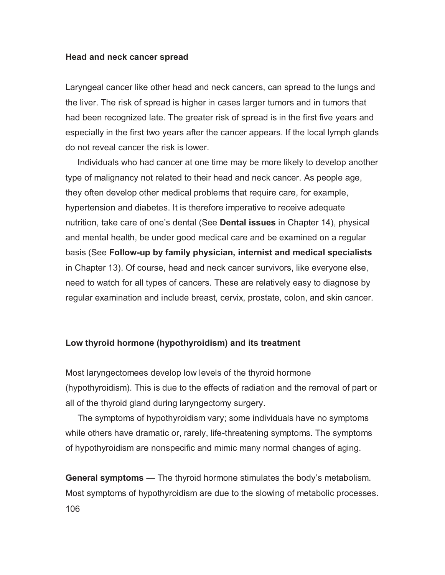#### **Head and neck cancer spread**

Laryngeal cancer like other head and neck cancers, can spread to the lungs and the liver. The risk of spread is higher in cases larger tumors and in tumors that had been recognized late. The greater risk of spread is in the first five years and especially in the first two years after the cancer appears. If the local lymph glands do not reveal cancer the risk is lower.

 Individuals who had cancer at one time may be more likely to develop another type of malignancy not related to their head and neck cancer. As people age, they often develop other medical problems that require care, for example, hypertension and diabetes. It is therefore imperative to receive adequate nutrition, take care of one's dental (See **Dental issues** in Chapter 14), physical and mental health, be under good medical care and be examined on a regular basis (See **Follow-up by family physician, internist and medical specialists** in Chapter 13). Of course, head and neck cancer survivors, like everyone else, need to watch for all types of cancers. These are relatively easy to diagnose by regular examination and include breast, cervix, prostate, colon, and skin cancer.

## **Low thyroid hormone (hypothyroidism) and its treatment**

Most laryngectomees develop low levels of the thyroid hormone (hypothyroidism). This is due to the effects of radiation and the removal of part or all of the thyroid gland during laryngectomy surgery.

 The symptoms of hypothyroidism vary; some individuals have no symptoms while others have dramatic or, rarely, life-threatening symptoms. The symptoms of hypothyroidism are nonspecific and mimic many normal changes of aging.

106 **General symptoms** — The thyroid hormone stimulates the body's metabolism. Most symptoms of hypothyroidism are due to the slowing of metabolic processes.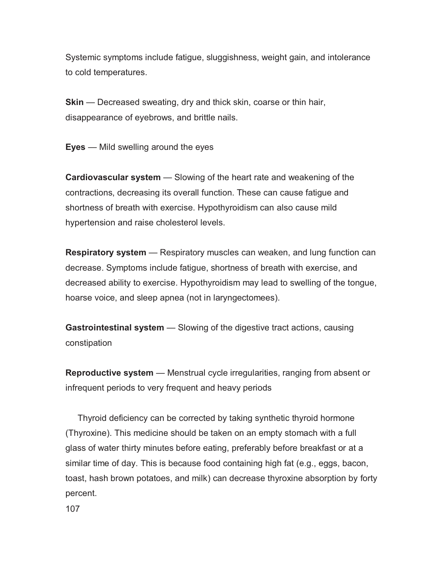Systemic symptoms include fatigue, sluggishness, weight gain, and intolerance to cold temperatures.

**Skin** — Decreased sweating, dry and thick skin, coarse or thin hair, disappearance of eyebrows, and brittle nails.

**Eyes** — Mild swelling around the eyes

**Cardiovascular system** — Slowing of the heart rate and weakening of the contractions, decreasing its overall function. These can cause fatigue and shortness of breath with exercise. Hypothyroidism can also cause mild hypertension and raise cholesterol levels.

**Respiratory system** — Respiratory muscles can weaken, and lung function can decrease. Symptoms include fatigue, shortness of breath with exercise, and decreased ability to exercise. Hypothyroidism may lead to swelling of the tongue, hoarse voice, and sleep apnea (not in laryngectomees).

**Gastrointestinal system** — Slowing of the digestive tract actions, causing constipation

**Reproductive system** — Menstrual cycle irregularities, ranging from absent or infrequent periods to very frequent and heavy periods

 Thyroid deficiency can be corrected by taking synthetic thyroid hormone (Thyroxine). This medicine should be taken on an empty stomach with a full glass of water thirty minutes before eating, preferably before breakfast or at a similar time of day. This is because food containing high fat (e.g., eggs, bacon, toast, hash brown potatoes, and milk) can decrease thyroxine absorption by forty percent.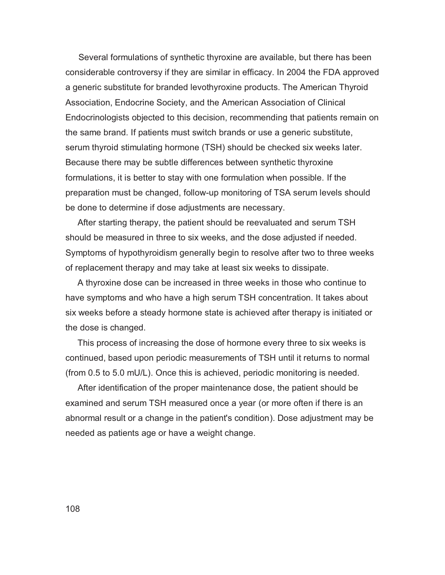Several formulations of synthetic thyroxine are available, but there has been considerable controversy if they are similar in efficacy. In 2004 the FDA approved a generic substitute for branded levothyroxine products. The American Thyroid Association, Endocrine Society, and the American Association of Clinical Endocrinologists objected to this decision, recommending that patients remain on the same brand. If patients must switch brands or use a generic substitute, serum thyroid stimulating hormone (TSH) should be checked six weeks later. Because there may be subtle differences between synthetic thyroxine formulations, it is better to stay with one formulation when possible. If the preparation must be changed, follow-up monitoring of TSA serum levels should be done to determine if dose adjustments are necessary.

 After starting therapy, the patient should be reevaluated and serum TSH should be measured in three to six weeks, and the dose adjusted if needed. Symptoms of hypothyroidism generally begin to resolve after two to three weeks of replacement therapy and may take at least six weeks to dissipate.

 A thyroxine dose can be increased in three weeks in those who continue to have symptoms and who have a high serum TSH concentration. It takes about six weeks before a steady hormone state is achieved after therapy is initiated or the dose is changed.

 This process of increasing the dose of hormone every three to six weeks is continued, based upon periodic measurements of TSH until it returns to normal (from 0.5 to 5.0 mU/L). Once this is achieved, periodic monitoring is needed.

 After identification of the proper maintenance dose, the patient should be examined and serum TSH measured once a year (or more often if there is an abnormal result or a change in the patient's condition). Dose adjustment may be needed as patients age or have a weight change.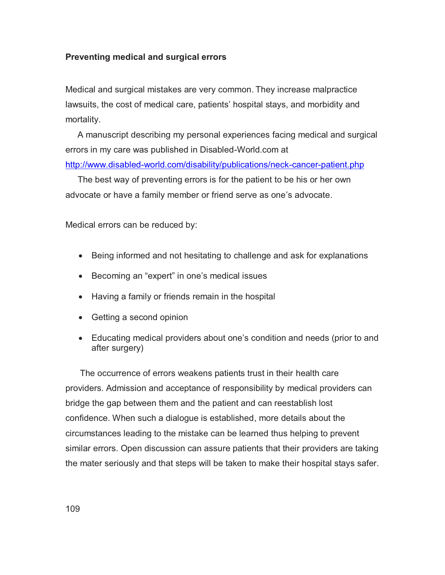## **Preventing medical and surgical errors**

Medical and surgical mistakes are very common. They increase malpractice lawsuits, the cost of medical care, patients' hospital stays, and morbidity and mortality.

 A manuscript describing my personal experiences facing medical and surgical errors in my care was published in Disabled-World.com at

http://www.disabled-world.com/disability/publications/neck-cancer-patient.php

 The best way of preventing errors is for the patient to be his or her own advocate or have a family member or friend serve as one's advocate.

Medical errors can be reduced by:

- Being informed and not hesitating to challenge and ask for explanations
- Becoming an "expert" in one's medical issues
- Having a family or friends remain in the hospital
- Getting a second opinion
- Educating medical providers about one's condition and needs (prior to and after surgery)

 The occurrence of errors weakens patients trust in their health care providers. Admission and acceptance of responsibility by medical providers can bridge the gap between them and the patient and can reestablish lost confidence. When such a dialogue is established, more details about the circumstances leading to the mistake can be learned thus helping to prevent similar errors. Open discussion can assure patients that their providers are taking the mater seriously and that steps will be taken to make their hospital stays safer.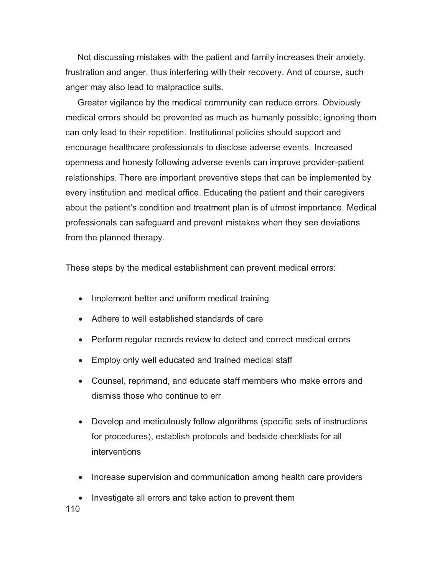Not discussing mistakes with the patient and family increases their anxiety, frustration and anger, thus interfering with their recovery. And of course, such anger may also lead to malpractice suits.

 Greater vigilance by the medical community can reduce errors. Obviously medical errors should be prevented as much as humanly possible; ignoring them can only lead to their repetition. Institutional policies should support and encourage healthcare professionals to disclose adverse events. Increased openness and honesty following adverse events can improve provider-patient relationships. There are important preventive steps that can be implemented by every institution and medical office. Educating the patient and their caregivers about the patient's condition and treatment plan is of utmost importance. Medical professionals can safeguard and prevent mistakes when they see deviations from the planned therapy.

These steps by the medical establishment can prevent medical errors:

- Implement better and uniform medical training
- Adhere to well established standards of care
- Perform regular records review to detect and correct medical errors
- Employ only well educated and trained medical staff
- Counsel, reprimand, and educate staff members who make errors and dismiss those who continue to err
- Develop and meticulously follow algorithms (specific sets of instructions for procedures), establish protocols and bedside checklists for all interventions
- Increase supervision and communication among health care providers
- Investigate all errors and take action to prevent them

110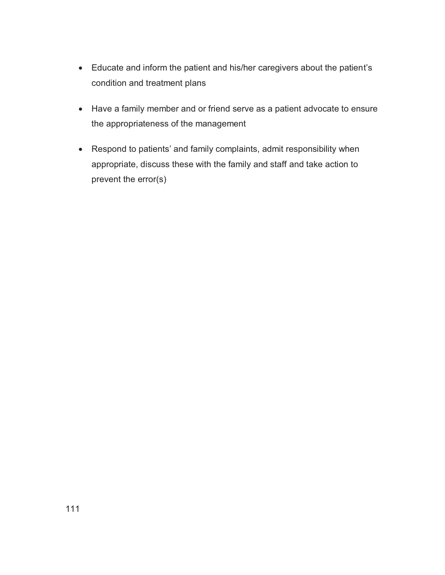- Educate and inform the patient and his/her caregivers about the patient's condition and treatment plans
- Have a family member and or friend serve as a patient advocate to ensure the appropriateness of the management
- Respond to patients' and family complaints, admit responsibility when appropriate, discuss these with the family and staff and take action to prevent the error(s)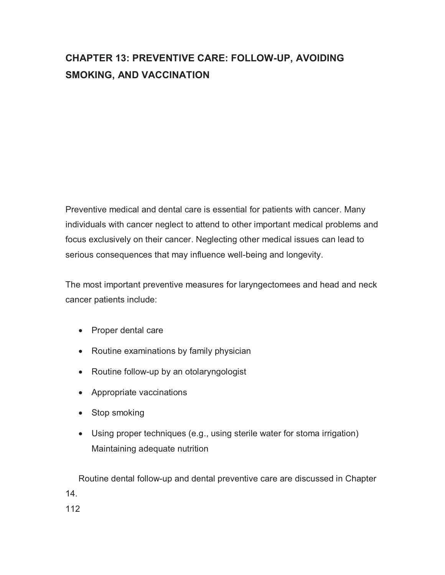## **CHAPTER 13: PREVENTIVE CARE: FOLLOW-UP, AVOIDING SMOKING, AND VACCINATION**

Preventive medical and dental care is essential for patients with cancer. Many individuals with cancer neglect to attend to other important medical problems and focus exclusively on their cancer. Neglecting other medical issues can lead to serious consequences that may influence well-being and longevity.

The most important preventive measures for laryngectomees and head and neck cancer patients include:

- Proper dental care
- Routine examinations by family physician
- Routine follow-up by an otolaryngologist
- Appropriate vaccinations
- Stop smoking
- Using proper techniques (e.g., using sterile water for stoma irrigation) Maintaining adequate nutrition

Routine dental follow-up and dental preventive care are discussed in Chapter 14.

112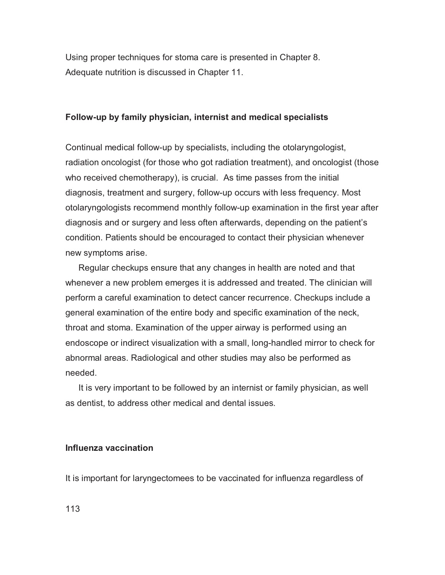Using proper techniques for stoma care is presented in Chapter 8. Adequate nutrition is discussed in Chapter 11.

#### **Follow-up by family physician, internist and medical specialists**

Continual medical follow-up by specialists, including the otolaryngologist, radiation oncologist (for those who got radiation treatment), and oncologist (those who received chemotherapy), is crucial. As time passes from the initial diagnosis, treatment and surgery, follow-up occurs with less frequency. Most otolaryngologists recommend monthly follow-up examination in the first year after diagnosis and or surgery and less often afterwards, depending on the patient's condition. Patients should be encouraged to contact their physician whenever new symptoms arise.

Regular checkups ensure that any changes in health are noted and that whenever a new problem emerges it is addressed and treated. The clinician will perform a careful examination to detect cancer recurrence. Checkups include a general examination of the entire body and specific examination of the neck, throat and stoma. Examination of the upper airway is performed using an endoscope or indirect visualization with a small, long-handled mirror to check for abnormal areas. Radiological and other studies may also be performed as needed.

It is very important to be followed by an internist or family physician, as well as dentist, to address other medical and dental issues.

### **Influenza vaccination**

It is important for laryngectomees to be vaccinated for influenza regardless of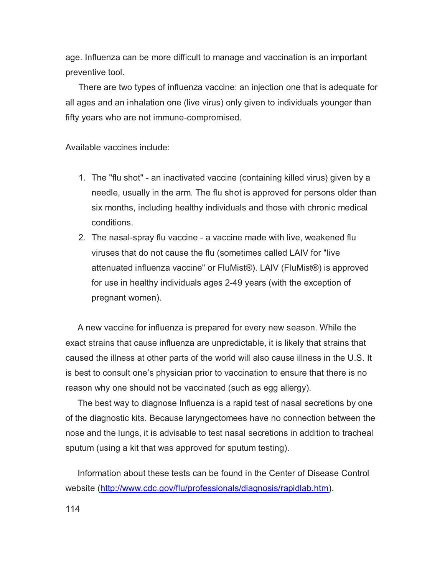age. Influenza can be more difficult to manage and vaccination is an important preventive tool.

There are two types of influenza vaccine: an injection one that is adequate for all ages and an inhalation one (live virus) only given to individuals younger than fifty years who are not immune-compromised.

Available vaccines include:

- 1. The "flu shot" an inactivated vaccine (containing killed virus) given by a needle, usually in the arm. The flu shot is approved for persons older than six months, including healthy individuals and those with chronic medical conditions.
- 2. The nasal-spray flu vaccine a vaccine made with live, weakened flu viruses that do not cause the flu (sometimes called LAIV for "live attenuated influenza vaccine" or FluMist®). LAIV (FluMist®) is approved for use in healthy individuals ages 2-49 years (with the exception of pregnant women).

 A new vaccine for influenza is prepared for every new season. While the exact strains that cause influenza are unpredictable, it is likely that strains that caused the illness at other parts of the world will also cause illness in the U.S. It is best to consult one's physician prior to vaccination to ensure that there is no reason why one should not be vaccinated (such as egg allergy).

 The best way to diagnose Influenza is a rapid test of nasal secretions by one of the diagnostic kits. Because laryngectomees have no connection between the nose and the lungs, it is advisable to test nasal secretions in addition to tracheal sputum (using a kit that was approved for sputum testing).

 Information about these tests can be found in the Center of Disease Control website (http://www.cdc.gov/flu/professionals/diagnosis/rapidlab.htm).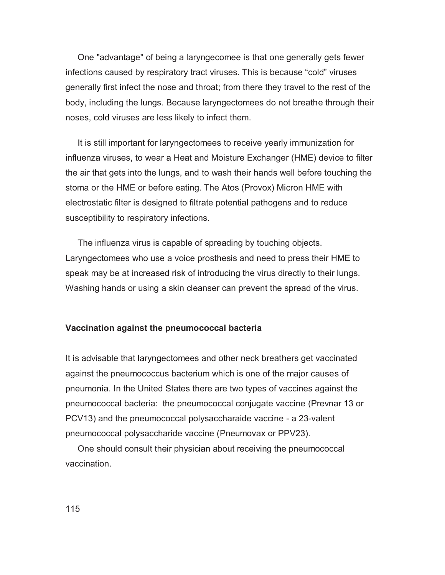One "advantage" of being a laryngecomee is that one generally gets fewer infections caused by respiratory tract viruses. This is because "cold" viruses generally first infect the nose and throat; from there they travel to the rest of the body, including the lungs. Because laryngectomees do not breathe through their noses, cold viruses are less likely to infect them.

 It is still important for laryngectomees to receive yearly immunization for influenza viruses, to wear a Heat and Moisture Exchanger (HME) device to filter the air that gets into the lungs, and to wash their hands well before touching the stoma or the HME or before eating. The Atos (Provox) Micron HME with electrostatic filter is designed to filtrate potential pathogens and to reduce susceptibility to respiratory infections.

 The influenza virus is capable of spreading by touching objects. Laryngectomees who use a voice prosthesis and need to press their HME to speak may be at increased risk of introducing the virus directly to their lungs. Washing hands or using a skin cleanser can prevent the spread of the virus.

#### **Vaccination against the pneumococcal bacteria**

It is advisable that laryngectomees and other neck breathers get vaccinated against the pneumococcus bacterium which is one of the major causes of pneumonia. In the United States there are two types of vaccines against the pneumococcal bacteria: the pneumococcal conjugate vaccine (Prevnar 13 or PCV13) and the pneumococcal polysaccharaide vaccine - a 23-valent pneumococcal polysaccharide vaccine (Pneumovax or PPV23).

 One should consult their physician about receiving the pneumococcal vaccination.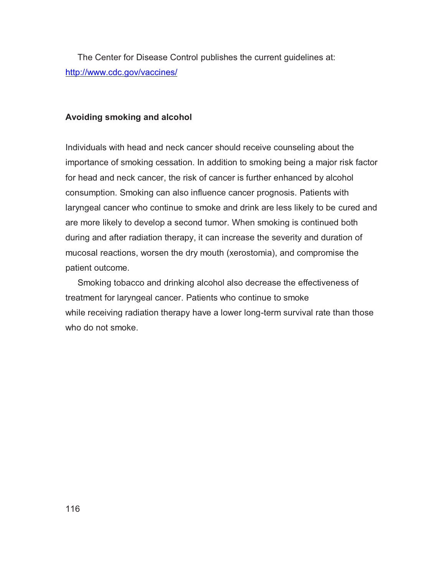The Center for Disease Control publishes the current guidelines at: http://www.cdc.gov/vaccines/

### **Avoiding smoking and alcohol**

Individuals with head and neck cancer should receive counseling about the importance of smoking cessation. In addition to smoking being a major risk factor for head and neck cancer, the risk of cancer is further enhanced by alcohol consumption. Smoking can also influence cancer prognosis. Patients with laryngeal cancer who continue to smoke and drink are less likely to be cured and are more likely to develop a second tumor. When smoking is continued both during and after radiation therapy, it can increase the severity and duration of mucosal reactions, worsen the dry mouth (xerostomia), and compromise the patient outcome.

 Smoking tobacco and drinking alcohol also decrease the effectiveness of treatment for laryngeal cancer. Patients who continue to smoke while receiving radiation therapy have a lower long-term survival rate than those who do not smoke.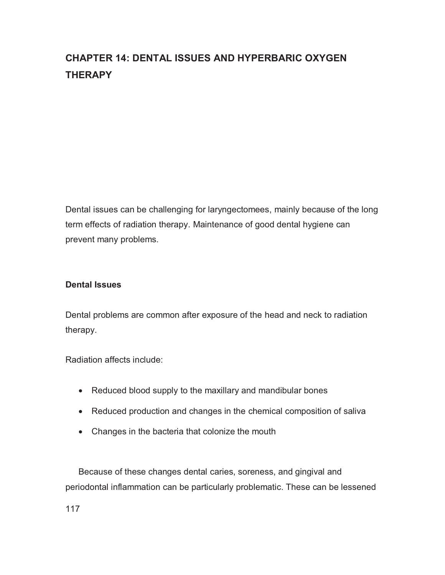## **CHAPTER 14: DENTAL ISSUES AND HYPERBARIC OXYGEN THERAPY**

Dental issues can be challenging for laryngectomees, mainly because of the long term effects of radiation therapy. Maintenance of good dental hygiene can prevent many problems.

## **Dental Issues**

Dental problems are common after exposure of the head and neck to radiation therapy.

Radiation affects include:

- Reduced blood supply to the maxillary and mandibular bones
- Reduced production and changes in the chemical composition of saliva
- Changes in the bacteria that colonize the mouth

Because of these changes dental caries, soreness, and gingival and periodontal inflammation can be particularly problematic. These can be lessened

117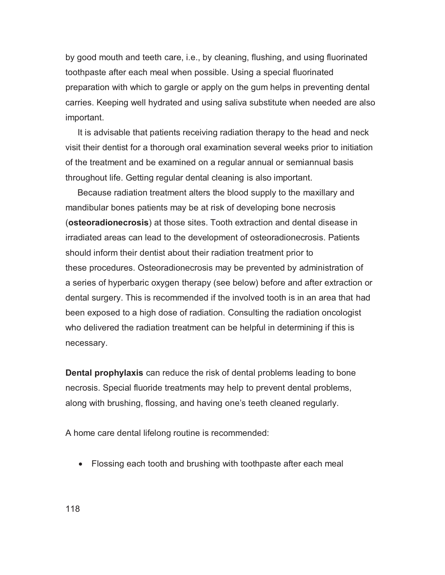by good mouth and teeth care, i.e., by cleaning, flushing, and using fluorinated toothpaste after each meal when possible. Using a special fluorinated preparation with which to gargle or apply on the gum helps in preventing dental carries. Keeping well hydrated and using saliva substitute when needed are also important.

 It is advisable that patients receiving radiation therapy to the head and neck visit their dentist for a thorough oral examination several weeks prior to initiation of the treatment and be examined on a regular annual or semiannual basis throughout life. Getting regular dental cleaning is also important.

 Because radiation treatment alters the blood supply to the maxillary and mandibular bones patients may be at risk of developing bone necrosis (**osteoradionecrosis**) at those sites. Tooth extraction and dental disease in irradiated areas can lead to the development of osteoradionecrosis. Patients should inform their dentist about their radiation treatment prior to these procedures. Osteoradionecrosis may be prevented by administration of a series of hyperbaric oxygen therapy (see below) before and after extraction or dental surgery. This is recommended if the involved tooth is in an area that had been exposed to a high dose of radiation. Consulting the radiation oncologist who delivered the radiation treatment can be helpful in determining if this is necessary.

**Dental prophylaxis** can reduce the risk of dental problems leading to bone necrosis. Special fluoride treatments may help to prevent dental problems, along with brushing, flossing, and having one's teeth cleaned regularly.

A home care dental lifelong routine is recommended:

- Flossing each tooth and brushing with toothpaste after each meal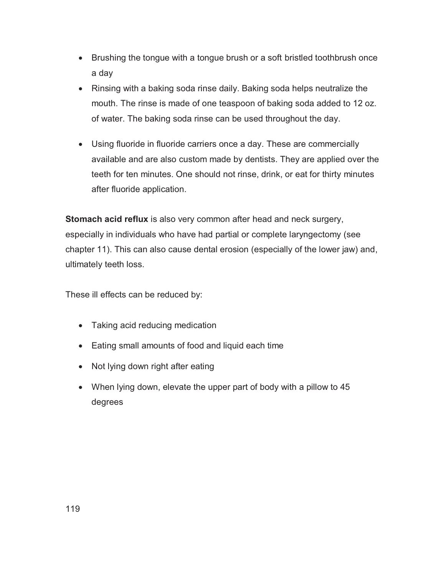- Brushing the tongue with a tongue brush or a soft bristled toothbrush once a day
- Rinsing with a baking soda rinse daily. Baking soda helps neutralize the mouth. The rinse is made of one teaspoon of baking soda added to 12 oz. of water. The baking soda rinse can be used throughout the day.
- Using fluoride in fluoride carriers once a day. These are commercially available and are also custom made by dentists. They are applied over the teeth for ten minutes. One should not rinse, drink, or eat for thirty minutes after fluoride application.

**Stomach acid reflux** is also very common after head and neck surgery, especially in individuals who have had partial or complete laryngectomy (see chapter 11). This can also cause dental erosion (especially of the lower jaw) and, ultimately teeth loss.

These ill effects can be reduced by:

- Taking acid reducing medication
- Eating small amounts of food and liquid each time
- Not lying down right after eating
- When lying down, elevate the upper part of body with a pillow to 45 degrees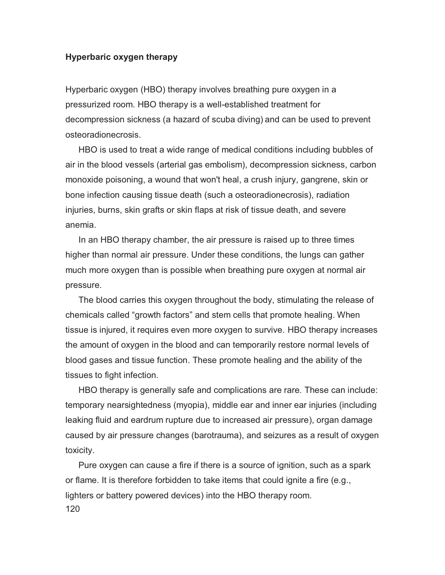### **Hyperbaric oxygen therapy**

Hyperbaric oxygen (HBO) therapy involves breathing pure oxygen in a pressurized room. HBO therapy is a well-established treatment for decompression sickness (a hazard of scuba diving) and can be used to prevent osteoradionecrosis.

HBO is used to treat a wide range of medical conditions including bubbles of air in the blood vessels (arterial gas embolism), decompression sickness, carbon monoxide poisoning, a wound that won't heal, a crush injury, gangrene, skin or bone infection causing tissue death (such a osteoradionecrosis), radiation injuries, burns, skin grafts or skin flaps at risk of tissue death, and severe anemia.

In an HBO therapy chamber, the air pressure is raised up to three times higher than normal air pressure. Under these conditions, the lungs can gather much more oxygen than is possible when breathing pure oxygen at normal air pressure.

The blood carries this oxygen throughout the body, stimulating the release of chemicals called "growth factors" and stem cells that promote healing. When tissue is injured, it requires even more oxygen to survive. HBO therapy increases the amount of oxygen in the blood and can temporarily restore normal levels of blood gases and tissue function. These promote healing and the ability of the tissues to fight infection.

HBO therapy is generally safe and complications are rare. These can include: temporary nearsightedness (myopia), middle ear and inner ear injuries (including leaking fluid and eardrum rupture due to increased air pressure), organ damage caused by air pressure changes (barotrauma), and seizures as a result of oxygen toxicity.

120 Pure oxygen can cause a fire if there is a source of ignition, such as a spark or flame. It is therefore forbidden to take items that could ignite a fire (e.g., lighters or battery powered devices) into the HBO therapy room.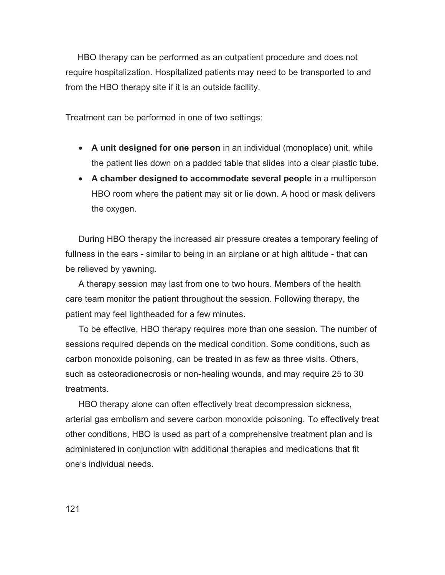HBO therapy can be performed as an outpatient procedure and does not require hospitalization. Hospitalized patients may need to be transported to and from the HBO therapy site if it is an outside facility.

Treatment can be performed in one of two settings:

- **A unit designed for one person** in an individual (monoplace) unit, while the patient lies down on a padded table that slides into a clear plastic tube.
- **A chamber designed to accommodate several people** in a multiperson HBO room where the patient may sit or lie down. A hood or mask delivers the oxygen.

During HBO therapy the increased air pressure creates a temporary feeling of fullness in the ears - similar to being in an airplane or at high altitude - that can be relieved by yawning.

A therapy session may last from one to two hours. Members of the health care team monitor the patient throughout the session. Following therapy, the patient may feel lightheaded for a few minutes.

To be effective, HBO therapy requires more than one session. The number of sessions required depends on the medical condition. Some conditions, such as carbon monoxide poisoning, can be treated in as few as three visits. Others, such as osteoradionecrosis or non-healing wounds, and may require 25 to 30 treatments.

HBO therapy alone can often effectively treat decompression sickness, arterial gas embolism and severe carbon monoxide poisoning. To effectively treat other conditions, HBO is used as part of a comprehensive treatment plan and is administered in conjunction with additional therapies and medications that fit one's individual needs.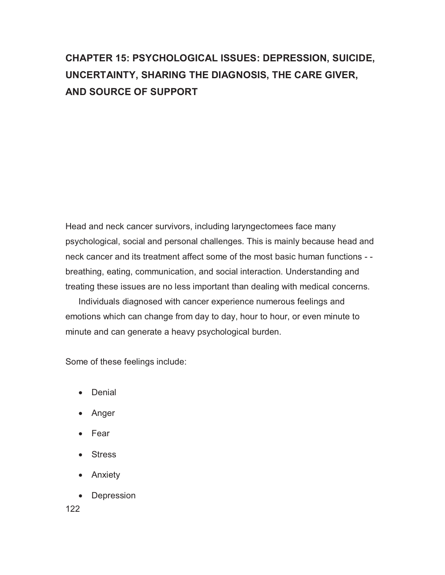## **CHAPTER 15: PSYCHOLOGICAL ISSUES: DEPRESSION, SUICIDE, UNCERTAINTY, SHARING THE DIAGNOSIS, THE CARE GIVER, AND SOURCE OF SUPPORT**

Head and neck cancer survivors, including laryngectomees face many psychological, social and personal challenges. This is mainly because head and neck cancer and its treatment affect some of the most basic human functions - breathing, eating, communication, and social interaction. Understanding and treating these issues are no less important than dealing with medical concerns.

Individuals diagnosed with cancer experience numerous feelings and emotions which can change from day to day, hour to hour, or even minute to minute and can generate a heavy psychological burden.

Some of these feelings include:

- Denial
- Anger
- Fear
- Stress
- Anxiety
- Depression

122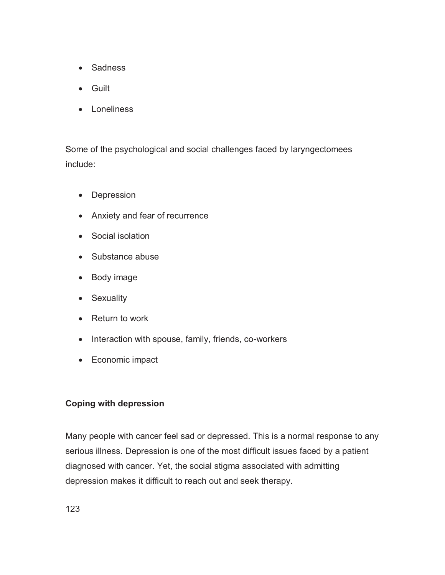- Sadness
- Guilt
- Loneliness

Some of the psychological and social challenges faced by laryngectomees include:

- Depression
- Anxiety and fear of recurrence
- Social isolation
- Substance abuse
- Body image
- Sexuality
- Return to work
- Interaction with spouse, family, friends, co-workers
- Economic impact

## **Coping with depression**

Many people with cancer feel sad or depressed. This is a normal response to any serious illness. Depression is one of the most difficult issues faced by a patient diagnosed with cancer. Yet, the social stigma associated with admitting depression makes it difficult to reach out and seek therapy.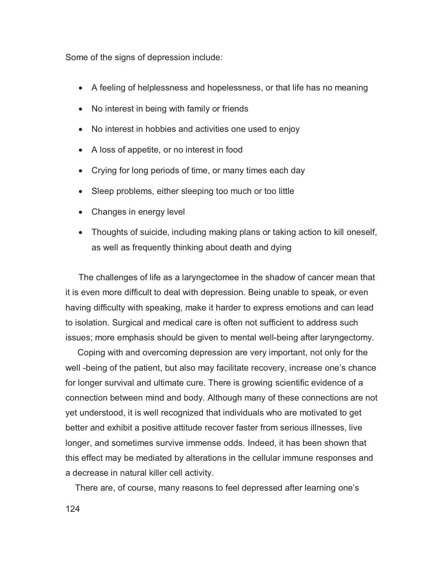Some of the signs of depression include:

- A feeling of helplessness and hopelessness, or that life has no meaning
- No interest in being with family or friends
- No interest in hobbies and activities one used to enjoy
- A loss of appetite, or no interest in food
- Crying for long periods of time, or many times each day
- Sleep problems, either sleeping too much or too little
- Changes in energy level
- Thoughts of suicide, including making plans or taking action to kill oneself, as well as frequently thinking about death and dying

The challenges of life as a laryngectomee in the shadow of cancer mean that it is even more difficult to deal with depression. Being unable to speak, or even having difficulty with speaking, make it harder to express emotions and can lead to isolation. Surgical and medical care is often not sufficient to address such issues; more emphasis should be given to mental well-being after laryngectomy.

 Coping with and overcoming depression are very important, not only for the well -being of the patient, but also may facilitate recovery, increase one's chance for longer survival and ultimate cure. There is growing scientific evidence of a connection between mind and body. Although many of these connections are not yet understood, it is well recognized that individuals who are motivated to get better and exhibit a positive attitude recover faster from serious illnesses, live longer, and sometimes survive immense odds. Indeed, it has been shown that this effect may be mediated by alterations in the cellular immune responses and a decrease in natural killer cell activity.

There are, of course, many reasons to feel depressed after learning one's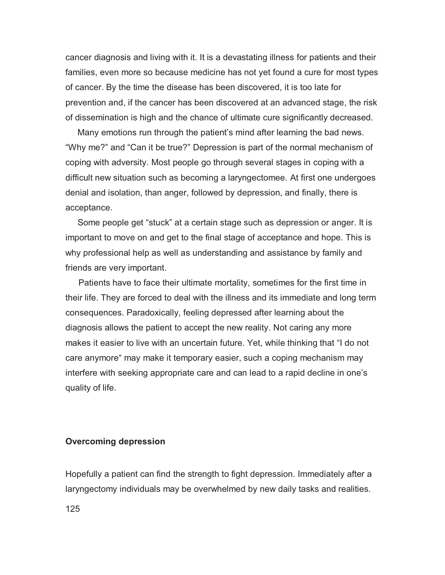cancer diagnosis and living with it. It is a devastating illness for patients and their families, even more so because medicine has not yet found a cure for most types of cancer. By the time the disease has been discovered, it is too late for prevention and, if the cancer has been discovered at an advanced stage, the risk of dissemination is high and the chance of ultimate cure significantly decreased.

 Many emotions run through the patient's mind after learning the bad news. "Why me?" and "Can it be true?" Depression is part of the normal mechanism of coping with adversity. Most people go through several stages in coping with a difficult new situation such as becoming a laryngectomee. At first one undergoes denial and isolation, than anger, followed by depression, and finally, there is acceptance.

 Some people get "stuck" at a certain stage such as depression or anger. It is important to move on and get to the final stage of acceptance and hope. This is why professional help as well as understanding and assistance by family and friends are very important.

Patients have to face their ultimate mortality, sometimes for the first time in their life. They are forced to deal with the illness and its immediate and long term consequences. Paradoxically, feeling depressed after learning about the diagnosis allows the patient to accept the new reality. Not caring any more makes it easier to live with an uncertain future. Yet, while thinking that "I do not care anymore" may make it temporary easier, such a coping mechanism may interfere with seeking appropriate care and can lead to a rapid decline in one's quality of life.

#### **Overcoming depression**

Hopefully a patient can find the strength to fight depression. Immediately after a laryngectomy individuals may be overwhelmed by new daily tasks and realities.

125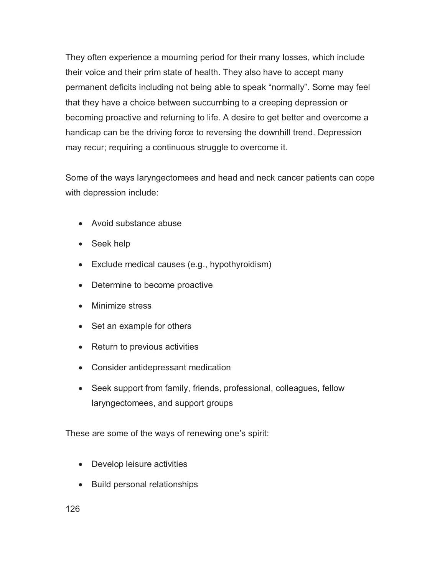They often experience a mourning period for their many losses, which include their voice and their prim state of health. They also have to accept many permanent deficits including not being able to speak "normally". Some may feel that they have a choice between succumbing to a creeping depression or becoming proactive and returning to life. A desire to get better and overcome a handicap can be the driving force to reversing the downhill trend. Depression may recur; requiring a continuous struggle to overcome it.

Some of the ways laryngectomees and head and neck cancer patients can cope with depression include:

- Avoid substance abuse
- Seek help
- Exclude medical causes (e.g., hypothyroidism)
- Determine to become proactive
- Minimize stress
- Set an example for others
- Return to previous activities
- Consider antidepressant medication
- Seek support from family, friends, professional, colleagues, fellow laryngectomees, and support groups

These are some of the ways of renewing one's spirit:

- Develop leisure activities
- Build personal relationships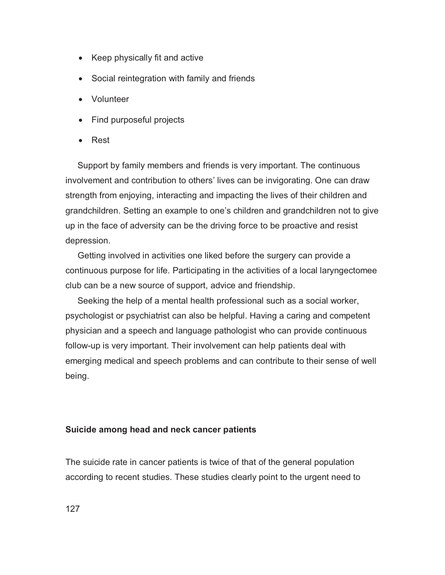- Keep physically fit and active
- Social reintegration with family and friends
- Volunteer
- Find purposeful projects
- -Rest

 Support by family members and friends is very important. The continuous involvement and contribution to others' lives can be invigorating. One can draw strength from enjoying, interacting and impacting the lives of their children and grandchildren. Setting an example to one's children and grandchildren not to give up in the face of adversity can be the driving force to be proactive and resist depression.

 Getting involved in activities one liked before the surgery can provide a continuous purpose for life. Participating in the activities of a local laryngectomee club can be a new source of support, advice and friendship.

 Seeking the help of a mental health professional such as a social worker, psychologist or psychiatrist can also be helpful. Having a caring and competent physician and a speech and language pathologist who can provide continuous follow-up is very important. Their involvement can help patients deal with emerging medical and speech problems and can contribute to their sense of well being.

### **Suicide among head and neck cancer patients**

The suicide rate in cancer patients is twice of that of the general population according to recent studies. These studies clearly point to the urgent need to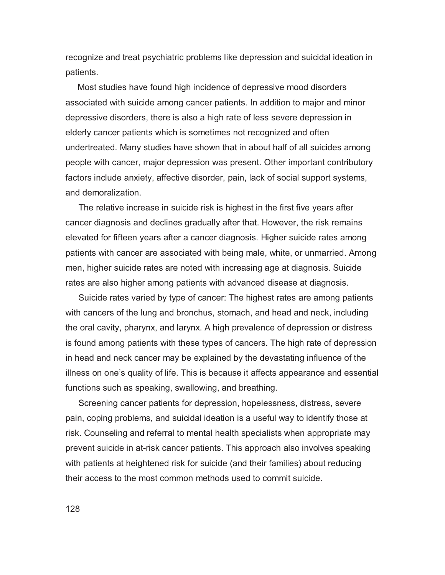recognize and treat psychiatric problems like depression and suicidal ideation in patients.

 Most studies have found high incidence of depressive mood disorders associated with suicide among cancer patients. In addition to major and minor depressive disorders, there is also a high rate of less severe depression in elderly cancer patients which is sometimes not recognized and often undertreated. Many studies have shown that in about half of all suicides among people with cancer, major depression was present. Other important contributory factors include anxiety, affective disorder, pain, lack of social support systems, and demoralization.

The relative increase in suicide risk is highest in the first five years after cancer diagnosis and declines gradually after that. However, the risk remains elevated for fifteen years after a cancer diagnosis. Higher suicide rates among patients with cancer are associated with being male, white, or unmarried. Among men, higher suicide rates are noted with increasing age at diagnosis. Suicide rates are also higher among patients with advanced disease at diagnosis.

Suicide rates varied by type of cancer: The highest rates are among patients with cancers of the lung and bronchus, stomach, and head and neck, including the oral cavity, pharynx, and larynx. A high prevalence of depression or distress is found among patients with these types of cancers. The high rate of depression in head and neck cancer may be explained by the devastating influence of the illness on one's quality of life. This is because it affects appearance and essential functions such as speaking, swallowing, and breathing.

Screening cancer patients for depression, hopelessness, distress, severe pain, coping problems, and suicidal ideation is a useful way to identify those at risk. Counseling and referral to mental health specialists when appropriate may prevent suicide in at-risk cancer patients. This approach also involves speaking with patients at heightened risk for suicide (and their families) about reducing their access to the most common methods used to commit suicide.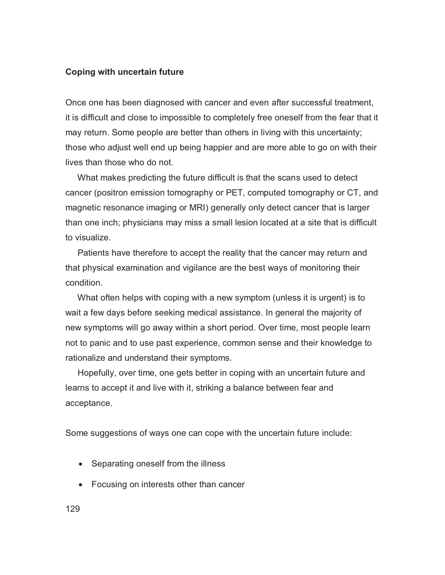### **Coping with uncertain future**

Once one has been diagnosed with cancer and even after successful treatment, it is difficult and close to impossible to completely free oneself from the fear that it may return. Some people are better than others in living with this uncertainty; those who adjust well end up being happier and are more able to go on with their lives than those who do not.

 What makes predicting the future difficult is that the scans used to detect cancer (positron emission tomography or PET, computed tomography or CT, and magnetic resonance imaging or MRI) generally only detect cancer that is larger than one inch; physicians may miss a small lesion located at a site that is difficult to visualize.

 Patients have therefore to accept the reality that the cancer may return and that physical examination and vigilance are the best ways of monitoring their condition.

 What often helps with coping with a new symptom (unless it is urgent) is to wait a few days before seeking medical assistance. In general the majority of new symptoms will go away within a short period. Over time, most people learn not to panic and to use past experience, common sense and their knowledge to rationalize and understand their symptoms.

 Hopefully, over time, one gets better in coping with an uncertain future and learns to accept it and live with it, striking a balance between fear and acceptance.

Some suggestions of ways one can cope with the uncertain future include:

- Separating oneself from the illness
- Focusing on interests other than cancer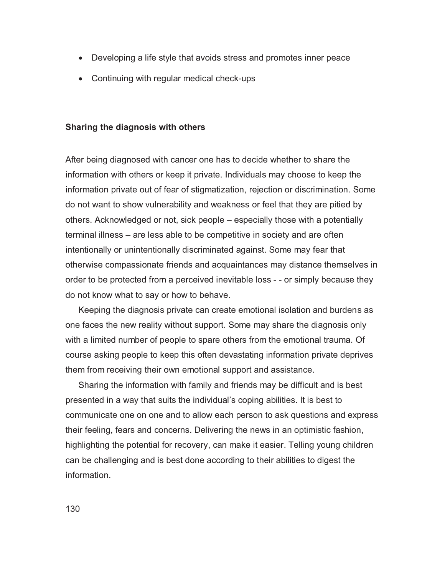- Developing a life style that avoids stress and promotes inner peace
- Continuing with regular medical check-ups

### **Sharing the diagnosis with others**

After being diagnosed with cancer one has to decide whether to share the information with others or keep it private. Individuals may choose to keep the information private out of fear of stigmatization, rejection or discrimination. Some do not want to show vulnerability and weakness or feel that they are pitied by others. Acknowledged or not, sick people – especially those with a potentially terminal illness – are less able to be competitive in society and are often intentionally or unintentionally discriminated against. Some may fear that otherwise compassionate friends and acquaintances may distance themselves in order to be protected from a perceived inevitable loss - - or simply because they do not know what to say or how to behave.

Keeping the diagnosis private can create emotional isolation and burdens as one faces the new reality without support. Some may share the diagnosis only with a limited number of people to spare others from the emotional trauma. Of course asking people to keep this often devastating information private deprives them from receiving their own emotional support and assistance.

Sharing the information with family and friends may be difficult and is best presented in a way that suits the individual's coping abilities. It is best to communicate one on one and to allow each person to ask questions and express their feeling, fears and concerns. Delivering the news in an optimistic fashion, highlighting the potential for recovery, can make it easier. Telling young children can be challenging and is best done according to their abilities to digest the information.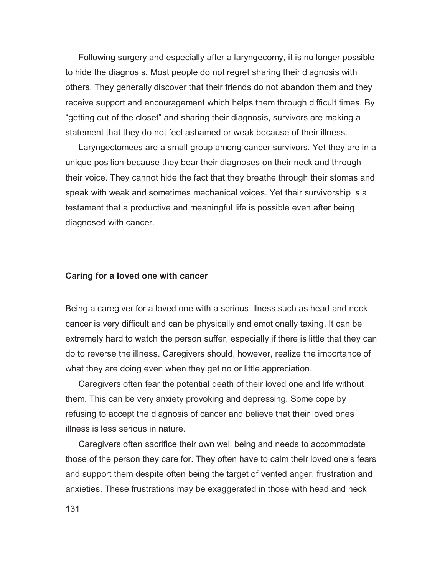Following surgery and especially after a laryngecomy, it is no longer possible to hide the diagnosis. Most people do not regret sharing their diagnosis with others. They generally discover that their friends do not abandon them and they receive support and encouragement which helps them through difficult times. By "getting out of the closet" and sharing their diagnosis, survivors are making a statement that they do not feel ashamed or weak because of their illness.

Laryngectomees are a small group among cancer survivors. Yet they are in a unique position because they bear their diagnoses on their neck and through their voice. They cannot hide the fact that they breathe through their stomas and speak with weak and sometimes mechanical voices. Yet their survivorship is a testament that a productive and meaningful life is possible even after being diagnosed with cancer.

#### **Caring for a loved one with cancer**

Being a caregiver for a loved one with a serious illness such as head and neck cancer is very difficult and can be physically and emotionally taxing. It can be extremely hard to watch the person suffer, especially if there is little that they can do to reverse the illness. Caregivers should, however, realize the importance of what they are doing even when they get no or little appreciation.

Caregivers often fear the potential death of their loved one and life without them. This can be very anxiety provoking and depressing. Some cope by refusing to accept the diagnosis of cancer and believe that their loved ones illness is less serious in nature.

Caregivers often sacrifice their own well being and needs to accommodate those of the person they care for. They often have to calm their loved one's fears and support them despite often being the target of vented anger, frustration and anxieties. These frustrations may be exaggerated in those with head and neck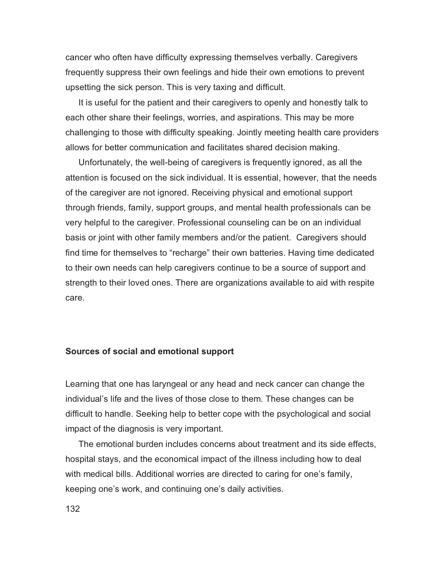cancer who often have difficulty expressing themselves verbally. Caregivers frequently suppress their own feelings and hide their own emotions to prevent upsetting the sick person. This is very taxing and difficult.

It is useful for the patient and their caregivers to openly and honestly talk to each other share their feelings, worries, and aspirations. This may be more challenging to those with difficulty speaking. Jointly meeting health care providers allows for better communication and facilitates shared decision making.

Unfortunately, the well-being of caregivers is frequently ignored, as all the attention is focused on the sick individual. It is essential, however, that the needs of the caregiver are not ignored. Receiving physical and emotional support through friends, family, support groups, and mental health professionals can be very helpful to the caregiver. Professional counseling can be on an individual basis or joint with other family members and/or the patient. Caregivers should find time for themselves to "recharge" their own batteries. Having time dedicated to their own needs can help caregivers continue to be a source of support and strength to their loved ones. There are organizations available to aid with respite care.

### **Sources of social and emotional support**

Learning that one has laryngeal or any head and neck cancer can change the individual's life and the lives of those close to them. These changes can be difficult to handle. Seeking help to better cope with the psychological and social impact of the diagnosis is very important.

The emotional burden includes concerns about treatment and its side effects, hospital stays, and the economical impact of the illness including how to deal with medical bills. Additional worries are directed to caring for one's family, keeping one's work, and continuing one's daily activities.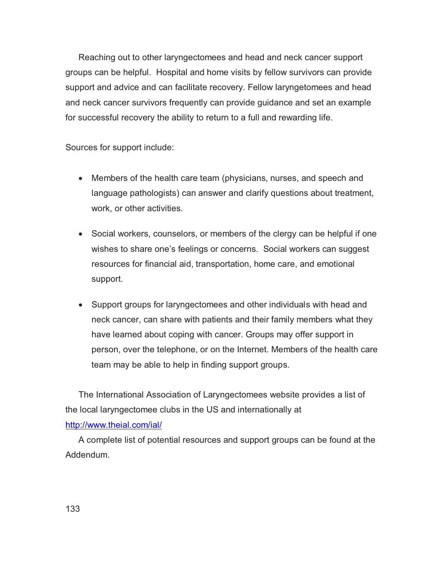Reaching out to other laryngectomees and head and neck cancer support groups can be helpful. Hospital and home visits by fellow survivors can provide support and advice and can facilitate recovery. Fellow laryngetomees and head and neck cancer survivors frequently can provide guidance and set an example for successful recovery the ability to return to a full and rewarding life.

Sources for support include:

- Members of the health care team (physicians, nurses, and speech and language pathologists) can answer and clarify questions about treatment, work, or other activities.
- Social workers, counselors, or members of the clergy can be helpful if one wishes to share one's feelings or concerns. Social workers can suggest resources for financial aid, transportation, home care, and emotional support.
- Support groups for laryngectomees and other individuals with head and neck cancer, can share with patients and their family members what they have learned about coping with cancer. Groups may offer support in person, over the telephone, or on the Internet. Members of the health care team may be able to help in finding support groups.

The International Association of Laryngectomees website provides a list of the local laryngectomee clubs in the US and internationally at http://www.theial.com/ial/

A complete list of potential resources and support groups can be found at the Addendum.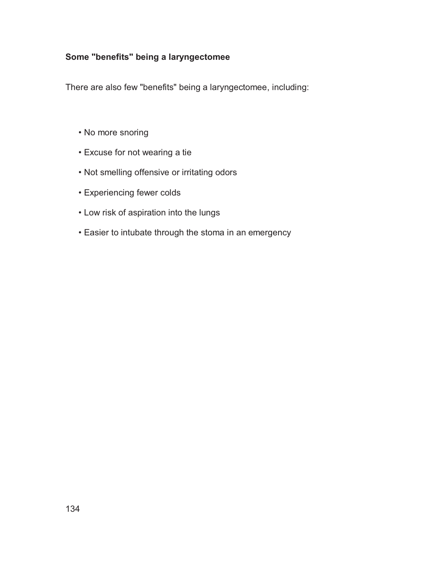## **Some "benefits" being a laryngectomee**

There are also few "benefits" being a laryngectomee, including:

- No more snoring
- Excuse for not wearing a tie
- Not smelling offensive or irritating odors
- Experiencing fewer colds
- Low risk of aspiration into the lungs
- Easier to intubate through the stoma in an emergency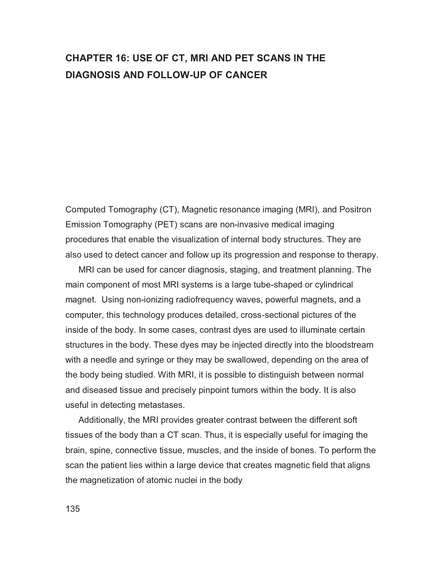## **CHAPTER 16: USE OF CT, MRI AND PET SCANS IN THE DIAGNOSIS AND FOLLOW-UP OF CANCER**

Computed Tomography (CT), Magnetic resonance imaging (MRI), and Positron Emission Tomography (PET) scans are non-invasive medical imaging procedures that enable the visualization of internal body structures. They are also used to detect cancer and follow up its progression and response to therapy.

MRI can be used for cancer diagnosis, staging, and treatment planning. The main component of most MRI systems is a large tube-shaped or cylindrical magnet. Using non-ionizing radiofrequency waves, powerful magnets, and a computer, this technology produces detailed, cross-sectional pictures of the inside of the body. In some cases, contrast dyes are used to illuminate certain structures in the body. These dyes may be injected directly into the bloodstream with a needle and syringe or they may be swallowed, depending on the area of the body being studied. With MRI, it is possible to distinguish between normal and diseased tissue and precisely pinpoint tumors within the body. It is also useful in detecting metastases.

Additionally, the MRI provides greater contrast between the different soft tissues of the body than a CT scan. Thus, it is especially useful for imaging the brain, spine, connective tissue, muscles, and the inside of bones. To perform the scan the patient lies within a large device that creates magnetic field that aligns the magnetization of atomic nuclei in the body.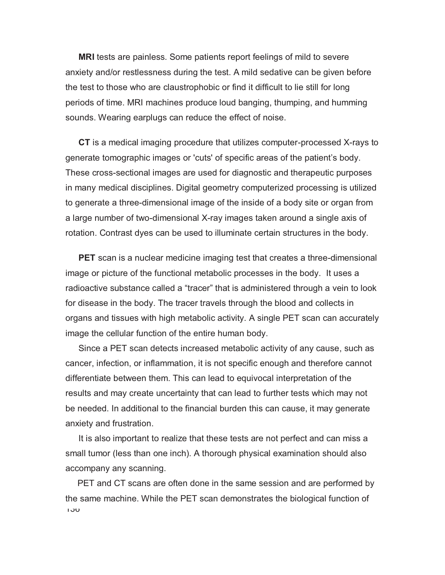**MRI** tests are painless. Some patients report feelings of mild to severe anxiety and/or restlessness during the test. A mild sedative can be given before the test to those who are claustrophobic or find it difficult to lie still for long periods of time. MRI machines produce loud banging, thumping, and humming sounds. Wearing earplugs can reduce the effect of noise.

**CT** is a medical imaging procedure that utilizes computer-processed X-rays to generate tomographic images or 'cuts' of specific areas of the patient's body. These cross-sectional images are used for diagnostic and therapeutic purposes in many medical disciplines. Digital geometry computerized processing is utilized to generate a three-dimensional image of the inside of a body site or organ from a large number of two-dimensional X-ray images taken around a single axis of rotation. Contrast dyes can be used to illuminate certain structures in the body.

**PET** scan is a nuclear medicine imaging test that creates a three-dimensional image or picture of the functional metabolic processes in the body. It uses a radioactive substance called a "tracer" that is administered through a vein to look for disease in the body. The tracer travels through the blood and collects in organs and tissues with high metabolic activity. A single PET scan can accurately image the cellular function of the entire human body.

Since a PET scan detects increased metabolic activity of any cause, such as cancer, infection, or inflammation, it is not specific enough and therefore cannot differentiate between them. This can lead to equivocal interpretation of the results and may create uncertainty that can lead to further tests which may not be needed. In additional to the financial burden this can cause, it may generate anxiety and frustration.

It is also important to realize that these tests are not perfect and can miss a small tumor (less than one inch). A thorough physical examination should also accompany any scanning.

136 PET and CT scans are often done in the same session and are performed by the same machine. While the PET scan demonstrates the biological function of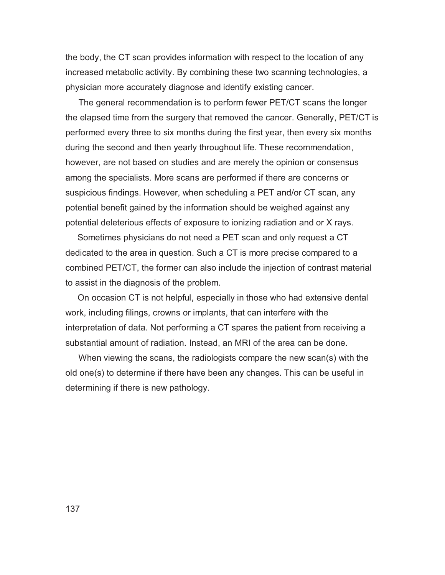the body, the CT scan provides information with respect to the location of any increased metabolic activity. By combining these two scanning technologies, a physician more accurately diagnose and identify existing cancer.

The general recommendation is to perform fewer PET/CT scans the longer the elapsed time from the surgery that removed the cancer. Generally, PET/CT is performed every three to six months during the first year, then every six months during the second and then yearly throughout life. These recommendation, however, are not based on studies and are merely the opinion or consensus among the specialists. More scans are performed if there are concerns or suspicious findings. However, when scheduling a PET and/or CT scan, any potential benefit gained by the information should be weighed against any potential deleterious effects of exposure to ionizing radiation and or X rays.

 Sometimes physicians do not need a PET scan and only request a CT dedicated to the area in question. Such a CT is more precise compared to a combined PET/CT, the former can also include the injection of contrast material to assist in the diagnosis of the problem.

 On occasion CT is not helpful, especially in those who had extensive dental work, including filings, crowns or implants, that can interfere with the interpretation of data. Not performing a CT spares the patient from receiving a substantial amount of radiation. Instead, an MRI of the area can be done.

When viewing the scans, the radiologists compare the new scan(s) with the old one(s) to determine if there have been any changes. This can be useful in determining if there is new pathology.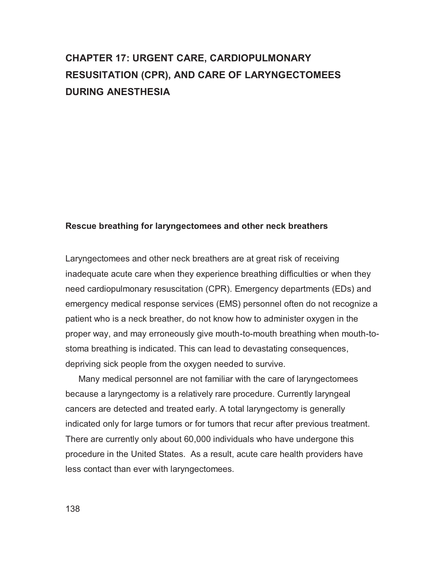## **CHAPTER 17: URGENT CARE, CARDIOPULMONARY RESUSITATION (CPR), AND CARE OF LARYNGECTOMEES DURING ANESTHESIA**

#### **Rescue breathing for laryngectomees and other neck breathers**

Laryngectomees and other neck breathers are at great risk of receiving inadequate acute care when they experience breathing difficulties or when they need cardiopulmonary resuscitation (CPR). Emergency departments (EDs) and emergency medical response services (EMS) personnel often do not recognize a patient who is a neck breather, do not know how to administer oxygen in the proper way, and may erroneously give mouth-to-mouth breathing when mouth-tostoma breathing is indicated. This can lead to devastating consequences, depriving sick people from the oxygen needed to survive.

Many medical personnel are not familiar with the care of laryngectomees because a laryngectomy is a relatively rare procedure. Currently laryngeal cancers are detected and treated early. A total laryngectomy is generally indicated only for large tumors or for tumors that recur after previous treatment. There are currently only about 60,000 individuals who have undergone this procedure in the United States. As a result, acute care health providers have less contact than ever with laryngectomees.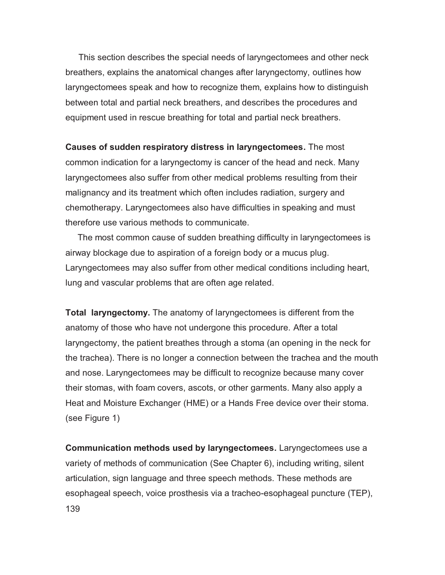This section describes the special needs of laryngectomees and other neck breathers, explains the anatomical changes after laryngectomy, outlines how laryngectomees speak and how to recognize them, explains how to distinguish between total and partial neck breathers, and describes the procedures and equipment used in rescue breathing for total and partial neck breathers.

**Causes of sudden respiratory distress in laryngectomees.** The most common indication for a laryngectomy is cancer of the head and neck. Many laryngectomees also suffer from other medical problems resulting from their malignancy and its treatment which often includes radiation, surgery and chemotherapy. Laryngectomees also have difficulties in speaking and must therefore use various methods to communicate.

 The most common cause of sudden breathing difficulty in laryngectomees is airway blockage due to aspiration of a foreign body or a mucus plug. Laryngectomees may also suffer from other medical conditions including heart, lung and vascular problems that are often age related.

**Total laryngectomy.** The anatomy of laryngectomees is different from the anatomy of those who have not undergone this procedure. After a total laryngectomy, the patient breathes through a stoma (an opening in the neck for the trachea). There is no longer a connection between the trachea and the mouth and nose. Laryngectomees may be difficult to recognize because many cover their stomas, with foam covers, ascots, or other garments. Many also apply a Heat and Moisture Exchanger (HME) or a Hands Free device over their stoma. (see Figure 1)

139 **Communication methods used by laryngectomees.** Laryngectomees use a variety of methods of communication (See Chapter 6), including writing, silent articulation, sign language and three speech methods. These methods are esophageal speech, voice prosthesis via a tracheo-esophageal puncture (TEP),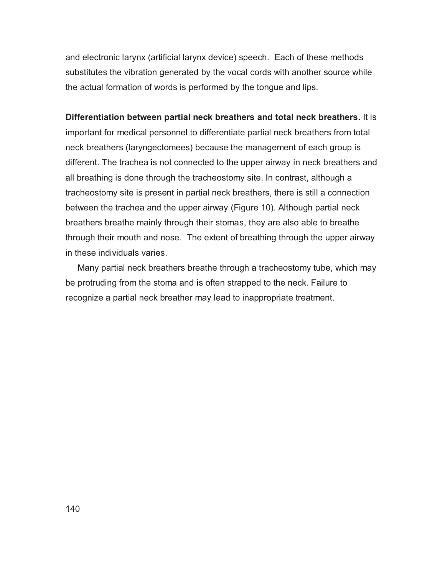and electronic larynx (artificial larynx device) speech. Each of these methods substitutes the vibration generated by the vocal cords with another source while the actual formation of words is performed by the tongue and lips.

**Differentiation between partial neck breathers and total neck breathers.** It is important for medical personnel to differentiate partial neck breathers from total neck breathers (laryngectomees) because the management of each group is different. The trachea is not connected to the upper airway in neck breathers and all breathing is done through the tracheostomy site. In contrast, although a tracheostomy site is present in partial neck breathers, there is still a connection between the trachea and the upper airway (Figure 10). Although partial neck breathers breathe mainly through their stomas, they are also able to breathe through their mouth and nose. The extent of breathing through the upper airway in these individuals varies.

 Many partial neck breathers breathe through a tracheostomy tube, which may be protruding from the stoma and is often strapped to the neck. Failure to recognize a partial neck breather may lead to inappropriate treatment.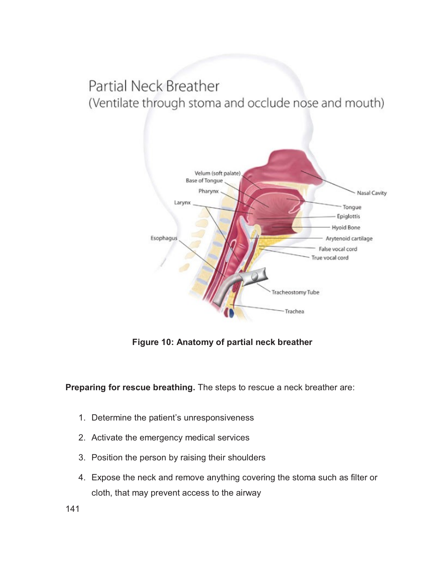# Partial Neck Breather (Ventilate through stoma and occlude nose and mouth)



**Figure 10: Anatomy of partial neck breather** 

**Preparing for rescue breathing.** The steps to rescue a neck breather are:

- 1. Determine the patient's unresponsiveness
- 2. Activate the emergency medical services
- 3. Position the person by raising their shoulders
- 4. Expose the neck and remove anything covering the stoma such as filter or cloth, that may prevent access to the airway

141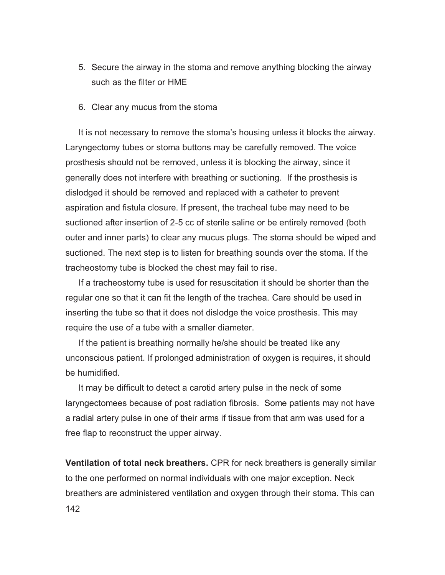- 5. Secure the airway in the stoma and remove anything blocking the airway such as the filter or HME
- 6. Clear any mucus from the stoma

It is not necessary to remove the stoma's housing unless it blocks the airway. Laryngectomy tubes or stoma buttons may be carefully removed. The voice prosthesis should not be removed, unless it is blocking the airway, since it generally does not interfere with breathing or suctioning. If the prosthesis is dislodged it should be removed and replaced with a catheter to prevent aspiration and fistula closure. If present, the tracheal tube may need to be suctioned after insertion of 2-5 cc of sterile saline or be entirely removed (both outer and inner parts) to clear any mucus plugs. The stoma should be wiped and suctioned. The next step is to listen for breathing sounds over the stoma. If the tracheostomy tube is blocked the chest may fail to rise.

If a tracheostomy tube is used for resuscitation it should be shorter than the regular one so that it can fit the length of the trachea. Care should be used in inserting the tube so that it does not dislodge the voice prosthesis. This may require the use of a tube with a smaller diameter.

If the patient is breathing normally he/she should be treated like any unconscious patient. If prolonged administration of oxygen is requires, it should be humidified.

It may be difficult to detect a carotid artery pulse in the neck of some laryngectomees because of post radiation fibrosis. Some patients may not have a radial artery pulse in one of their arms if tissue from that arm was used for a free flap to reconstruct the upper airway.

142 **Ventilation of total neck breathers.** CPR for neck breathers is generally similar to the one performed on normal individuals with one major exception. Neck breathers are administered ventilation and oxygen through their stoma. This can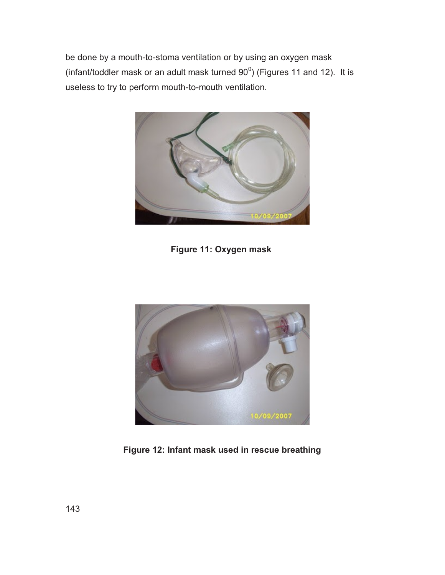be done by a mouth-to-stoma ventilation or by using an oxygen mask (infant/toddler mask or an adult mask turned  $90^0$ ) (Figures 11 and 12). It is useless to try to perform mouth-to-mouth ventilation.



**Figure 11: Oxygen mask**



**Figure 12: Infant mask used in rescue breathing**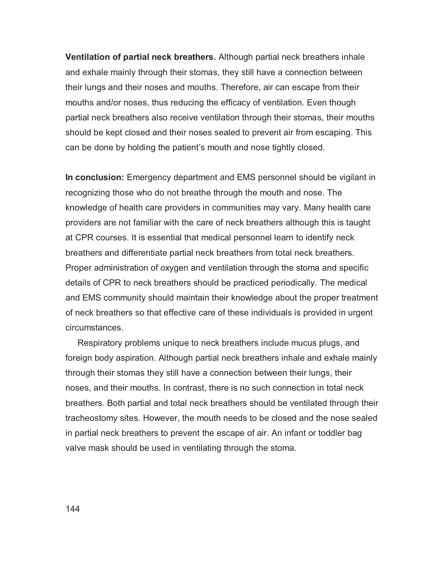**Ventilation of partial neck breathers.** Although partial neck breathers inhale and exhale mainly through their stomas, they still have a connection between their lungs and their noses and mouths. Therefore, air can escape from their mouths and/or noses, thus reducing the efficacy of ventilation. Even though partial neck breathers also receive ventilation through their stomas, their mouths should be kept closed and their noses sealed to prevent air from escaping. This can be done by holding the patient's mouth and nose tightly closed.

**In conclusion:** Emergency department and EMS personnel should be vigilant in recognizing those who do not breathe through the mouth and nose. The knowledge of health care providers in communities may vary. Many health care providers are not familiar with the care of neck breathers although this is taught at CPR courses. It is essential that medical personnel learn to identify neck breathers and differentiate partial neck breathers from total neck breathers. Proper administration of oxygen and ventilation through the stoma and specific details of CPR to neck breathers should be practiced periodically. The medical and EMS community should maintain their knowledge about the proper treatment of neck breathers so that effective care of these individuals is provided in urgent circumstances.

 Respiratory problems unique to neck breathers include mucus plugs, and foreign body aspiration. Although partial neck breathers inhale and exhale mainly through their stomas they still have a connection between their lungs, their noses, and their mouths. In contrast, there is no such connection in total neck breathers. Both partial and total neck breathers should be ventilated through their tracheostomy sites. However, the mouth needs to be closed and the nose sealed in partial neck breathers to prevent the escape of air. An infant or toddler bag valve mask should be used in ventilating through the stoma.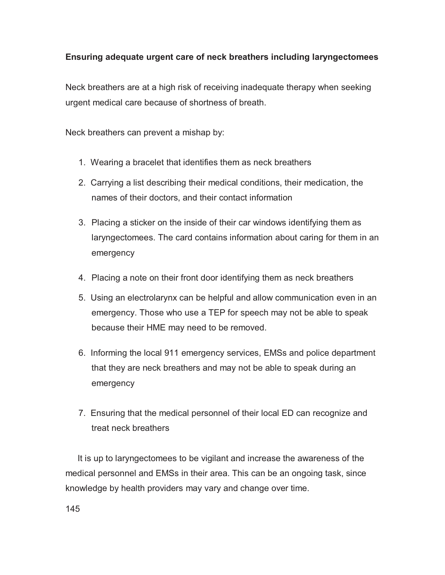# **Ensuring adequate urgent care of neck breathers including laryngectomees**

Neck breathers are at a high risk of receiving inadequate therapy when seeking urgent medical care because of shortness of breath.

Neck breathers can prevent a mishap by:

- 1. Wearing a bracelet that identifies them as neck breathers
- 2. Carrying a list describing their medical conditions, their medication, the names of their doctors, and their contact information
- 3. Placing a sticker on the inside of their car windows identifying them as laryngectomees. The card contains information about caring for them in an emergency
- 4. Placing a note on their front door identifying them as neck breathers
- 5. Using an electrolarynx can be helpful and allow communication even in an emergency. Those who use a TEP for speech may not be able to speak because their HME may need to be removed.
- 6. Informing the local 911 emergency services, EMSs and police department that they are neck breathers and may not be able to speak during an emergency
- 7. Ensuring that the medical personnel of their local ED can recognize and treat neck breathers

 It is up to laryngectomees to be vigilant and increase the awareness of the medical personnel and EMSs in their area. This can be an ongoing task, since knowledge by health providers may vary and change over time.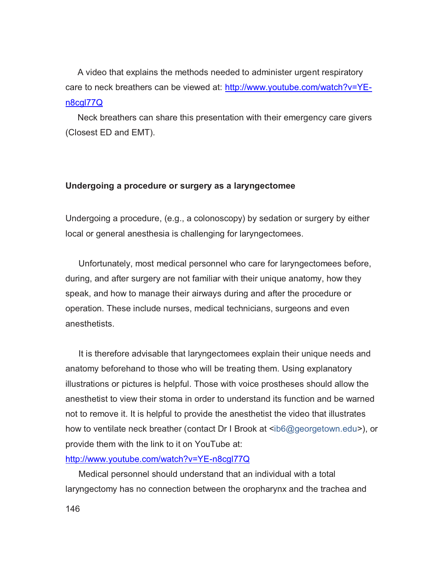A video that explains the methods needed to administer urgent respiratory care to neck breathers can be viewed at: http://www.youtube.com/watch?v=YEn8cgl77Q

 Neck breathers can share this presentation with their emergency care givers (Closest ED and EMT).

#### **Undergoing a procedure or surgery as a laryngectomee**

Undergoing a procedure, (e.g., a colonoscopy) by sedation or surgery by either local or general anesthesia is challenging for laryngectomees.

Unfortunately, most medical personnel who care for laryngectomees before, during, and after surgery are not familiar with their unique anatomy, how they speak, and how to manage their airways during and after the procedure or operation. These include nurses, medical technicians, surgeons and even anesthetists.

It is therefore advisable that laryngectomees explain their unique needs and anatomy beforehand to those who will be treating them. Using explanatory illustrations or pictures is helpful. Those with voice prostheses should allow the anesthetist to view their stoma in order to understand its function and be warned not to remove it. It is helpful to provide the anesthetist the video that illustrates how to ventilate neck breather (contact Dr I Brook at <ib6@georgetown.edu>), or provide them with the link to it on YouTube at:

#### http://www.youtube.com/watch?v=YE-n8cgl77Q

Medical personnel should understand that an individual with a total laryngectomy has no connection between the oropharynx and the trachea and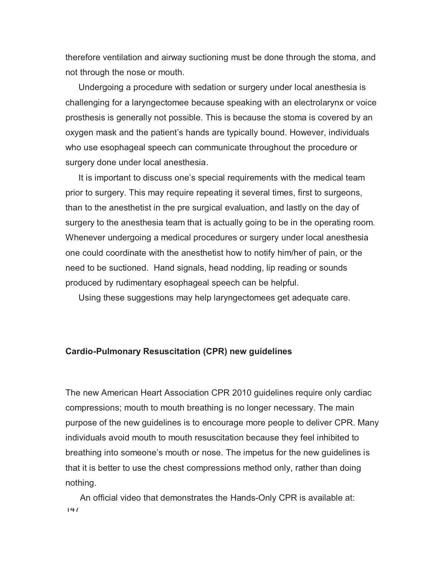therefore ventilation and airway suctioning must be done through the stoma, and not through the nose or mouth.

Undergoing a procedure with sedation or surgery under local anesthesia is challenging for a laryngectomee because speaking with an electrolarynx or voice prosthesis is generally not possible. This is because the stoma is covered by an oxygen mask and the patient's hands are typically bound. However, individuals who use esophageal speech can communicate throughout the procedure or surgery done under local anesthesia.

It is important to discuss one's special requirements with the medical team prior to surgery. This may require repeating it several times, first to surgeons, than to the anesthetist in the pre surgical evaluation, and lastly on the day of surgery to the anesthesia team that is actually going to be in the operating room. Whenever undergoing a medical procedures or surgery under local anesthesia one could coordinate with the anesthetist how to notify him/her of pain, or the need to be suctioned. Hand signals, head nodding, lip reading or sounds produced by rudimentary esophageal speech can be helpful.

Using these suggestions may help laryngectomees get adequate care.

#### **Cardio-Pulmonary Resuscitation (CPR) new guidelines**

The new American Heart Association CPR 2010 guidelines require only cardiac compressions; mouth to mouth breathing is no longer necessary. The main purpose of the new guidelines is to encourage more people to deliver CPR. Many individuals avoid mouth to mouth resuscitation because they feel inhibited to breathing into someone's mouth or nose. The impetus for the new guidelines is that it is better to use the chest compressions method only, rather than doing nothing.

 $147$ An official video that demonstrates the Hands-Only CPR is available at: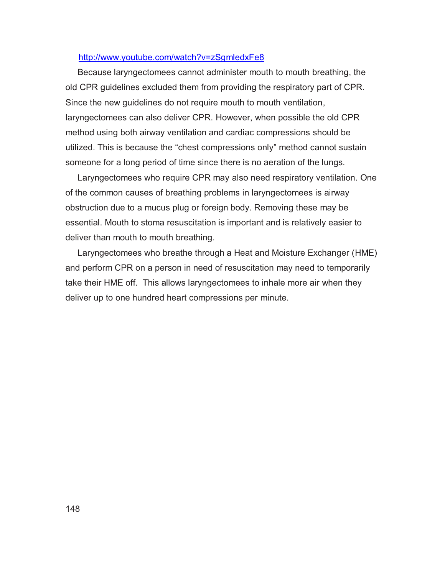#### http://www.youtube.com/watch?v=zSgmledxFe8

 Because laryngectomees cannot administer mouth to mouth breathing, the old CPR guidelines excluded them from providing the respiratory part of CPR. Since the new guidelines do not require mouth to mouth ventilation, laryngectomees can also deliver CPR. However, when possible the old CPR method using both airway ventilation and cardiac compressions should be utilized. This is because the "chest compressions only" method cannot sustain someone for a long period of time since there is no aeration of the lungs.

 Laryngectomees who require CPR may also need respiratory ventilation. One of the common causes of breathing problems in laryngectomees is airway obstruction due to a mucus plug or foreign body. Removing these may be essential. Mouth to stoma resuscitation is important and is relatively easier to deliver than mouth to mouth breathing.

 Laryngectomees who breathe through a Heat and Moisture Exchanger (HME) and perform CPR on a person in need of resuscitation may need to temporarily take their HME off. This allows laryngectomees to inhale more air when they deliver up to one hundred heart compressions per minute.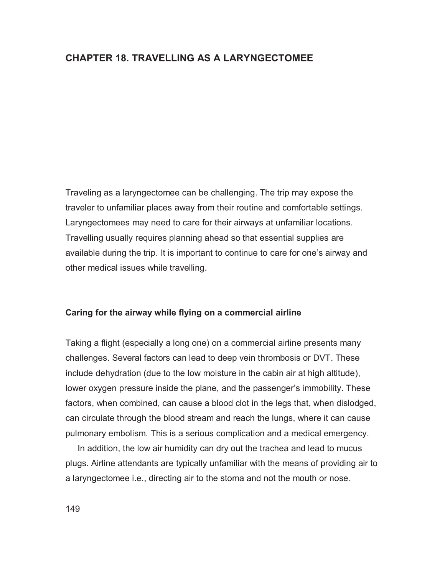#### **CHAPTER 18. TRAVELLING AS A LARYNGECTOMEE**

Traveling as a laryngectomee can be challenging. The trip may expose the traveler to unfamiliar places away from their routine and comfortable settings. Laryngectomees may need to care for their airways at unfamiliar locations. Travelling usually requires planning ahead so that essential supplies are available during the trip. It is important to continue to care for one's airway and other medical issues while travelling.

#### **Caring for the airway while flying on a commercial airline**

Taking a flight (especially a long one) on a commercial airline presents many challenges. Several factors can lead to deep vein thrombosis or DVT. These include dehydration (due to the low moisture in the cabin air at high altitude), lower oxygen pressure inside the plane, and the passenger's immobility. These factors, when combined, can cause a blood clot in the legs that, when dislodged, can circulate through the blood stream and reach the lungs, where it can cause pulmonary embolism. This is a serious complication and a medical emergency.

 In addition, the low air humidity can dry out the trachea and lead to mucus plugs. Airline attendants are typically unfamiliar with the means of providing air to a laryngectomee i.e., directing air to the stoma and not the mouth or nose.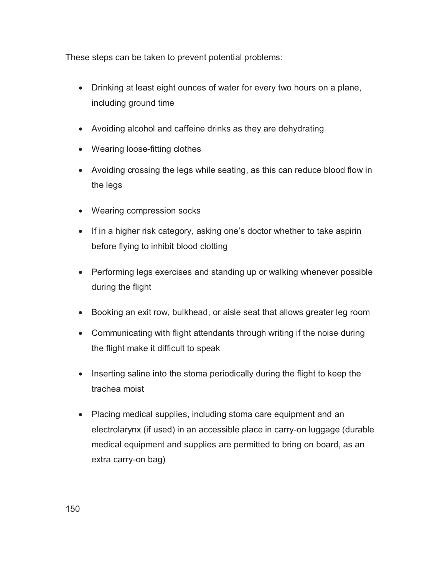These steps can be taken to prevent potential problems:

- Drinking at least eight ounces of water for every two hours on a plane, including ground time
- Avoiding alcohol and caffeine drinks as they are dehydrating
- Wearing loose-fitting clothes
- Avoiding crossing the legs while seating, as this can reduce blood flow in the legs
- Wearing compression socks
- If in a higher risk category, asking one's doctor whether to take aspirin before flying to inhibit blood clotting
- Performing legs exercises and standing up or walking whenever possible during the flight
- Booking an exit row, bulkhead, or aisle seat that allows greater leg room
- Communicating with flight attendants through writing if the noise during the flight make it difficult to speak
- Inserting saline into the stoma periodically during the flight to keep the trachea moist
- Placing medical supplies, including stoma care equipment and an electrolarynx (if used) in an accessible place in carry-on luggage (durable medical equipment and supplies are permitted to bring on board, as an extra carry-on bag)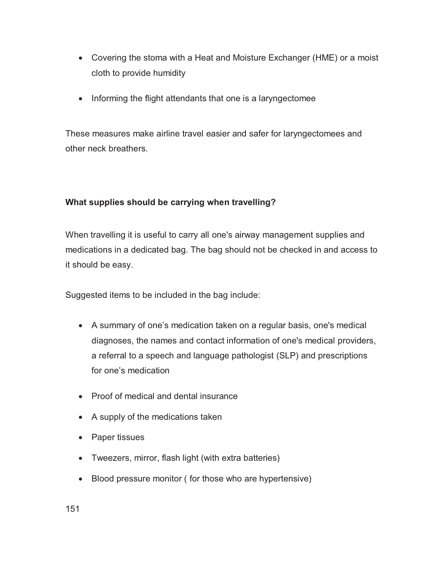- Covering the stoma with a Heat and Moisture Exchanger (HME) or a moist cloth to provide humidity
- Informing the flight attendants that one is a laryngectomee

These measures make airline travel easier and safer for laryngectomees and other neck breathers.

### **What supplies should be carrying when travelling?**

When travelling it is useful to carry all one's airway management supplies and medications in a dedicated bag. The bag should not be checked in and access to it should be easy.

Suggested items to be included in the bag include:

- A summary of one's medication taken on a regular basis, one's medical diagnoses, the names and contact information of one's medical providers, a referral to a speech and language pathologist (SLP) and prescriptions for one's medication
- Proof of medical and dental insurance
- A supply of the medications taken
- Paper tissues
- Tweezers, mirror, flash light (with extra batteries)
- Blood pressure monitor ( for those who are hypertensive)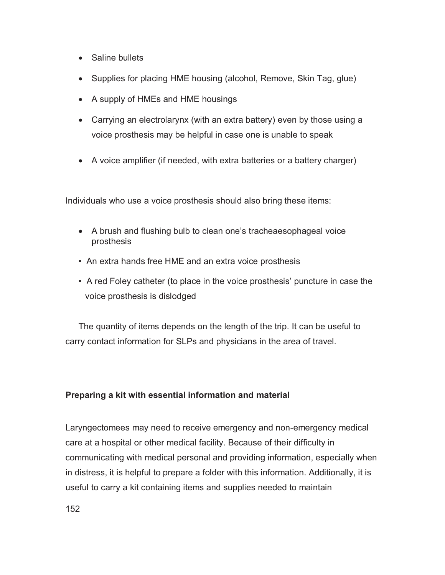- Saline bullets
- Supplies for placing HME housing (alcohol, Remove, Skin Tag, glue)
- A supply of HMEs and HME housings
- Carrying an electrolarynx (with an extra battery) even by those using a voice prosthesis may be helpful in case one is unable to speak
- A voice amplifier (if needed, with extra batteries or a battery charger)

Individuals who use a voice prosthesis should also bring these items:

- A brush and flushing bulb to clean one's tracheaesophageal voice prosthesis
- An extra hands free HME and an extra voice prosthesis
- A red Foley catheter (to place in the voice prosthesis' puncture in case the voice prosthesis is dislodged

The quantity of items depends on the length of the trip. It can be useful to carry contact information for SLPs and physicians in the area of travel.

### **Preparing a kit with essential information and material**

Laryngectomees may need to receive emergency and non-emergency medical care at a hospital or other medical facility. Because of their difficulty in communicating with medical personal and providing information, especially when in distress, it is helpful to prepare a folder with this information. Additionally, it is useful to carry a kit containing items and supplies needed to maintain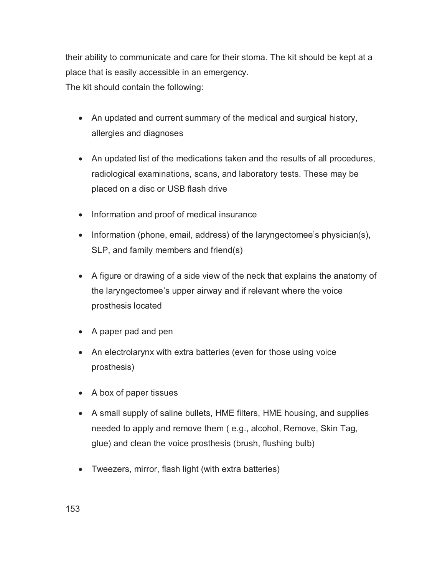their ability to communicate and care for their stoma. The kit should be kept at a place that is easily accessible in an emergency.

The kit should contain the following:

- An updated and current summary of the medical and surgical history, allergies and diagnoses
- An updated list of the medications taken and the results of all procedures, radiological examinations, scans, and laboratory tests. These may be placed on a disc or USB flash drive
- Information and proof of medical insurance
- Information (phone, email, address) of the laryngectomee's physician(s), SLP, and family members and friend(s)
- A figure or drawing of a side view of the neck that explains the anatomy of the laryngectomee's upper airway and if relevant where the voice prosthesis located
- A paper pad and pen
- An electrolarynx with extra batteries (even for those using voice prosthesis)
- A box of paper tissues
- A small supply of saline bullets, HME filters, HME housing, and supplies needed to apply and remove them ( e.g., alcohol, Remove, Skin Tag, glue) and clean the voice prosthesis (brush, flushing bulb)
- Tweezers, mirror, flash light (with extra batteries)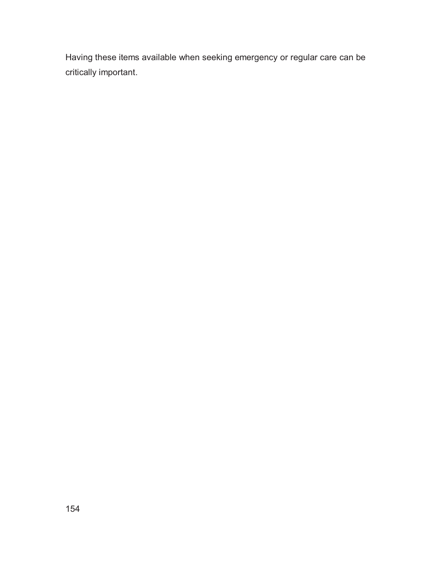Having these items available when seeking emergency or regular care can be critically important.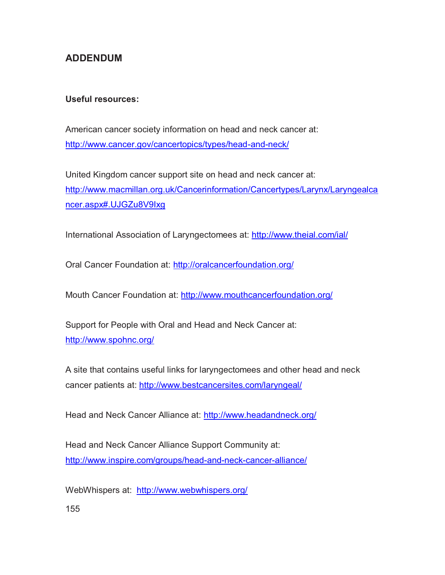# **ADDENDUM**

#### **Useful resources:**

American cancer society information on head and neck cancer at: http://www.cancer.gov/cancertopics/types/head-and-neck/

United Kingdom cancer support site on head and neck cancer at: http://www.macmillan.org.uk/Cancerinformation/Cancertypes/Larynx/Laryngealca ncer.aspx#.UJGZu8V9Ixg

International Association of Laryngectomees at: http://www.theial.com/ial/

Oral Cancer Foundation at: http://oralcancerfoundation.org/

Mouth Cancer Foundation at: http://www.mouthcancerfoundation.org/

Support for People with Oral and Head and Neck Cancer at: http://www.spohnc.org/

A site that contains useful links for laryngectomees and other head and neck cancer patients at: http://www.bestcancersites.com/laryngeal/

Head and Neck Cancer Alliance at: http://www.headandneck.org/

Head and Neck Cancer Alliance Support Community at: http://www.inspire.com/groups/head-and-neck-cancer-alliance/

WebWhispers at: http://www.webwhispers.org/

155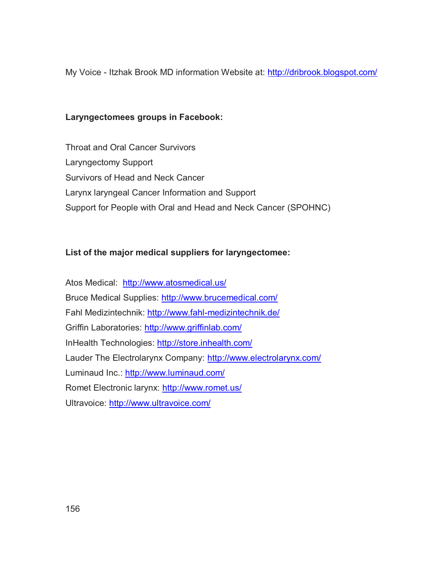My Voice - Itzhak Brook MD information Website at: http://dribrook.blogspot.com/

#### **Laryngectomees groups in Facebook:**

Throat and Oral Cancer Survivors Laryngectomy Support Survivors of Head and Neck Cancer Larynx laryngeal Cancer Information and Support Support for People with Oral and Head and Neck Cancer (SPOHNC)

### **List of the major medical suppliers for laryngectomee:**

Atos Medical: http://www.atosmedical.us/ Bruce Medical Supplies: http://www.brucemedical.com/ Fahl Medizintechnik: http://www.fahl-medizintechnik.de/ Griffin Laboratories: http://www.griffinlab.com/ InHealth Technologies: http://store.inhealth.com/ Lauder The Electrolarynx Company: http://www.electrolarynx.com/ Luminaud Inc.: http://www.luminaud.com/ Romet Electronic larynx: http://www.romet.us/ Ultravoice: http://www.ultravoice.com/